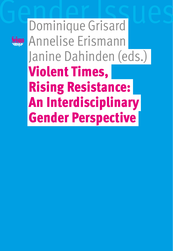Dominique Grisard Annelise Erismann Janine Dahinden (eds.) Violent Times, Rising Resistance: An Interdisciplinary Gender Perspective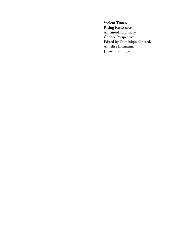**Violent Times, Rising Resistance: An Interdisciplinary Gender Perspective** Edited by Dominique Grisard, Annelise Erismann, Janine Dahinden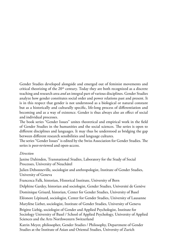Gender Studies developed alongside and emerged out of feminist movements and critical theorizing of the  $20<sup>th</sup>$  century. Today they are both recognized as a discrete teaching and research area *and* an integral part of various disciplines. Gender Studies analyze how gender constitutes social order and power relations past and present. It is in this respect that gender is not understood as a biological or natural constant but as a historically and culturally specific, life-long process of differentiation and becoming and as a way of existence. Gender is thus always also an effect of social and individual processes.

The book series "Gender Issues" unites theoretical and empirical work in the field of Gender Studies in the humanities and the social sciences. The series is open to different disciplines and languages. It may thus be understood as bridging the gap between different research sensibilities and language cultures.

The series "Gender Issues" is edited by the Swiss Association for Gender Studies. The series is peer-reviewed and open-access.

#### *Direction*

Janine Dahinden, Transnational Studies, Laboratory for the Study of Social Processes, University of Neuchâtel

Julien Debonneville, sociologist and anthropologist, Institute of Gender Studies, University of Geneva

Francesca Falk, historian, Historical Institute, University of Bern

Delphine Gardey, historian and sociologist, Gender Studies, Université de Genève

Dominique Grisard, historian, Center for Gender Studies, University of Basel

Eléonore Lépinard, sociologist, Center for Gender Studies, University of Lausanne

Marylène Lieber, sociologist, Institute of Gender Studies, University of Geneva

Brigitte Liebig, sociologist of Gender and Applied Psychologist, Institute for Sociology University of Basel / School of Applied Psychology, University of Applied Sciences and the Arts Northwestern Switzerland

Katrin Meyer, philosopher, Gender Studies / Philosophy, Department of Gender Studies at the Institute of Asian and Oriental Studies, University of Zurich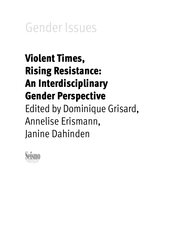Gender Issues

# Violent Times, Rising Resistance: An Interdisciplinary Gender Perspective Edited by Dominique Grisard, Annelise Erismann, Janine Dahinden

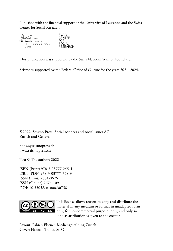Published with the financial support of the University of Lausanne and the Swiss Center for Social Research.

| Unil                                                                    | <b>SWISS</b><br><b>CENTER</b> |
|-------------------------------------------------------------------------|-------------------------------|
| <b>UNIL</b>   Université de Lausanne<br>CEG - Centre en Etudes<br>Genre | SOCIAL<br><b>RESEARCH</b>     |

This publication was supported by the Swiss National Science Foundation.

Seismo is supported by the Federal Office of Culture for the years 2021–2024.

©2022, Seismo Press, Social sciences and social issues AG Zurich and Geneva

books@seismopress.ch [www.seismopress.ch](http://www.seismopress.ch)

Text © The authors 2022

[ISBN \(Print\) 978-3-03777-245-4](https://www.seismoverlag.ch/de/daten/violent-times-rising-resistance-an-interdisciplinary-gender-perspective/) [ISBN \(PDF\) 978-3-03777-758-9](https://www.seismoverlag.ch/de/daten/violent-times-rising-resistance-an-interdisciplinary-gender-perspective/) ISSN (Print) 2504-0626 ISSN (Online) 2674-1091 [DOI: 10.33058/seismo.30758](https://doi.org/10.33058/seismo.30758)



[This license allows reusers to copy and distribute the](https://creativecommons.org/licenses/by-nc-nd/4.0/)  [material in any medium or format in unadapted form](https://creativecommons.org/licenses/by-nc-nd/4.0/)  [only, for noncommercial purposes only, and only so](https://creativecommons.org/licenses/by-nc-nd/4.0/)  [long as attribution is given to the creator.](https://creativecommons.org/licenses/by-nc-nd/4.0/)

Layout: Fabian Elsener, Mediengestaltung Zurich Cover: Hannah Traber, St.Gall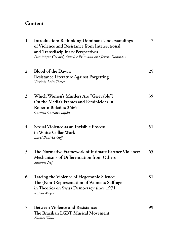# **Content**

| $\mathbf{1}$   | <b>Introduction: Rethinking Dominant Understandings</b><br>of Violence and Resistance from Intersectional<br>and Transdisciplinary Perspectives<br>Dominique Grisard, Annelise Erismann and Janine Dahinden | 7  |
|----------------|-------------------------------------------------------------------------------------------------------------------------------------------------------------------------------------------------------------|----|
| $\overline{2}$ | Blood of the Dawn:<br><b>Resistance Literature Against Forgetting</b><br>Virginia León Torrez                                                                                                               | 25 |
| 3              | Which Women's Murders Are "Grievable"?<br>On the Media's Frames and Feminicides in<br>Roberto Bolaño's 2666<br>Carmen Carrasco Luján                                                                        | 39 |
| $\overline{4}$ | Sexual Violence as an Invisible Process<br>in White-Collar Work<br>Isabel Boni-Le Goff                                                                                                                      | 51 |
| 5              | The Normative Framework of Intimate Partner Violence:<br>Mechanisms of Differentiation from Others<br>Susanne Nef                                                                                           | 65 |
| 6              | Tracing the Violence of Hegemonic Silence:<br>The (Non-)Representation of Women's Suffrage<br>in Theories on Swiss Democracy since 1971<br>Katrin Meyer                                                     | 81 |
| 7              | <b>Between Violence and Resistance:</b><br>The Brazilian LGBT Musical Movement<br>Nicolas Wasser                                                                                                            | 99 |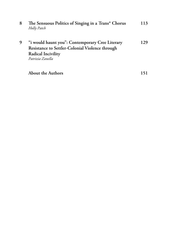| 8 | The Sensuous Politics of Singing in a Trans* Chorus<br>Holly Patch                                                                                  | 113 |
|---|-----------------------------------------------------------------------------------------------------------------------------------------------------|-----|
| 9 | "i would haunt you": Contemporary Cree Literary<br>Resistance to Settler-Colonial Violence through<br><b>Radical Incivility</b><br>Patrizia Zanella | 129 |
|   | <b>About the Authors</b>                                                                                                                            |     |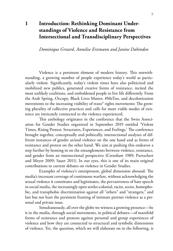# <span id="page-7-0"></span>**1 Introduction: Rethinking Dominant Understandings of Violence and Resistance from Intersectional and Transdisciplinary Perspectives**

*Dominique Grisard, Annelise Erismann and Janine Dahinden*

Violence is a persistent element of modern history. This notwithstanding, a growing number of people experience today's world as particularly violent. Significantly, today's violent times have also politicized and mobilized new publics, generated creative forms of resistance, incited the most unlikely coalitions, and emboldened people to live life differently. From the Arab Spring, Occupy, Black Lives Matter, #MeToo, and decolonization movements to the increasing visibility of trans\* rights movements: The growing plurality of collective practices and calls for more viable modes of existence are intricately connected to the violence experienced.

This anthology originates in the conference that the Swiss Association for Gender Studies organized in September 2019 entitled 'Violent Times, Rising Protest: Structures, Experiences, and Feelings.' The conference brought together, conceptually and politically, intersectional analyses of different instances of gender as/and violence on the one hand and as forms of resistance and protest on the other hand. We aim at pushing this endeavor a step further by homing in on the entanglements between violence, resistance, and gender from an intersectional perspective (Crenshaw 1989; Purtschert and Meyer 2009; Sauer 2011). In our eyes, this is one of its main original contributions to current debates on violence in Gender Studies.

Examples of violence's omnipresent, global dimension abound: The media's incessant coverage of continuous warfare, without acknowledging the sexual violence it constitutes and legitimates, the pervasiveness of hate speech in social media, the increasingly open settler-colonial, racist, sexist, homophobic, and transphobic discrimination against all "others" and "strangers," and last but not least the persistent framing of intimate partner violence as a personal and private issue.

Simultaneously, all over the globe we witness a growing presence—be it in the media, through social movements, in political debates—of manifold forms of resistance and protests against personal and group experiences of violence and how they are connected to structural and symbolic dimensions of violence. Yet, the question, which we will elaborate on in the following, is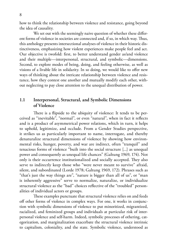how to think the relationship between violence and resistance, going beyond the idea of causality.

We set out with the seemingly naive question of whether these different forms of violence in societies are connected and, if so, in which way. Thus, this anthology presents intersectional analyses of violence in their historic distinctiveness, emphasizing how violent experiences make people feel and act. Our objective is twofold: first, to better understand gender as/and violence and their multiple—interpersonal, structural, and symbolic—dimensions. Second, to explore modes of being, doing, and feeling otherwise, as well as visions of a livable life in solidarity. In so doing, we would like to offer new ways of thinking about the intricate relationship between violence and resistance, how they contest one another and mutually modify each other, without neglecting to pay close attention to the unequal distribution of power.

# **1.1 Interpersonal, Structural, and Symbolic Dimensions of Violence**

There is a flipside to the ubiquity of violence: It tends to be perceived as "inevitable", "normal", or even "natural", when in fact it reflects and is a product of asymmetrical power relations, which in turn, it helps to uphold, legitimize, and occlude. From a Gender Studies perspective, it strikes us as particularly important to name, interrogate, and thereby denaturalize structural dimensions of violence by showing how environmental risks, hunger, poverty, and war are indirect, often "tranquil" and tenacious forms of violence "built into the social structure [...] as unequal power and consequently as unequal life chances" (Galtung 1969, 174). Not only is their occurrence institutionalized and socially accepted. They also serve to indirectly keep those who "were never meant to survive" afraid, silent, and subordinated (Lorde 1978; Galtung 1969, 172). Phrases such as "that's just the way things are", "nature is bigger than all of us", or "man is inherently aggressive" serve to normalize, naturalize, or individualize structural violence as the "bad" choices reflective of the "troubled" personalities of individual actors or groups.

These examples punctuate that structural violence relies on and feeds off other forms of violence in complex ways. For one, it works in conjunction with symbolic dimensions of violence to put minoritized, migrantized, racialized, and feminized groups and individuals at particular risk of interpersonal violence and self-harm. Indeed, symbolic processes of othering, categorization, and marginalization exacerbate the structural violence intrinsic to capitalism, coloniality, and the state. Symbolic violence, understood as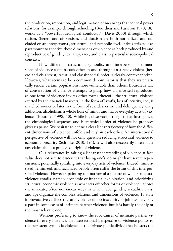the production, imposition, and legitimation of meanings that conceal power relations, for example through schooling (Bourdieu and Passeron 1970, 18), works as a "powerful ideological conductor" (Davis 2000) through which racism, (hetero and cis-)sexism, and classism are both normalized and occluded on an interpersonal, structural, and symbolic level. It thus strikes us as paramount to theorize these dimensions of violence as both produced by and reproductive of gender, sexuality, race, and class in particular socio-political contexts.

How different—structural, symbolic, and interpersonal—dimensions of violence sustain each other in and through an already violent (hetero and cis-) sexist, racist, and classist social order is clearly context-specific. However, what seems to be a common denominator is that they systematically render certain populations more vulnerable than others. Bourdieu's law of conservation of violence attempts to grasp how violence self-reproduces, as one form of violence invites other forms thereof: "the structural violence exerted by the financial markets, in the form of layoffs, loss of security, etc., is matched sooner or later in the form of suicides, crime and delinquency, drug addiction, alcoholism, a whole host of minor and major everyday acts of violence" (Bourdieu 1998, 40). While his observation rings true at first glance, the chronological sequence and hierarchical order of violence he proposes gives us pause. We hesitate to define a clear linear trajectory of how the different dimensions of violence unfold and rely on each other. An intersectional perspective of violence will not only question reducing structural violence to economic precarity (Schinkel 2010, 194). It will also necessarily interrogate any claim about a professed origin of violence.

Our reluctance in taking a linear understanding of violence at face value does not aim to discount that losing one's job might have severe repercussions, potentially spiraling into everyday acts of violence. Indeed, minoritized, feminized, and racialized people often suffer the brunt of this interpersonal violence. However, painting too narrow of a picture of what structural violence entails, namely economic or financial exploitation, and prioritizing structural economic violence as what sets off other forms of violence, ignores the intricate, often non-linear ways in which race, gender, sexuality, class, and age organize the complex relations and dimensions of violence. To state it provocatively: The structural violence of job insecurity or job loss may play a part in some cases of intimate partner violence, but it is hardly the only or the most relevant one.

Without professing to know the root causes of intimate partner violence in every instance, an intersectional perspective of violence points to the persistent symbolic violence of the private-public divide that bolsters the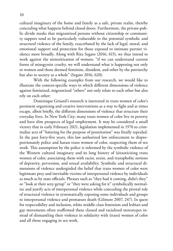cultural imaginary of the home and family as a safe, private realm, thereby concealing what happens behind closed doors. Furthermore, the private-public divide masks that migrantized persons without citizenship or community support tend to be particularly vulnerable to the potential symbolic and structural violence of the family, exacerbated by the lack of legal, moral, and emotional support and protection for those exposed to intimate partner violence more broadly. Along with Rita Segato (2016, 615), we thus intend to work against the minoritization of women: "if we can understand current forms of misogynist cruelty, we will understand what is happening not only to women and those deemed feminine, dissident, and other by the patriarchy but also to society as a whole" (Segato 2016, 620).

With the following examples from our research, we would like to illustrate the context-specific ways in which different dimensions of violence against feminized, migrantized "others" not only relate to each other but also rely on each other:

Dominique Grisard's research is interested in trans women of color's persistent organizing and creative interventions as a way to fight and at times escape, albeit briefly, the different dimensions of violence that structure their everyday lives. In New York City, many trans women of color live in poverty and have slim prospects of legal employment. It may be considered a small victory that in early February 2021, legislation implemented in 1976 to criminalize acts of "loitering for the purpose of prostitution" was finally repealed. In the past forty-five years, this law authorized law enforcement to disproportionately police and harass trans women of color, suspecting them of sex work. This assumption by the police is informed by the symbolic violence of the Western cultural imaginary and its long history of (s)exoticizing trans women of color, associating them with racist, sexist, and transphobic notions of depravity, perversion, and sexual availability. Symbolic and structural dimensions of violence undergirded the belief that trans women of color were legitimate prey and inevitable victims of interpersonal violence by individuals as much as by state officials. Phrases such as "they had it coming, didn't they" or "look at their sexy getup" or "they were asking for it" symbolically normalize and justify acts of interpersonal violence while concealing the pivotal role of structural violence in systematically exposing some individuals and groups to interpersonal violence and premature death (Gilmore 2007, 247). In quest for respectability and inclusion, white middle-class feminism and lesbian and gay movements often reaffirmed these classed and racialized stereotypes instead of dismantling their violence in solidarity with (trans) women of color and all those engaging in sex work.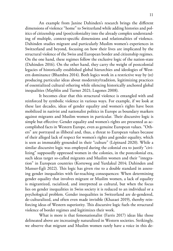An example from Janine Dahinden's research brings the different dimensions of violence "home" to Switzerland while adding histories and politics of citizenship and (post)coloniality into the already complex understanding of multiple, context-specific dimensions and relationalities of violence. Dahinden studies migrant and particularly Muslim women's experiences in Switzerland and beyond, focusing on how their lives are implicated by the structural violence of the Swiss and European border and citizenship regimes. On the one hand, these regimes follow the exclusive logic of the nation-state (Dahinden 2016). On the other hand, they carry the weight of postcolonial legacies of historically established global hierarchies and ideologies of Western dominance (Bhambra 2014). Both logics work in a restrictive way by (re) producing particular ideas about modernity/tradition, legitimizing practices of essentialized cultural othering while silencing historically anchored global inequalities (Mayblin and Turner 2021; Lugones 2008).

It becomes clear that this structural violence is entangled with and reinforced by symbolic violence in various ways. For example, if we look at these last decades, ideas of gender equality and women's rights have been mobilized in nativist and nationalist politics in Europe as boundary markers against migrants and Muslim women in particular. Their discursive logic is simple but effective: Gender equality and women's rights are presented as accomplished facts in Western Europe, even as genuine European values. "Others" are portrayed as illiberal and, thus, a threat to European values because of their alleged lack of respect for women's rights and gender equality, which is seen as immutably grounded in their "culture" (Lépinard 2020). While a similar discursive logic was employed during the colonial era to justify "civilizing" supposedly oppressed women in the colonies, in the postcolonial era, such ideas target so-called migrants and Muslim women and their "integration" in European countries (Korteweg and Yurdakul 2014; Dahinden and Manser-Egli 2022). This logic has given rise to a double standard in assessing gender inequalities with far-reaching consequences: When determining gender equality that involves migrant or Muslim women, a lack of equality is migrantized, racialized, and interpreted as cultural, but when the focus lies on gender inequalities in Swiss society it is reduced to an individual or a psychological problem. Gender inequalities in Switzerland are de-gendered, de-culturalized, and often even made invisible (Khazaei 2019), thereby reinforcing ideas of Western superiority. This discursive logic fuels the structural violence of border regimes and legitimizes their work.

What is more is that femonationalist (Farris 2017) ideas like those delineated above are increasingly naturalized in Western societies. Strikingly, we observe that migrant and Muslim women rarely have a voice in this de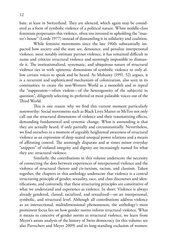bate, at least in Switzerland. They are silenced, which again may be considered as a form of symbolic violence of a political nature. White middle-class feminism perpetuates this violence, often too invested in upholding the "master's house" (Lorde 1977) instead of dismantling it in solidarity and coalition.

While feminist movements since the late 1960s substantially impacted how society and the state see, denounce, and penalize interpersonal violence, most notably intimate partner violence, it has remained difficult to name and criticize structural violence and seemingly impossible to dismantle it. The institutionalized, systematic, and ubiquitous nature of structural violence ties in with epistemic dimensions of symbolic violence to only allow certain voices to speak and be heard. As Mohanty (1991, 52) argues, it is a recurrent and sophisticated mechanism of colonization, also seen in its continuities: to create the non-Western World as a monolith and to repeal the "suppression—often violent—of the heterogeneity of the subject(s) in question", diligently selecting its preferred or most palatable voices out of the Third World.

This is one reason why we find this current moment particularly noteworthy: Social movements such as Black Lives Matter or MeToo not only call out the structural dimensions of violence and their traumatizing effects, demanding fundamental and systemic change. What is astounding is that they are actually heard, if only partially and circumstantially. Nevertheless, we find ourselves in a moment of arguably heightened awareness of structural violence as an expression of deep-seated unequal power relations and a means of affirming control. The seemingly disparate and at times minor everyday "snippets" of violated integrity and dignity are increasingly named for what they are: structural violence.

Similarly, the contributions in this volume underscore the necessity of connecting the dots between experiences of interpersonal violence and the violence of structural (hetero and cis-)sexism, racism, and classism. Taken together, the chapters in this anthology underscore that violence is a central structuring principle of gender, sexuality, race, and class discourses and identifications, and conversely, that these structuring principles are constitutive of what we understand and experience as violence. In short: Violence is always already gendered, classed, racialized, and sexualized—on an interpersonal, symbolic, and structural level. Although all contributions address violence as an intersectional, multidimensional phenomenon, the anthology's most prominent focus lies on how gender norms inform structural violence. What it means to conceive of gender norms as structural violence, we learn from Meyer's astute analysis of the history of Swiss democracy (in this volume; see also Purtschert and Meyer 2009) and its long-standing exclusion of women: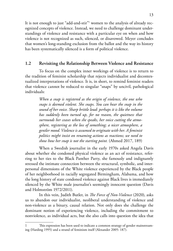It is not enough to just "add-and-stir"1 women to the analysis of already recognized concepts of violence. Instead, we need to challenge dominant understandings of violence and resistance with a particular eye on when and how violence is not recognized as such, silenced, or disavowed. Meyer concludes that women's long-standing exclusion from the ballot and the way its history has been systematically silenced is a form of political violence.

## **1.2 Revisiting the Relationship Between Violence and Resistance**

To focus on the complex inner workings of violence is to return to the tradition of feminist scholarship that rejects individualist and decontextualized interpretations of violence. It is, in short, to remind feminist readers that violence cannot be reduced to singular "snaps" by uncivil, pathological individuals:

> *When a snap is registered as the origin of violence, the one who snaps is deemed violent. She snaps. You can hear the snap in the sound of her voice. Sharp brittle loud: perhaps it is like the volume has suddenly been turned up, for no reason, the quietness that surrounds her ceases when she speaks, her voice cutting the atmosphere, registering as the loss of something; a nicer atmosphere, a gentler mood. Violence is assumed to originate with her. A feminist politics might insist on renaming actions as reactions; we need to show how her snap is not the starting point.* (Ahmed 2017, 189)

When a Swedish journalist in the early 1970s asked Angela Davis about whether she condoned physical violence as an act of resistance, referring to her ties to the Black Panther Party, she famously and indignantly stressed the intimate connection between the structural, symbolic, and interpersonal dimensions of the White violence experienced by the Black people of her neighborhood in racially segregated Birmingham, Alabama, and how the long history of state condoned violence against Black lives is immediately silenced by the White male journalist's seemingly innocent question (Davis and Holmström 1972/2011).

In this vein, Judith Butler, in *The Force of Non-Violence* (2020), asks us to abandon our individualist, neoliberal understanding of violence and non-violence as a binary, causal relation. Not only does she challenge the dominant notion of experiencing violence, including the commitment to nonviolence, as individual acts, but she also calls into question the idea that

This expression has been used to indicate a common strategy of gender mainstreaming (Harding 1995) and a strand of feminism itself (Alexander 2005: 187).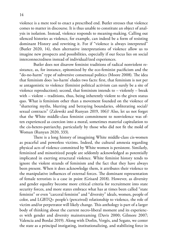violence is a mere tool to enact a prescribed end. Butler stresses that violence comes to matter in discourse. It is thus unable to constitute an object of analysis in isolation. Instead, violence responds to meaning-making. Calling out silenced histories as violence, for example, can indeed be a form of resisting dominant History and rewriting it. For if "violence is always interpreted" (Butler 2020, 14), then alternative interpretations of violence allow us to imagine new prospects and possibilities, especially if our focus lies on social interconnectedness instead of individual/ized experiences.

Butler does not disavow feminist traditions of radical nonviolent resistance, as, for instance, epitomized by the eco-feminist pacificism and the "do-no-harm" type of subversive consensual politics (Moore 2008). The idea that feminism does 'no-harm' eludes two facts: first, that feminism is not per se antagonistic to violence (feminist political activism can surely be a site of violence reproduction); second, that feminism intends to – violently – break with – violent – traditions, thus, being inherently violent to the given status quo. What is feminism other than a movement founded on the violence of "shattering myths, blurring and betraying boundaries, obliterating social/ sexual contracts" (Zalewski and Runyan 2019, 106)? Also, let us not forget that the White middle-class feminist commitment to nonviolence was often experienced as coercion into a moral, sometimes material capitulation to the cis-hetero-patriarchy, particularly by those who did not fit the mold of Woman (Runyan 2020, 333).

There is a long history of imagining White middle-class cis-women as peaceful and powerless victims. Indeed, the cultural amnesia regarding physical acts of violence committed by White women is persistent. Similarly, feminized and minoritized people are seldomly acknowledged as potentially implicated in exerting structural violence. White feminist history tends to ignore the violent strands of feminism and the fact that they have always been present. When it does acknowledge them, it attributes their violence to the manipulative influences of external forces. The dominant representation of female terrorists is a case in point (Grisard 2018). However, as diversity and gender equality become more critical criteria for recruitment into state security forces, and more states embrace what has at times been called "state feminist" or even "carceral feminist" and "diversity" ideals, women, people of color, and LGBTQ+ people's (perceived) relationship to violence, the role of victim and/or perpetrator will likely change. This anthology is part of a larger body of thinking about the current necro-liberal moment and its experiences with gender and diversity mainstreaming (Davis 2000; Gilmore 2007; Valencia and Bordai 2019). Along with Dorlin, Vergès, and Segato, we center the state as a principal instigating, institutionalizing, and stabilizing force in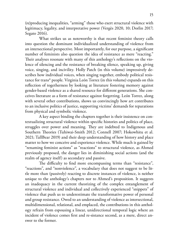(re)producing inequalities, "arming" those who exert structural violence with legitimacy, legality, and interpretative power (Vergès 2020, 10; Dorlin 2017; Segato 2016).

What strikes us as noteworthy is that recent feminist theory calls into question the dominant individualized understanding of violence from an intersectional perspective. Most importantly, for our purpose, a significant number of feminists also question the idea of resistance as mere "reacting." Their analyses resonate with many of this anthology's reflections on the violence of silencing and the resistance of breaking silence, speaking up, giving voice, singing, and incivility. Holly Patch (in this volume) impressively describes how individual voices, when singing together, embody political resistance for trans\* people. Virginia León Torrez (in this volume) expands on this reflection of togetherness by looking at literature fostering memory against gender-based violence as a shared resource for different generations. She conceives literature as a form of resistance against forgetting. León Torrez, along with several other contributions, shows us convincingly how art contributes to an inclusive politics of justice, supporting victims' demands for reparations from physical and symbolic violence.

A key aspect binding the chapters together is their insistence on contextualizing structural violence within specific histories and politics of place, struggles over power and meaning. They are indebted to Indigenous and Southern Theories (Tuhiwai-Smith 2012; Connell 2007; Hokowhitu et al. 2021; TallBear 2019) and their deep understanding of how history and place matter to how we conceive and experience violence. While much is gained by "renaming feminist actions" as "reactions" to structural violence, as Ahmed previously proposed, the danger lies in diminishing social actions (and the realm of agency itself) as secondary and passive.

The difficulty to find more encompassing terms than "resistance", "reactions", and "nonviolence", a vocabulary that does not suggest to be little more than (passively) reacting to discrete instances of violence, is neither unique to the anthology's chapters nor to Ahmed's proposition. It suggests an inadequacy in the current theorizing of the complex entanglement of structural violence and individual and collectively experienced "snippets" of violence that push us to underestimate the transformative power of personal and group resistance. Owed to an understanding of violence as intersectional, multidimensional, relational, and emplaced, the contributions in this anthology refrain from espousing a linear, unidirectional temporal logic where an incident of violence comes first and re-sistance second, as a mere, direct answer to the former.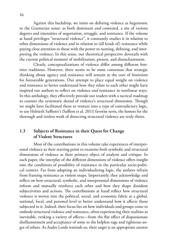Against this backdrop, we insist on defining violence as hegemonic in the Gramscian sense: as both dominant *and* contested, a site of various degrees and intensities of negotiation, struggle, and resistance. If the volume at hand privileges "structural violence", it constantly studies it in relation to other dimensions of violence *and* in relation to (all kinds of) resistance while paying close attention to those with the power to naming, defining, and interpreting the violence. In this sense, our theoretical perspective dovetails with the current political moment of mobilization, protest, and disenchantment.

Clearly, conceptualizations of violence differ among different feminist traditions. However, there seems to be some consensus that strategic thinking about agency and resistance will remain at the core of feminism for foreseeable generations. Our attempt to place equal weight on violence and resistance to better understand how they relate to each other might have inspired our authors to reflect on violence *and* resistance in nonlinear ways. In this anthology, they effectively provide our readers with a tactical roadmap to counter the systematic denial of violence's structural dimension. Though we might have facilitated them to venture into a type of contradictory logic, to use Heleieth Saffiotti's (Saffioti et al. 2011) favorite term, the honors for the thorough and tireless work of dissecting structural violence are truly theirs.

## **1.3 Subjects of Resistance in their Quest for Change of Violent Structures**

Most of the contributions in this volume take experiences of interpersonal violence as their starting point to examine both symbolic and structural dimensions of violence as their primary object of analysis and critique. In each paper, the interplay of the different dimensions of violence offers insight into the conditions of possibility of resistance in the particular socio-political context. Far from adopting an individualizing logic, the authors refrain from framing resistance as violent snaps. Importantly, they acknowledge and reflect on how structural, symbolic, and interpersonal dimensions of violence inform and mutually reinforce each other and how they shape dissident subjectivities and actions. The contributions at hand reflect how structural violence is woven into the political, social, and economic fabric at a global, national, local, and personal level to better understand how it affects those subjected to it. Indeed, their focus lies on how individuals and groups come to embody structural violence and resistance, often experiencing their realities as inevitable, evoking a variety of affects—from the flat affect of dispassionate disillusionment and acceptance of some to the helpless rage and righteous anger of others. As Audre Lorde reminds us, their anger is an appropriate answer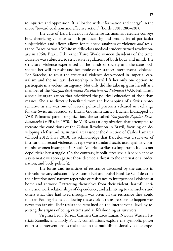to injustice and oppression. It is "loaded with information and energy" in the move "toward coalition and effective action" (Lorde 1981, 280–281).

The case of Lara Barcelos in Annelise Erismann's research conveys how theorizing violence as both produced by and productive of particular subjectivities and affects allows for nuanced analyses of violence *and* resistance. Barcelos was a White middle-class medical student turned revolutionary in 1960s Brazil. Like other Third World women dissidents of the time, Barcelos was subjected to strict state regulations of both body and mind. The structural violence experienced at the hands of society and the state both shaped her will to resist and her mode of resistance: interpersonal violence. For Barcelos, to resist the structural violence deep-rooted in imperial capitalism and the military dictatorship in Brazil left her only one option: to participate in a violent insurgency. Not only did she take up guns herself as a member of the *Vanguarda Armada Revolucionaria Palmares* (VAR-Palmares), a socialist organization that prioritized the political education of the urban masses. She also directly benefitted from the kidnapping of a Swiss representative as she was one of several political prisoners released in exchange for the Swiss ambassador to Brazil, Giovanni Enrico Bucher, kidnapped by VAR-Palmares' parent organization, the so-called *Vanguarda Popular Revolucionaria* (VPR), in 1970*.* The VPR was an organization that attempted to recreate the conditions of the Cuban Revolution in Brazil, focusing on developing a leftist militia in rural areas under the direction of Carlos Lamarca (Chacel 2012; Silva 2019). To acknowledge that Barcelos was a survivor of institutional sexual violence, as rape was a standard tactic used against Communist women insurgents in South America, strikes us important. It does not depoliticize her struggle. On the contrary, it politicizes sexualized violence as a systematic weapon against those deemed a threat to the international order, nation, and body politic(s).

The forms and intensities of resistance discussed by the authors in this volume vary substantially. Susanne Nef and Isabel Boni-Le-Goff describe their interlocutors' narrow repertoire of resistance to interpersonal violence at home and at work. Extracting themselves from their violent, harmful intimate and work relationships of dependence, and admitting to themselves and others what they had lived through, was often all the resistance they could muster. Feeling shame at allowing these violent transgressions to happen was never too far off. Their resistance remained on the interpersonal level by rejecting the stigma of being victims and self-fashioning as survivors.

Virginia León Torrez, Carmen Carrasco Lujan, Nicolas Wasser, Patrizia Zanella, and Holly Patch's contributions explore the symbolic power of artistic interventions as resistance to the multidimensional violence expe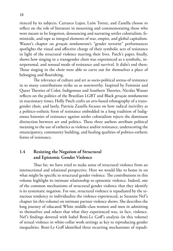rienced by its subjects. Carrasco Lujan, León Torrez, and Zanella choose to reflect on the role of literature in mourning and commemorating those who were meant to be forgotten, denouncing and narrating settler colonialism, feminicide, and rape as integral elements of war, empire, and global capitalism. Wasser's chapter on *geração tombamento*'s "gender terrorist" performances spotlights the visual and affective charge of their symbolic acts of resistance in light of the structural violence marring their lives. Patch's paper, finally, shows how singing in a transgender choir was experienced as a symbolic, interpersonal, and sensual mode of resistance and survival. It didn't end there: Those singing in the choir were able to carve out for themselves a place of belonging and flourishing.

The relevance of culture and art as socio-political arenas of resistance in so many contributions strike us as noteworthy. Inspired by Feminist and Queer Theories of Color, Indigenous and Southern Theories, Nicolas Wasser reflects on the politics of the Brazilian LGBT and Black *geração tombamento* in reactionary times, Holly Patch crafts an arts-based ethnography of a transgender choir, and lastly, Patrizia Zanella focuses on how radical incivility as a politico-esthetic form of resistance embedded in a long tradition of Indigenous histories of resistance against settler colonialism rejects the dominant distinction between art and politics. These three authors attribute political meaning to the use of esthetics as violence and/or resistance, underscoring the emancipatory, community building, and healing qualities of politico-esthetic forms of resistance.

# **1.4 Resisting the Negation of Structural and Epistemic Gender Violence**

Thus far, we have tried to make sense of structural violence from an intersectional and relational perspective. Here we would like to home in on what might be specific to structural gender violence. The contributions in this volume highlight its intimate relationship to epistemic violence. Indeed, one of the common mechanisms of structural gender violence that they identify is its systematic negation. For one, structural violence is repudiated by the tenacious tendency to individualize the violence experienced, as Susanne Nef's chapter (in this volume) on intimate partner violence shows. She describes the long journey of educated White middle-class women and men in admitting to themselves and others that what they experienced was, in fact, violence. Nef's findings dovetail with Isabel Boni-Le Goff's analysis (in this volume) of sexual violence in white-collar work settings as key to reproducing gender inequalities. Boni-Le Goff identified three recurring mechanisms of repudi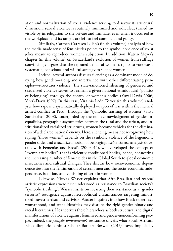ation and normalization of sexual violence serving to disavow its structural dimension: sexual violence is routinely minimized and ridiculed, turned invisible by its relegation to the private and intimate, even when it occurred at the workplace, and its targets are left to feel complicit and guilty.

Similarly, Carmen Carrasco Luján's (in this volume) analysis of how the media made sense of feminicides points to the symbolic violence of sexist jokes meant to reproduce women's subjection. In addition, Katrin Meyer's chapter (in this volume) on Switzerland's exclusion of women from suffrage convincingly argues that the repeated denial of women's rights to vote was a systematic, conscious, and willful strategy to silence women.

Indeed, several authors discuss silencing as a dominant mode of denying how gender—along and intertwined with other differentiating principles—structures violence. The state-sanctioned silencing of gendered and sexualized violence serves to reaffirm a given national ethnic-racial "politics of belonging" through the control of women's bodies (Yuval-Davis 2006; Yuval-Davis 1997). In this case, Virginia León Torrez (in this volume) analyses how rape is a systematically deployed weapon of war within the internal armed conflict in Peru. Through the "symbolic trashing of women" (Silva Santisteban 2008), undergirded by the non-acknowledgment of gender inequalities, geographic asymmetries between the rural and the urban, and institutionalized racialized structures, women become vehicles for the elimination of a declared national enemy. Here, silencing means not recognizing how raping "those women" depends on the symbolic violence of the hegemonic gender order and a racialized notion of belonging. León Torrez' analysis dovetails with Femenias and Rossi's (2009, 44), who developed the concept of "exemplary bodies", that is violently conditioned bodies, hence, connecting the increasing number of feminicides in the Global South to glocal economic insecurities and cultural changes. They discuss how socio-economic dependence ties into the feminization of certain men and the socio-economic independence, isolation, and vanishing of certain women.

Likewise, Nicolas Wasser explains that Afro-Brazilian and *travesti*  artistic expressions were first understood as resistance to Brazilian society's "symbolic trashing". Wasser insists on recasting their resistance as a "gender terrorist" resurgence against necropolitical circumstances targeting minoritized travesti artists and activists. Wasser inquiries into how Black queerness, womanhood, and trans identities may disrupt the rigid gender binary and racial hierarchies. He theorizes these hierarchies as both structural and digital manifestations of violence against feminized and gender-nonconforming people. Indeed, the *geração tombamento's* resistance unveils what South African, Black-diasporic feminist scholar Barbara Boswell (2015) leaves implicit by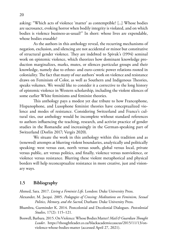asking: "Which acts of violence 'matter' as contemptible? [...] Whose bodies are sacrosanct, evoking horror when bodily integrity is violated, and on which bodies is violence business-as-usual?" In short: whose lives are expendable, whose bodies erasable?

As the authors in this anthology reveal, the recurring mechanisms of negation, exclusion, and silencing are not accidental or minor but constitutive of structural gender violence. They are indebted to Spivak's (1994) seminal work on epistemic violence, which theorizes how dominant knowledge production marginalizes, marks, mutes, or silences particular groups and their knowledge, namely due to ethno- and euro-centric power relations rooted in coloniality. The fact that many of our authors' work on violence and resistance draws on Feminism of Color, as well as Southern and Indigenous Theories, speaks volumes. We would like to consider it a corrective to the long history of epistemic violence in Western scholarship, including the violent silences of some earlier White feminisms and feminist theories.

This anthology pays a modest yet due tribute to how Francophone, Hispanophone, and Lusophone feminist theories have conceptualized violence and modes of resistance. Considering Switzerland and France's cultural ties, our anthology would be incomplete without standard references to authors influencing the teaching, research, and activist practice of gender studies in the Romandie and increasingly in the German-speaking part of Switzerland (Dorlin 2017; Vergès 2020).

We situate the work in this anthology within this tradition and as (renewed) attempts at blurring violent boundaries, analytically and politically speaking: west versus east, north versus south, global versus local, private versus public, art versus politics, and finally, violence versus nonviolence, or violence versus resistance. Blurring these violent metaphorical and physical borders will help reconceptualize resistance in more creative, just and visionary ways.

#### **1.5 Bibliography**

Ahmed, Sara. 2017. *Living a Feminist Life*. London: Duke University Press.

- Alexander, M. Jacqui. 2005. *Pedagogies of Crossing: Meditations on Feminism, Sexual Politics, Memory, and the Sacred*, Durham: Duke University Press.
- Bhambra, Gurminder K. 2014. Postcolonial and Decolonial Dialogues. *Postcolonial Studies*, 17(2): 115–121.
- Boswell, Barbara. 2015. On Violence: Whose Bodies Matter? *Mail & Guardian Thought Leader*. [https://thoughtleader.co.za/blackacademiccaucus/2015/11/13/on](https://thoughtleader.co.za/blackacademiccaucus/2015/11/13/on-violence-whose-bodies-matter/)[violence-whose-bodies-matter](https://thoughtleader.co.za/blackacademiccaucus/2015/11/13/on-violence-whose-bodies-matter/) (accessed April 27, 2021).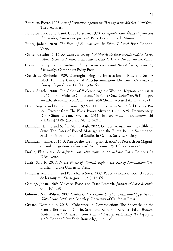- Bourdieu, Pierre. 1998. *Acts of Resistance: Against the Tyranny of the Market*. New York: The New Press.
- Bourdieu, Pierre and Jean-Claude Passeron. 1970. *La reproduction. Éléments pour une théorie du système d'enseignement.* Paris: Les éditions de Minuit.
- Butler, Judith. 2020. *The Force of Nonviolence: An Ethico-Political Bind*. London: Verso.
- Chacel, Cristina. 2012. *Seu amigo esteve aqui. A história do desaparecido político Carlos Alberto Soares de Freitas, assassinado na Casa da Morte*. Rio de Janeiro: Zahar.
- Connell, Raewyn. 2007. *Southern Theory: Social Science and The Global Dynamics Of Knowledge*. Cambridge: Polity Press.
- Crenshaw, Kimberlé. 1989. Demarginalizing the Intersection of Race and Sex: A Black Feminist Critique of Antidiscrimination Doctrine. *University of Chicago Legal Forum* 140(1): 139–168.
- Davis, Angela. 2000. The Color of Violence Against Women. Keynote address at the "Color of Violence Conference" in Santa Cruz. *Colorlines*, 3(3). [http://](http://www.hartford-hwp.com/archives/45a/582.html) [www.hartford-hwp.com/archives/45a/582.html](http://www.hartford-hwp.com/archives/45a/582.html) (accessed April 27, 2021).
- Davis, Angela and Bo Holmström. 1972/2011. Interview in San Rafael County Prison. Excerpt from The Black Power Mixtape 1967–1975. Documentary, Dir. Göran Olsson, Sweden, 2011, [https://www.youtube.com/watch?](https://www.youtube.com/watch?v=fIXrTsJADXc) [v=fIXrTsJADXc](https://www.youtube.com/watch?v=fIXrTsJADXc) (accessed May 3, 2021).
- Dahinden, Janine and Stefan Manser-Egli. 2022. Gendernativism and the (Il)liberal State: The Cases of Forced Marriage and the Burqa Ban in Switzerland. Social Politics: International Studies in Gender, State & Society.
- Dahinden, Janine. 2016. A Plea for the 'De-migranticization' of Research on Migration and Integration. *Ethnic and Racial Studies*, 39(13): 2207–2225.
- Dorlin, Elsa. 2017. *Se défendre: une philosophie de la violence*. Paris: Éditions La Découverte.
- Farris, Sara R. 2017. *In the Name of Women's Rights: The Rise of Femonationalism*. Durham: Duke University Press.
- Femenias, Maria Luisa and Paula Rossi Soza. 2009. Poder y violencia sobre el cuerpo de las mujeres. *Sociologias*, 11(21): 42–65.
- Galtung, Johan. 1969. Violence, Peace, and Peace Research. *Journal of Peace Research*, 6(3): 167–191.
- Gilmore, Ruth Wilson. 2007. *Golden Gulag: Prisons, Surplus, Crisis, and Opposition in Globalizing California*. Berkeley: University of California Press.
- Grisard, Dominique. 2018. "Coherence in Contradiction: The Spectacle of the Female Terrorist." In Colvin, Sarah and Katharina Karcher (Eds.), *Women, Global Protest Movements, and Political Agency: Rethinking the Legacy of 1968*. London/New York: Routledge, 117–134.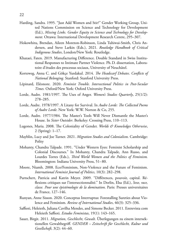- Harding, Sandra. 1995. "Just Add Women and Stir?" Gender Working Group, United Nations Commission on Science and Technology for Development (Ed.), *Missing Links. Gender Equity in Science and Technology for Development*. Ottawa: International Development Research Centre, 295–307.
- Hokowhitu, Brendan, Aileen Moreton-Robinson, Linda Tuhiwai-Smith, Chris Andersen, and Steve Larkin (Eds.), 2021. *Routledge Handbook of Critical Indigenous Studies*, London/New York: Routledge.
- Khazaei, Faten. 2019. Manufacturing Difference. Double Standard in Swiss Institutional Responses to Intimate Partner Violence. Ph.D. dissertation, Laboratoire d'études des processus sociaux, University of Neuchâtel.
- Korteweg, Anna C. and Gökçe Yurdakul. 2014. *The Headscarf Debates*. *Conflicts of National Belonging.* Stanford: Stanford University Press.
- Lépinard, Eléonore. 2020. *Feminist Trouble. Intersectional Politics in Post-Secular Times.* Oxford/New York: Oxford University Press.
- Lorde, Audre. 1981/1997. The Uses of Anger. *Women's Studies Quarterly*, 25(1/2): 278–285.
- Lorde, Audre. 1978/1997. A Litany for Survival. In *Audre Lorde: The Collected Poems of Audre Lorde*. New York: W.W. Norton & Co, 255.
- Lorde, Audre. 1977/1984. The Master's Tools Will Never Dismantle the Master's House. In *Sister Outsider*. Berkeley: Crossing Press, 110–113.
- Lugones, Maria. 2008. The Coloniality of Gender. *Worlds & Knowledges Otherwise*, 2 (Spring): 1–17.
- Mayblin, Lucy and Joe Turner. 2021. *Migration Studies and Colonialism*. Cambridge: Polity
- Mohanty, Chandra Talpade. 1991. "Under Western Eyes: Feminist Scholarship and Colonial Discourses." In Mohanty, Chandra Talpade, Ann Russo, and Lourdes Torres (Eds.), *Third World Women and the Politics of Feminism.* Bloomington: Indiana University Press, 51–80.
- Moore, Niamh. 2008. Eco/Feminism, Non-Violence and the Future of Feminism. *International Feminist Journal of Politics*, 10(3): 282–298.
- Purtschert, Patricia and Katrin Meyer. 2009. "Différences, pouvoir, capital. Réflexions critiques sur l'intersectionnalité." In Dorlin, Elsa (Ed.), *Sexe, race, classe. Pour une épistémologie de la domination*. Paris: Presses universitaires de France, 127–146.
- Runyan, Anne Sisson. 2020. Conceptus Interruptus: Forestalling Sureties about Violence and Feminism. *Review of International Studies*, 46(3): 325–336.
- Saffioti, Heleieth, Juliana Cavilha Mendes, and Simone Becker. 2011. Entrevista com Heleieth Saffioti. *Estudos Feministas*, 19(1): 143–165.
- Sauer, Birgit. 2011. *Migration*, *Geschlecht*, *Gewalt*. Überlegungen zu einem intersektionellen Gewaltbegriff. *GENDER – Zeitschrift für Geschlecht, Kultur und Gesellschaft*, 3(2): 44–60.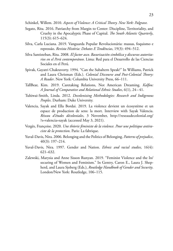Schinkel, Willem. 2010. *Aspects of Violence: A Critical Theory. New York: Palgrave.*

- Segato, Rita. 2016. Patriarchy from Margin to Center: Discipline, Territoriality, and Cruelty in the Apocalyptic Phase of Capital. *The South Atlantic Quarterly*, 115(3): 615–624.
- Silva, Carla Luciana. 2019. Vanguarda Popular Revolucionária: massas, foquismo e repressão. *Revista História: Debates E Tendências*, 19(3): 494–512.
- Silva Santisteban, Rita. 2008. *El factor asco. Basurización simbólica y discursos autoritarios en el Perú contemporáneo*. Lima: Red para el Desarrollo de las Ciencias Sociales en el Perú.
- Spivak, Gayatri Chakravorty. 1994. "Can the Subaltern Speak?" In Williams, Patrick and Laura Chrisman (Eds.). *Colonial Discourse and Post-Colonial Theory: A Reader*. New York: Columbia University Press, 66–111.
- TallBear, Kim. 2019. Caretaking Relations, Not American Dreaming. *Kalfou: A Journal of Comparative and Relational Ethnic Studies*, 6(1), 24– 41.
- Tuhiwai-Smith, Linda. 2012. *Decolonizing Methodologies: Research and Indigenous Peoples*. Durham: Duke University.
- Valencia, Sayak and Ella Bordai. 2019. La violence devient un écosystème et un espace de production de sens: la mort. Interview with Sayak Valencia. *Réseau d'études décoloniales*[, 3 November, http://reseaudecolonial.org/](http://reseaudecolonial.org/?s=valencia+sayak) ?s=valencia+sayak (accessed May 3, 2021).
- Vergès, Françoise. 2020. *Une théorie féministe de la violence. Pour une politique antiraciste de la protection*. Paris: La fabrique.
- Yuval-Davis, Nira. 2006. Belonging and the Politics of Belonging. *Patterns of prejudice*, 40(3): 197–214.
- Yuval-Davis, Nira. 1997. Gender and Nation. Ethnic and racial studies, 16(4): 621–632.
- Zalewski, Marysia and Anne Sisson Runyan. 2019. "Feminist Violence and the In/ securing of Women and Feminism." In Gentry, Caron E., Laura J. Shepherd, and Laura Sjoberg (Eds.), *Routledge Handbook of Gender and Security*. London/New York: Routledge, 106–115.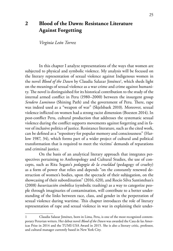# <span id="page-25-0"></span>**2 Blood of the Dawn: Resistance Literature Against Forgetting**

*Virginia León Torrez*

In this chapter I analyze representations of the ways that women are subjected to physical and symbolic violence. My analysis will be focused on the literary representation of sexual violence against Indigenous women in the novel *Blood of the Dawn* by Claudia Salazar Jiménez<sup>1</sup>, which sheds light on the meanings of sexual violence as a war crime and crime against humanity. The novel is distinguished for its historical contribution to the study of the internal armed conflict in Peru (1980–2000) between the insurgent group *Sendero Luminoso* (Shining Path) and the government of Peru. There, rape was indeed used as a "weapon of war" (Skjelsbaek 2010). Moreover, sexual violence inflicted on women had a strong racist dimension (Boesten 2014). In post-conflict Peru, cultural production that addresses the systematic sexual violence during the conflict supports movements against forgetting and in favor of inclusive politics of justice. Resistance literature, such as the cited work, can be defined as a "repository for popular memory and consciousness" (Harlow 1987, 34), which forms part of a wider project of cultural and political transformation that is required to meet the victims' demands of reparations and criminal justice.

On the basis of an analytical literary approach that integrates perspectives pertaining to Anthropology and Cultural Studies, the use of concepts, such as Rita Segato's *pedagogía de la crueldad* (pedagogy of cruelty) as a form of power that relies and depends "on the constantly renewed destruction of women's bodies, upon the spectacle of their subjugation, on the showcasing of their subordination" (2016, 620), and Rocío Silva Santisteban's (2008) *basurización simbólica* (symbolic trashing) as a way to categorize people through imaginaries of contamination, will contribute to a better understanding of the links between race, class, and gender in the perpetration of sexual violence during wartime. This chapter introduces the role of literary representation of rape and sexual violence in war in explaining their under-

Claudia Salazar Jiménez, born in Lima, Peru, is one of the most recognized contemporary Peruvian writers. Her debut novel *Blood of the Dawn* was awarded the Casa de las Americas Prize in 2014 and the TUMI-USA Award in 2015. She is also a literary critic, professor, and cultural manager currently based in New York City.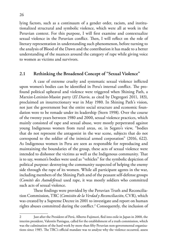lying factors, such as a continuum of a gender order, racism, and institutionalized structural and symbolic violence, which were all at work in the Peruvian context. For this purpose, I will first examine and contextualize sexual violence in the Peruvian conflict. Then, I will reflect on the role of literary representation in understanding such phenomenon, before turning to the analysis of Blood of the Dawn and the contribution it has made to a better understanding of the nuances around the category of rape while giving voice to women as victims and survivors.

### **2.1 Rethinking the Broadened Concept of "Sexual Violence"**

A case of extreme cruelty and systematic sexual violence inflicted upon women's bodies can be identified in Peru's internal conflict. The profound political upheaval and violence were triggered when Shining Path, a Marxist-Leninist-Maoist party (*El Diario*, as cited by Degregori 2011, 183), proclaimed an insurrectionary war in May 1980. In Shining Path's vision, not just the government but the entire social structure and economic foundation were to be remade under its leadership (Stern 1998). Over the course of the twenty years between 1980 and 2000, sexual violence practices, which mainly consisted of rape and sexual abuse, were mostly perpetrated against young Indigenous women from rural areas, or, in Segato's view, "bodies that do not represent the antagonist in the war scene, subjects that do not correspond to the soldier of the inimical armed corporation" (2016, 622). As Indigenous women in Peru are seen as responsible for reproducing and maintaining the boundaries of the group, these acts of sexual violence were intended to dishonor the victims as well as the Indigenous community. That is to say, women's bodies were used as "vehicles" for the symbolic depiction of political purpose: destroying the community suspected of helping the enemy side through the rape of its women. While all participant agents in the war, including members of the Shining Path and of the peasant self-defense groups (*Comités des Autodefensa*) used rape, it was mostly soldiers who committed such acts of sexual violence.

These findings were provided by the Peruvian Truth and Reconciliation Commission, TRC (*Comisión de la Verdad y Reconciliación*, CVR), which was created by a Supreme Decree in 2001 to investigate and report on human rights abuses committed during the conflict.2 Consequently, the inclusion of

<sup>2</sup> Just after the President of Perú, Alberto Fujimori, fled into exile in Japan in 2000, the interim president, Valentín Paniagua, called for the establishment of a truth commission, which was the culmination of the hard work by more than fifty Peruvian non-governmental organizations since 1985. The TRC's official mandate was to analyze why the violence occurred, assess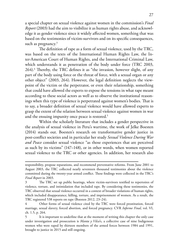a special chapter on sexual violence against women in the commission's *Final Report* (2003) had the aim to visibilize it as human rights abuse, and acknowledge it as gender violence since it widely affected women, something that was based on the testimonies of victim-survivors and on its specific consequences, such as pregnancy. $3$ 

The definition of rape as a form of sexual violence, used by the TRC, was based on the texts of the International Human Rights Law, the Inter-American Court of Human Rights, and the International Criminal Law, which understands it as penetration of the body under force (TRC 2003, 264).4 Thereby, the TRC defines it as "the invasion, however slight, of any part of the body using force or the threat of force, with a sexual organ or any other object" (2003, 264). However, the legal definition neglects the viewpoint of the victim or the perpetrator, or even their relationship, something that could have allowed the experts to expose the tensions in what rape meant according to these social actors as well as to observe the institutional reasonings when this type of violence is perpetrated against women's bodies. That is to say, a broader definition of sexual violence would have allowed experts to grasp the extent of the relation between sexual violence against women in war and the ensuing impunity once peace is restored.<sup>5</sup>

Within the scholarly literature that includes a gender perspective in the analysis of sexual violence in Peru's wartime, the work of Jelke Boesten (2014) stands out. Boesten's research on transformative gender justice in post-conflict societies and in particular her study *Sexual Violence During War and Peace* consider sexual violence "as those experiences that are perceived as such by its victims" (147–148), or in other words, when women reported sexual violence to the TRC or other agencies. In addition, her research also

responsibility, propose reparations, and recommend preventative reforms. From June 2001 to August 2003, the TRC collected nearly seventeen thousand testimonies about the violence committed during the twenty-year armed conflict. These findings were collected in the TRC's *Final Report* in 2003.

<sup>3</sup> The TRC set up public hearings, where victim-survivors testified to repertoires of violence, torture, and intimidation that included rape. By considering these testimonies, the TRC observed that sexual violence occurred in a context of broader violations of human rights, which included disappearance, killing, torture, and imprisonment of women. As a result, the TRC registered 538 reports on rape (Boesten 2012, 23–24).

<sup>4</sup> Other forms of sexual violence cited by the TRC were forced prostitution, forced marriage, sexual slavery, forced abortion, and forced pregnancy. CVR *Informe Final,* vol. VI, ch. 1.5, p. 264.

<sup>5</sup> It is important to underline that at the moment of writing this chapter the only case under investigation and prosecution is *Manta y Vilca's*, a collective case of nine Indigenous women who were raped by thirteen members of the armed forces between 1984 and 1991, brought to justice in 2015 and still ongoing.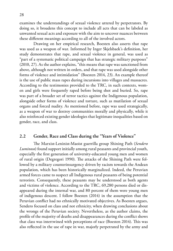examines the understandings of sexual violence uttered by perpetrators. By doing so, it broadens this concept to include all acts that can be labeled as unwanted sexual acts and exposure with the aim to uncover nuances between these different meanings according to all of the involved actors.

Drawing on her empirical research, Boesten also asserts that rape was used as a weapon of war. Informed by Inger Skjelsbaek's definition, her study demonstrates that rape, and sexual violence in general, was used as "part of a systematic political campaign that has strategic military purposes" (2010, 27). As the author explains, "this means that rape was sanctioned from above, although not written in orders, and that rape was used alongside other forms of violence and intimidation" (Boesten 2014, 23). An example thereof is the use of public mass rapes during incursions into villages and massacres. According to the testimonies provided to the TRC, in such contexts, women and girls were frequently raped before being shot and buried. So, rape was part of a broader set of terror tactics against the Indigenous population, alongside other forms of violence and torture, such as mutilation of sexual organs and forced nudity. As mentioned before, rape was used strategically, as a weapon of war to destroy communities morally and physically, while it also reinforced existing gender ideologies that legitimate inequalities based on gender, race, and class.

## **2.2 Gender, Race and Class during the "Years of Violence"**

The Marxist-Leninist-Maoist guerrilla group Shining Path (*Sendero Luminoso*) found support initially among rural peasants and provincial youth, especially the first generation of university-educated young men and women of rural origin (Degregori 1990). The attacks of the Shining Path were followed by a military counterinsurgency driven by racism towards the Andean population, which has been historically marginalized. Indeed, the Peruvian armed forces came to suspect all Indigenous rural peasants of being potential terrorists. Consequently, these peasants may be understood as both agents and victims of violence. According to the TRC, 69,280 persons died or disappeared during the internal war, and 80 percent of them were young men of indigenous descent. I follow Boesten (2014) in the assumption that the Peruvian conflict had no ethnically motivated objectives. As Boesten argues, Sendero focused on class and not ethnicity, when drawing conclusions about the wrongs of the Peruvian society. Nevertheless, as the author claims, the profile of the majority of deaths and disappearances during the conflict shows that class was intertwined with perceptions of race (Boesten 2014). This was also reflected in the use of rape in war, majorly perpetrated by the army and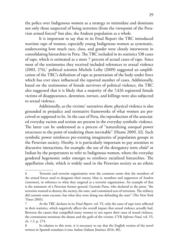the police over Indigenous women as a strategy to intimidate and dominate not only those suspected of being terrorists (from the viewpoint of the Peruvian armed forces)6 but also, the Andean population as a whole.

It is important to say that in its Final Report the TRC introduced wartime rape of women, especially young Indigenous women as systematic, underscoring how much race, class, and gender were closely interwoven in consolidating hierarchies in Peru. The TRC included in its statistics 538 cases of rape, which is estimated as a mere 7 percent of actual cases of rape. Since most of the testimonies they received included references to sexual violence (2003, 274),<sup>7</sup> political scientist Michele Leiby (2009) suggested an amplification of the TRC's definition of rape as penetration of the body under force which has ever since influenced the reported number of cases. Additionally, based on the testimonies of female survivors of political violence, the TRC also suggested that it is likely that a majority of the 7,426 registered female victims of disappearance, detention, torture, and killings were also subjected to sexual violence.

Additionally, as the victims' narratives show, physical violence is also grounded in prejudice and normative frameworks of what women are perceived or supposed to be. In the case of Peru, the reproduction of the associated everyday racism and sexism are present in the everyday symbolic violence. The latter can be understood as a process of "naturalizing unequal power structures to the point of rendering them inevitable" (Hume 2009, 32). Such symbolic power reinforces pre-existing imaginaries of population groups in the Peruvian society. Hereby, it is particularly important to pay attention to discursive interactions, for example, the use of the derogatory term *chola*<sup>8</sup> or Indian by the perpetrators to refer to Indigenous women, where the everyday gendered hegemonic order emerges to reinforce racialized hierarchies. The appellation *chola*, which is widely used in the Peruvian society as an ethnic

<sup>6</sup> Terrorist and terrorist organization were the common terms that the members of the armed forces used to designate their enemy (that is, members and supporters of *Sendero Luminoso*), in reference to what they targeted as a terrorist organization. An example of that is the statement of a Peruvian former general, Germán Parra, who declared to the press: "the terrorists wanted to destroy the society, the state, and committed acts of terrorism. The military did commit some excesses, but what they were doing was defending the state" (The New York Times 2003).

<sup>7</sup> As the TRC declares in its *Final Report,* vol. VI, only the cases of rape were reflected in their statistics, which negatively affects the overall impact that sexual violence actually had. Between the causes that compelled many women to not report their cases of sexual violence, the commission mentions the shame and the guilt of the victims. CVR *Informe Final,* vol. VI, ch. 1.5, p. 274.

In relation to this term, it is necessary to say that the English version of the novel written in Spanish translates it into *Indian* (Salazar Jiménez 2016, 80).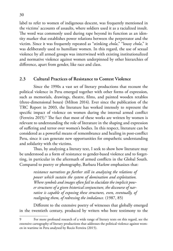label to refer to women of indigenous descent, was frequently mentioned in the victims' accounts of assaults, where soldiers used it as a racialized insult. The word was commonly used during rape beyond its function as an identity marker that establishes power relations between the perpetrator and the victim. Since it was frequently repeated as "stinking *chola*," "lousy *chola*," it was deliberately used to humiliate women. In this regard, the use of sexual violence by all armed groups was intertwined with existing institutionalized and normative violence against women underpinned by other hierarchies of difference, apart from gender, like race and class.

#### **2.3 Cultural Practices of Resistance to Contest Violence**

Since the 1990s a vast set of literary productions that recount the political violence in Peru emerged together with other forms of expression, such as memorials, drawings, theatre, films, and painted wooden retablos (three-dimensional boxes) (Milton 2014). Ever since the publication of the TRC Report in 2003, the literature has worked intensely to represent the specific impact of violence on women during the internal armed conflict (Ferreira 2015).<sup>9</sup> The fact that most of these works are written by women is relevant to understanding the role of literature in the shaping and expression of suffering and terror over women's bodies. In this respect, literature can be considered as a powerful means of remembrance and healing in post-conflict Peru, since it can generate new opportunities for empathetic understanding and solidarity with the victims.

Thus, by analyzing a literary text, I seek to show how literature may be understood as a form of resistance to gender-based violence and to forgetting, in particular in the aftermath of armed conflicts in the Global South. Compared to poetry or photography, Barbara Harlow emphasizes that:

> *resistance narratives go further still in analyzing the relations of power which sustain the system of domination and exploitation. Where symbols and images often fail to elucidate the implicit power structures of a given historical conjuncture, the discourse of narrative is capable of exposing these structures, even, eventually, of realigning them, of redressing the imbalance.* (1987, 85)

Different to the extensive poetry of witnesses that globally emerged in the twentieth century, produced by writers who bore testimony to the

For more profound research of a wide range of literary texts on this regard, see the extensive cartography of literary productions that addresses the political violence against women in wartime in Peru analyzed by Rocío Ferreira (2015).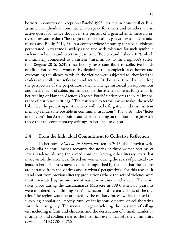horrors in contexts of exception (Forché 1993), writers in post-conflict Peru assume an individual commitment to speak for others and to others in an active quest for justice though in the pursuit of a general aim, these narratives of resistance don't "lose sight of concrete aims, grievances and demands" (Casas and Bollig 2011, 3). In a context where impunity for sexual violence perpetrated in wartime is widely associated with tolerance for such symbolic violence in homes and streets in peacetime (Boesten and Fisher 2012), which is intimately connected to a current "insensitivity to the neighbor's suffering" (Segato 2016, 623), these literary texts contribute to collective bonds of affiliation between women. By depicting the complexities of horror and overcoming the silence to which the victims were subjected to, they lead the readers to a collective reflection and action. At the same time, by including the perspective of the perpetrators, they challenge historical presuppositions and mechanisms of subjection, and exhort the listeners to resist forgetting. In her reading of Hannah Arendt, Carolyn Forché underscores the vital importance of resistance writings: "The resistance to terror is what makes the world habitable: the protest against violence will not be forgotten and this insistent memory renders life possible in communal situations" (1993, 46). The "holes of oblivion" that Arendt points out when reflecting on totalitarian regimes are those that the contemporary writings in Peru call to defeat.

#### **2.4 From the Individual Commitment to Collective Reflection**

In her novel *Blood of the Dawn*, written in 2013, the Peruvian writer Claudia Salazar Jiménez recounts the stories of three women victims of sexual violence during the armed conflict. Among other literary texts that made visible the violence inflicted on women during the years of political violence in Peru, Salazar's novel can be distinguished by the fact that the actions are narrated from the victims and survivors' perspectives. For this reason, it stands out from previous literary productions where the acts of violence were mostly narrated by an omniscient narrator or another character. The story takes place during the Lucanamarca Massacre in 1983, when 69 peasants were murdered by a Shining Path's incursion in different villages of the district. The region was later attacked by the military forces, which accused the surviving population, mostly rural of indigenous descent, of collaborating with the insurgency. The mental images disclosing the massacre of villagers, including infants and children, and the destruction of a small hamlet by insurgents and soldiers refer to the historical event that left the community devastated (TRC 2003, 76):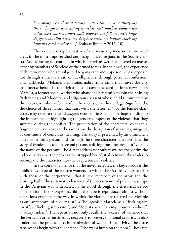*how many were there it hardly matters twenty came thirty say those who got away counting is useless crack machete blade a divided chest crack no more milk another one falls machete knife dagger stone sling crack my daughter crack my brother crack my husband crack mother […].* (Salazar Jiménez 2016, 10)

This event was representative of the recurring incursions into rural areas in the most impoverished and marginalized regions in the South-Central Andes during the conflict, in which Peruvians were slaughtered en masse, either by members of Sendero or the armed forces. In the novel, the experience of three women, who are subjected to gang rape and imprisonment is exposed not through a linear narrative, but elliptically, through personal confessions and flashbacks: Melanie, a photojournalist from Lima that leaves the city to immerse herself in the highlands and cover the conflict for a newspaper; Marcela, a former social worker who abandons her family to join the Shining Path forces; and Modesta, an Indigenous peasant whose child is murdered by the Peruvian military forces after the incursion in her village. Significantly, the choice of three names that start with the letter "m" for the female characters may refer to the word *mujeres* (women) in Spanish, perhaps alluding to the importance of highlighting the gendered aspect of the violence that they suffered during the conflict. The presentation of the characters' voices in a fragmented way evokes at the same time the disruption of any unity, integrity, or continuity of conscious meaning. The story is presented by an omniscient narrator in third person and through the three character-narrators. But the story of Modesta is told in second person, shifting from the pronoun "you" to the name of the peasant. The direct address not only restitutes the victim the individuality that the perpetrators stripped her of, it also invites the reader to accompany the character into their repertoire of violence.

In the spiral of violence that the novel recreates, the key episode is the public mass rape of these three women, in which the victims' voices overlap with those of the perpetrators, that is, the members of the army and the Shining Path. The systematic character of the occurrence of public mass rape in the Peruvian war is depicted in the novel through the rhetorical device of repetition. The passage describing the rape is reproduced almost without alterations except for the way in which the victims are referred to: Melanie as an "anticommunist journalist", a "bourgeois"; Marcela as a "fucking terrorist", a "fucking subversive", and Modesta as a "fucking mountain whore", a "lousy Indian". The repetition not only recalls the "excess" of violence that the Peruvian army justified as necessary to preserve national security. It also underlines the process of dehumanization of women in captivity. The three rape scenes begin with the sentence: "She was a lump on the floor." These ref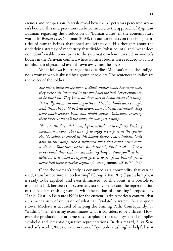erences and comparison to trash reveal how the perpetrators perceived women's bodies. This interpretation can be connected to the approach of Zygmunt Bauman regarding the production of "human waste" in the contemporary world. In *Wasted Lives* (Bauman 2003), the author reflects on the rising quantities of human beings abandoned and left to die. His thoughts about the underlying strategy of modernity that divides "what counts" and "what does not count" enable connections to the systematic violence exerted on women's bodies in the Peruvian conflict, where women's bodies were reduced to a mass of inhuman objects and even thrown away into the abyss.

What follows is a passage that describes Modesta's rape, the Indigenous woman who is abused by a group of soldiers. The sentences in italics are the voices of the soldiers:

> *She was a lump on the floor. It didn't matter what her name was, they were only interested in the two holes she had. Sheer emptiness to be filled up. They knew all there was to know about this lump. But really, she meant nothing to them. Her four limbs were enough: with them she could be held down, immobilized, restrained. They wore black leather boots and khaki clothes, balaclavas covering their faces. It was all the same, she was just a lump.*

> *Blows to the face, abdomen; legs stretched out to infinity. Fucking mountain whore. They line up to enjoy their part in the spectacle. No orifice is spared in this bloody dance. Lousy Indian. Only pain in this lump, like a tightened knot that could never come undone… Your turn, soldier, finish the job, finish it off… Give it to her hard, these Indians can take anything… Now you'll see how delicious it is when a sergeant gives it to you from behind, you'll never feed those terrorists again.* (Salazar Jiménez 2016, 74–75)

Once the woman's body is consumed as a commodity that can be used, transformed into a "body-thing" (Giorgi 2014, 201) ("just a lump"), it is ready to be expelled, and even eliminated. To this point, it is possible to establish a link between this systematic act of violence and the representation of the soldiers trashing women with the notion of "trashing" proposed by Daniel Castillo Durante (1999) for the current Latin American context, that is, a mechanism of exclusion of what can "violate" a system. As the quote shows, Modesta is accused of helping the Shining Path. Consequently, by "trashing" her, the army exterminates what it considers to be a threat. However, the production of otherness as a surplus of the social system also implies symbolic and semantic figurative representations. In this regard, Silva Santisteban's work (2008) on the notion of "symbolic trashing" is helpful as it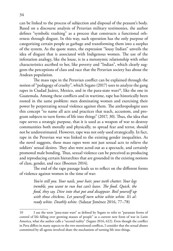can be linked to the process of subjection and disposal of the peasant's body. Based on a discourse analysis of Peruvian military testimonies, the author defines "symbolic trashing" as a process that constructs a functional otherness through disgust. In this way, such operation has the only purpose of categorizing certain people as garbage and transforming them into a surplus of the system. As the quote states, the expression "lousy Indian" unveils the idea of disgust that is associated with Indigenous women. The use of the infestation analogy, like the louse, is in a metonymic relationship with other characteristics ascribed to her, like poverty and "Indian", which clearly suggests the perceptions of class and race that the Peruvian society has about the Andean population.

The mass rape in the Peruvian conflict can be explained through the notion of "pedagogy of cruelty", which Segato (2017) uses to analyze the gang rapes in Ciudad Juárez, Mexico, and in the para-state wars<sup>10</sup>, like the one in Guatemala. Among these conflicts and in wartime, rape has historically been rooted in the same problem: men dominating women and exercising their power by perpetrating sexual violence against them. The anthropologist uses this concept "to name all acts and practices that teach, accustom, and program subjects to turn forms of life into things" (2017, 30). Thus, the idea that rape serves a strategic purpose, that it is used as a weapon of war to destroy communities both morally and physically, to spread fear and terror, should not be underestimated. However, rape was not only used strategically. In fact, rape in the Peruvian war was linked to the existing gender inequalities. As the novel suggests, these mass rapes were not just sexual acts to relieve the soldiers' sexual desires. They also were acted out as a spectacle, and certainly promoted male bonding. Thus, sexual violence can be perceived as producing and reproducing certain hierarchies that are grounded in the existing notions of class, gender, and race (Boesten 2014).

The end of the rape passage leads us to reflect on the different forms of violence against women in the time of war:

> *You're still you. Your nails, your hair, your teeth chatter. Your legs tremble, you want to run but can't leave. The food. Quick, the food, they say. Dive into that pot and disappear. Boil yourself up with those chickens. Let yourself turn white white white. It's already white. Deathly white.* (Salazar Jiménez 2016, 77–78)

<sup>10</sup> I use the term "para-state wars" as defined by Segato to refer to "parastate forms of control of life falling over growing masses of people" as a current new form of war in Latin America, what the author calls a "second reality" (Segato 2016, 622). Even though the conflict in Peru differs in many aspects to the two mentioned conflicts, I consider that the sexual abuses committed by all agents involved share the mechanism of turning life into things.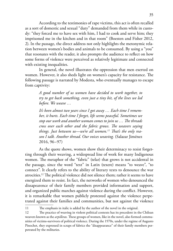According to the testimonies of rape victims, this act is often recalled as a sort of domestic and sexual "duty" demanded from them while in custody: "they forced me to have sex with him, I had to cook and serve him; they imprisoned me in the kitchen and in that room" (Boesten and Fisher 2012, 2). In the passage, the direct address not only highlights the metonymic relation between women's bodies and animals to be consumed. By using a "you" that resonates with the reader, it also prompts the audience to reflect on how some forms of violence were perceived as relatively legitimate and connected with existing inequalities.

In general, the novel illustrates the oppression that men exerted on women. However, it also sheds light on women's capacity for resistance. The following passage is narrated by Modesta, who eventually manages to escape from captivity:

> *A good number of us women have decided to work together, to try to get back something, even just a tiny bit, of the lives we led before. We weave …*

> *It's been almost two years since I got away … Each time I remember, it hurts. Each time I forget, life seems peaceful. Sometimes we stop our work and another woman comes to join us … The threads cross over each other and the fabric grows. The weavers saying things. Just between us—we're all women.11 That's the only reason I talk. Another thread. Our voices weaving.* (Salazar Jiménez 2016, 96–97)

As the quote shows, women show their determinacy to resist forgetting through their weaving, a widespread line of work for many Indigenous women. The metaphor of the "fabric" (telar) that grows is not accidental in the passage, since the word "text" in Latin (texere) means "to weave", "to connect". It clearly refers to the ability of literary texts to denounce the war atrocities.12 The political violence did not silence them; rather it seems to have energized them to resist. In fact, the networks of women who denounced the dissapearence of their family members provided information and support, and organized public marches against violence during the conflict. However, it is remarkable that women publicly protested against the violence perpetrated against their families and communities, but not against the violence

<sup>11</sup> The emphasis in italic is added by the author of the novel in the original.

<sup>12</sup> The practice of weaving in violent political contexts has its precedent in the Chilean weavers known as the *arpilleras.* These groups of women, like in the novel, also formed communities of victims-survivors of political violence. During the 1970s, under the regime of Augusto Pinochet, they expressed in scraps of fabrics the "disappearance" of their family members perpetrated by the militaries.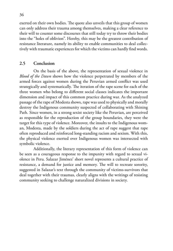exerted on their own bodies. The quote also unveils that this group of women can only address their trauma among themselves, making a clear reference to their will to counter some discourses that still today try to throw their bodies into the "holes of oblivion". Hereby, this may be the greatest contribution of resistance literature, namely its ability to enable communities to deal collectively with traumatic experiences for which the victims can hardly find words.

#### **2.5 Conclusion**

On the basis of the above, the representation of sexual violence in *Blood of the Dawn* shows how the violence perpetrated by members of the armed forces against women during the Peruvian armed conflict was used strategically and systematically. The iteration of the rape scene for each of the three women who belong to different social classes indicates the important dimension and impact of this common practice during war. As the analyzed passage of the rape of Modesta shows, rape was used to physically and morally destroy the Indigenous community suspected of collaborating with Shining Path. Since women, in a strong sexist society like the Peruvian, are perceived as responsible for the reproduction of the group boundaries, they were the target for this type of violence. Moreover, the insults to the Indigenous woman, Modesta, made by the soldiers during the act of rape suggest that rape often reproduced and reinforced long-standing racism and sexism. With this, the physical violence exerted over Indigenous women was intersected with symbolic violence.

Additionally, the literary representation of this form of violence can be seen as a courageous response to the impunity with regard to sexual violence in Peru. Salazar Jiménez' short novel represents a cultural practice of resistance, a demand for justice and memory. The will to recreate sorority, suggested in Salazar's text through the community of victims-survivors that deal together with their traumas, clearly aligns with the writings of resisting community seeking to challenge naturalized divisions in society.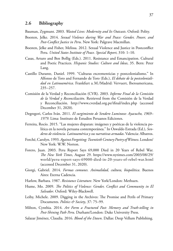Bauman, Zygmunt. 2003. *Wasted Lives: Modernity and Its Outcasts*. Oxford: Polity.

- Boesten, Jelke. 2014. *Sexual Violence during War and Peace: Gender, Power, and Post-Conflict Justice in Peru*. New York: Palgrave Macmillan.
- Boesten, Jelke and Fisher, Melissa. 2012. Sexual Violence and Justice in Postconflict Peru. *United States Institute of Peace. Special Report*, 310: 1–10.
- Casas, Arturo and Ben Bollig (Eds.). 2011. Resistance and Emancipation. Cultural and Poetic Practices. *Hispanic Studies: Culture and Ideas*, 35. Bern: Peter Lang.
- Castillo Durante, Daniel. 1999. "Culturas excrementicias y postcolonialismo." In Alfonso de Toro and Fernando de Toro (Eds.), *El debate de la postcolonialidad en Latinoamérica*. Frankfurt a.M./Madrid: Vervuert, Iberoamericana, 235–257.
- Comisión de la Verdad y Reconciliación (CVR). 2003. *Informe Final de la Comisión de la Verdad y Reconciliación*. Retrieved from the Comisión de la Verdad y Reconciliación. <http://www.cverdad.org.pe/ifinal/index.php> (accessed December 31, 2020).
- Degregori, Carlos Iván. 2011. *El surgimiento de Sendero Luminoso: Ayacucho, 1969– 1979*. Lima: Instituto de Estudios Peruanos Ediciones.
- Ferreira, Rocío. 2015. "Las mujeres disparan: imágenes y poéticas de la violencia política en la novela peruana contemporánea." In Oswaldo Estrada (Ed.), *Senderos de violencia. Latinoamérica y sus narrativas armadas*. Valencia: Albatros.
- Forché, Carolyn. 1993. *Against Forgetting: Twentieth Century Poetry of Witness*. London/ New York: W.W. Norton.
- Forero, Juan. 2003. Peru Report Says 69,000 Died in 20 Years of Rebel War. *The New York Times*, August 29. [https://www.nytimes.com/2003/08/29/](https://www.theglobeandmail.com/opinion/article-as-an-indigenous-professor-egerton-ryersons-name-haunts-me/) [world/peru-report-says-69000-died-in-20-years-of-rebel-war.html](https://www.theglobeandmail.com/opinion/article-as-an-indigenous-professor-egerton-ryersons-name-haunts-me/)  (accessed December 31, 2020).
- Giorgi, Gabriel. 2014. *Formas comunes. Animalidad, cultura, biopolítica*. Buenos Aires: Eterna Cadencia.
- Harlow, Barbara. 1987. *Resistance Literature*. New York/London: Methuen.
- Hume, Mo. 2009. *The Politics of Violence: Gender, Conflict and Community in El Salvador*. Oxford: Wiley-Blackwell.
- Leiby, Michele. 2009. Digging in the Archives: The Promise and Perils of Primary Documents. *Politics & Society*, 37: 75–99.
- Milton, Cynthia. 2014. *Art Form a Fractured Past: Memory and Truth-telling in Post-Shining Path Peru*. Durham/London: Duke University Press.
- Salazar Jiménez, Claudia. 2016. *Blood of the Dawn*. Dallas: Deep Vellum Publishing.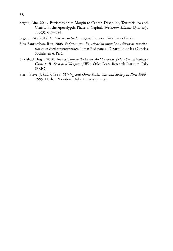- Segato, Rita. 2016. Patriarchy from Margin to Center: Discipline, Territoriality, and Cruelty in the Apocalyptic Phase of Capital. *The South Atlantic Quarterly*, 115(3): 615–624.
- Segato, Rita. 2017. *La Guerra contra las mujeres*. Buenos Aires: Tinta Limón.
- Silva Santisteban, Rita. 2008. *El factor asco. Basurización simbólica y discursos autoritarios en el Perú contemporáneo*. Lima: Red para el Desarrollo de las Ciencias Sociales en el Perú.
- Skjelsbaek, Inger. 2010. *The Elephant in the Room: An Overview of How Sexual Violence Came to Be Seen as a Weapon of War*. Oslo: Peace Research Institute Oslo (PRIO).
- Stern, Steve. J. (Ed.). 1998. *Shining and Other Paths: War and Society in Peru 1980– 1995*. Durham/London: Duke University Press.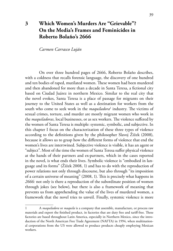*Carmen Carrasco Luján*

On over three hundred pages of 2666, Roberto Bolaño describes, with a coldness that recalls forensic language, the discovery of one hundred and ten bodies of raped, mutilated women. These women had been murdered and then abandoned for more than a decade in Santa Teresa, a fictional city based on Ciudad Juárez in northern Mexico. Similar to the real city that the novel evokes, Santa Teresa is a place of passage for migrants on their journey to the United States as well as a destination for workers from the south who come to seek work in the *maquiladora*<sup>1</sup> industry. The victims of sexual crimes, torture, and murder are mostly migrant women who work in the *maquiladoras,* local businesses, or as sex workers. The violence suffered by the women of Santa Teresa is multiple: systemic, symbolic, and subjective. In this chapter I focus on the characterization of these three types of violence according to the definitions given by the philosopher Slavoj Žižek (2008), because it allows us to grasp how the different forms of violence that end the women's lives are intertwined. Subjective violence is visible, it has an agent or "subject". Most of the time the women of Santa Teresa suffer physical violence at the hands of their partners and ex-partners, which in the cases reported in the novel, is what ends their lives. Symbolic violence is "embodied in language and its forms" (Žižek 2008, 1) and has to do with the reproduction of power relations not only through discourse, but also through "its imposition of a certain universe of meaning" (2008, 1). This is precisely what happens in *2666:* not only is there a reproduction of the subordinate position of women through jokes (see below), but there is also a framework of meaning that prevents us from apprehending the value of the lives of murdered women, a framework that the novel tries to unveil. Finally, systemic violence is more

<sup>1</sup> A *maquiladora* or *maquila* is a company that assemble, manufacture, or process raw materials and export the finished product, in factories that are duty free and tariff-free. These factories are based throughout Latin America, especially in Northern Mexico, since the introduction of the North American Free Trade Agreement (NAFTA) in 1994, when multinational corporations from the US were allowed to produce products cheaply employing Mexican workers.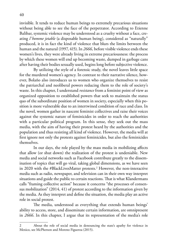invisible. It tends to reduce human beings to extremely precarious situations without being able to see the face of the perpetrator. According to Etienne Balibar, systemic violence may be understood as a cruelty without a face, creating *l'homme jetable* (a disposable human being), considered as "naturally" produced, it is in fact the kind of violence that blurs the limits between the human and the natural (1997, 415). In *2666,* before visible violence ends these women's lives, they were already living in extreme precariousness: the process by which these women will end up becoming waste, dumped in garbage cans after having their bodies sexually used, begins long before subjective violence.

By utilizing the style of a forensic study, the novel leaves little space for the murdered women's agency. In contrast to their narrative silence, however, Bolaño also introduces us to women who organize themselves to resist the patriarchal and neoliberal powers reducing them to the role of society's waste. In this chapter, I understand *resistance* from a feminist point of view as organized opposition to established powers that seek to maintain the status quo of the subordinate position of women in society, especially when this position is more vulnerable due to an intertwined condition of race and class. In the novel, women gather in nascent feminist collectives and raise their voices against the systemic nature of feminicides in order to reach the authorities with a particular political program. In this sense, they seek out the mass media, with the aim of having their protest heard by the authorities and the population and thus resisting all kind of violence. However, the media will at first ignore not only the protests against feminicides, but also the feminicides themselves.

In our days, the role played by the mass media in mobilizing affects that allow (or shut down) the realization of the protest is undeniable. New media and social networks such as Facebook contribute greatly to the dissemination of topics that will go viral, taking global dimensions, as we have seen in 2020 with the #BlackLivesMatter protests.2 However, the non-interactive media such as radio, newspaper, and television can in their own way interpret situations and guide the public to certain reactions. That is what Klandermans calls "framing collective action" because it concerns "the processes of consensus mobilization" (2014, 41) of protest according to the information given by the media. As they interpret and define the situation, the media play an active role in social protest.

The media, understood as everything that extends human beings' ability to access, store, and disseminate certain information, are omnipresent in *2666*. In this chapter, I argue that its representation of the media's role

<sup>2</sup> About the role of social media in denouncing the state's apathy for violence in Mexico, see McPherson and Moreno Figueroa (2015).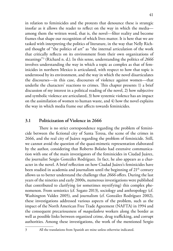in relation to feminicides and the protests that denounce these is strategic insofar as it allows the reader to reflect on the way in which the media among them the written word, that is, the novel—filter reality and become frames that shape our recognition of which lives matter. It is here that we are tasked with interpreting the politics of literature, in the way that Nelly Richard thought of "the politics of art" as "the internal articulation of the work that critically reflects on its environment from their own organizations of meanings"3 (Richard n. d.). In this sense, understanding the politics of *2666* involves understanding the way in which a topic as complex as that of feminicides in northern Mexico is articulated, with respect to how that topic is understood by its environment, and the way in which the novel disarticulates the discourses—in this case, discourses of violence against women—that underlie the characters' reactions to crimes. This chapter presents 1) a brief discussion of my interest in a political reading of the novel, 2) how subjective and symbolic violence are articulated, 3) how systemic violence has an impact on the assimilation of women to human waste, and 4) how the novel explains the way in which media frame our affects towards feminicides.

## **3.1 Politicization of Violence in 2666**

There is no strict correspondence regarding the problem of feminicide between the fictional city of Santa Teresa, the scene of the crimes in 2666, and the real city of Juárez regarding the problem of feminicide. Still, we cannot avoid the question of the quasi-mimetic representation elaborated by the author, considering that Roberto Bolaño had extensive communication with one of the main investigators of the feminicides in Ciudad Juárez, the journalist Sergio González Rodríguez. In fact, he also appears as a character in the novel. A brief reflection on how Ciudad Juárez's feminicides have been studied in academia and journalism until the beginning of  $21<sup>th</sup>$  century allows us to better understand the challenge that *2666* offers. During the last years of the nineties and early 2000s, numerous investigations were published that contributed to clarifying (or sometimes mystifying) this complex phenomenon. From semiotics (cf. Segato 2013), sociology and anthropology (cf. Washington Valdez 2005), and journalism (cf. González Rodríguez 2002), these investigations addressed various aspects of the problem, such as the impact of the North American Free Trade Agreement (NAFTA) in 1994 and the consequent precariousness of *maquiladora* workers along the border as well as possible links between organized crime, drug trafficking, and corrupt authorities. Among these investigations, the work of the mentioned Sergio

<sup>3</sup> All the translations from Spanish are mine unless otherwise indicated.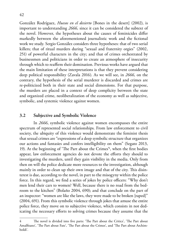González Rodríguez, *Huesos en el desierto* [Bones in the desert] (2002), is important to understanding *2666,* since it can be considered the subtext of the novel. However, the hypotheses about the causes of feminicides differ markedly between the aforementioned journalistic work and the fictional work we study. Sergio González considers three hypotheses: that of two serial killers; that of ritual murders during "sexual and fraternity orgies" (2002, 251) of powerful characters in the city; and that of crimes orchestrated by businessmen and politicians in order to create an atmosphere of insecurity through which to reaffirm their domination. Previous works have argued that the main limitation of these interpretations is that they prevent considering deep political responsibility (Zavala 2016). As we will see, in *2666,* on the contrary, the hypothesis of the serial murderer is discarded and crimes are re-politicized both in their state and social dimensions. For that purpose, the murders are placed in a context of deep complicity between the state and organized crime, neoliberalization of the economy as well as subjective, symbolic, and systemic violence against women.

#### **3.2 Subjective and Symbolic Violence**

In *2666*, symbolic violence against women encompasses the entire spectrum of represented social relationships. From law enforcement to civil society, the ubiquity of this violence would demonstrate the feminist thesis that sexual crimes are "expressions of a deep symbolic structure that organizes our actions and fantasies and confers intelligibility on them" (Segato 2013, 19). At the beginning of 'The Part about the Crimes'4 , when the first bodies appear, law enforcement agencies do not devote the efforts they should to investigating the murders, until they gain visibility in the media. Only from then on will the police dedicate more resources to the investigation, although mainly in order to clean up their own image and that of the city. This disinterest is due, according to the novel, in part to the misogyny within the police force. In this regard, we find a series of jokes by police officers: "Why don't men lend their cars to women? Well, because there is no road from the bedroom to the kitchen" (Bolaño 2004, 690); and that conclude on the part of an inspector: "women are like the laws, they were made to be broken [raped]" (2004, 691). From this symbolic violence through jokes that amuse the entire police force, they move on to subjective violence, which consists in not dedicating the necessary efforts to solving crimes because they assume that the

The novel is divided into five parts: 'The Part about the Critics', 'The Part about Amalfitano', 'The Part about Fate', 'The Part about the Crimes', and 'The Part about Archimboldi'.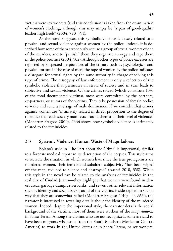victims were sex workers (and this conclusion is taken from the examination of women's clothing, although this may simply be "a pair of good-quality leather high heels" (2004, 790–791).

As the novel suggests, this symbolic violence is closely related to a physical and sexual violence against women by the police. Indeed, it is described how some of them erroneously accuse a group of sexual workers of one of the murders, and to "punish" them they organize an orgy and rape them in the police precinct (2004, 502). Although other types of police excesses are reported by suspected perpetrators of the crimes, such as psychological and physical torture in the case of men; the rape of women by the police indicates a disregard for sexual rights by the same authority in charge of solving this type of crime. The misogyny of law enforcement is only a reflection of the symbolic violence that permeates all strata of society and in turn leads to subjective and sexual violence. Of the crimes solved (which constitute 10% of the total documented victims), most were committed by the partners, ex-partners, or suitors of the victims. They take possession of female bodies to write and send a message of male dominance. If we consider that crimes against women are "intimately related in direct proportion to the degree of tolerance that each society manifests around them and their level of violence" (Monárrez Fragoso 2000), *2666* shows how symbolic violence is intimately related to the feminicides.

## **3.3 Systemic Violence: Human Waste of Maquiladoras**

Bolaño's style in 'The Part about the Crime' is impersonal, similar to a forensic medical report in its description of the corpses. This style aims to recreate the situation in which women live: since the true protagonists are murdered women, their female and subaltern subjectivity "has been wiped off the map, reduced to silence and destroyed" (Asensi 2010, 358). While this style in the novel can be related to the analyses of feminicides in the real city of Ciudad Juárez—they highlight that women were found in desert areas, garbage dumps, riverbanks, and sewers, other relevant information such as identity and social background of the victims is sidestepped in such a way that they are somewhat reified (Monárrez Fragoso 2010)—in *2666*, the narrator is interested in revealing details about the identity of the murdered women. Indeed, despite the impersonal style, the narrator details the social background of the victims: most of them were workers of the *maquiladoras* in Santa Teresa. Among the victims who are not recognized, some are said to have been migrants who came from the South (southern Mexico or Central America) to work in the United States or in Santa Teresa, or sex workers.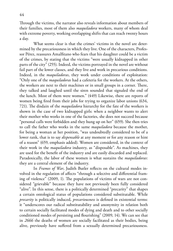Through the victims, the narrator also reveals information about members of their families, most of them also *maquiladora* workers, many of whom deal with extreme poverty, working overlapping shifts that can reach twenty hours a day.

What seems clear is that the crimes' victims in the novel are determined by the precariousness in which they live. One of the characters, Professor Pérez, reassures Amalfitano who fears that his daughter could be a victim of the crimes, by stating that the victims "were usually kidnapped in other parts of the city" (255). Indeed, the victims portrayed in the novel are without fail part of the lower classes, and they live and work in precarious conditions. Indeed, in the *maquiladoras*, they work under conditions of exploitation: "Only one of the *maquiladoras* had a cafeteria for the workers. At the others, the workers ate next to their machines or in small groups in a corner. There, they talked and laughed until the siren sounded that signaled the end of the lunch. Most of them were women." (449) Likewise, there are reports of women being fired from their jobs for trying to organize labor unions (634, 721). The disdain of the *maquiladora* hierarchy for the fate of the workers is shown in the case of two kidnapped girls: when a neighbor wants to alert their mother who works in one of the factories, she does not succeed because "personal calls were forbidden and they hung up on her" (659). She then tries to call the father who works in the same *maquiladora* because the mother, for being a woman at her position, "was undoubtedly considered to be of a lower rank, that is to say *dispensable* at any moment or for any reason or hint of a reason" (659, emphasis added). Women are considered, in the context of their work in the *maquiladora* industry, as "disposable". As machines, they are used for the benefit of the industry and are easily discarded and replaced. Paradoxically, the labor of these women is what sustains the *maquiladoras*: they are a central element of the industry.

In *Frames of War*, Judith Butler reflects on the cultural modes involved in the regulation of affects "through a selective and differential framing of violence" (2009, 1). The populations of victims of wars are not considered "grievable" because they have not previously been fully considered "alive". In this sense, there is a politically determined "precarity" that shapes a certain ontological status of populations considered substitutable. While *precarity* is politically induced, *precariousness* is defined in existential terms: it "underscores our radical substitutability and anonymity in relation both to certain socially facilitated modes of dying and death and to other socially conditioned modes of persisting and flourishing" (2009, 14). We can see that in *2666* the deaths of women are socially facilitated as their bodies, being alive, previously have suffered from a sexually determined precariousness.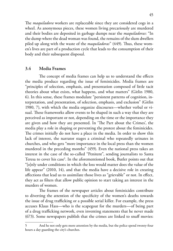The *maquiladora* workers are replaceable since they are considered cogs in a wheel. As anonymous pieces, these women living precariously are murdered and their bodies are deposited in garbage dumps near the *maquiladoras*: "In the dump where the dead woman was found, the remains of the slum dwellers piled up along with the waste of the *maquiladoras*" (449). Thus, these women's lives are part of a production cycle that leads to the consumption of their body and their subsequent disposal.

#### **3.4 Media Frames**

The concept of media frames can help us to understand the effects the media produce regarding the issue of feminicides. Media frames are "principles of selection, emphasis, and presentation composed of little tacit theories about what exists, what happens, and what matters" (Gitlin 1980, 6). In this sense, these frames modulate "persistent patterns of cognition, interpretation, and presentation, of selection, emphasis, and exclusion" (Gitlin 1980, 7), with which the media organize discourses—whether verbal or visual. These frameworks allow events to be shaped in such a way that they are perceived as important or not, depending on the time or the importance they are given and how they are presented. In 'The Part about the Crimes', the media play a role in shaping or preventing the protest about the feminicides. The crimes initially do not have a place in the media. In order to show this lack of interest, the narrator stages a criminal who repeatedly urinates in churches, and who gets "more importance in the local press than the women murdered in the preceding months" (459). Even the national press takes an interest in the case of the so-called "Penitent", sending journalists to Santa Teresa to cover his case<sup>5</sup>. In the aforementioned book, Butler points out that "[o]nly under conditions in which the loss would matter does the value of the life appear" (2010, 14), and that the media have a decisive role in creating affections that lead us to assimilate those lives as "grievable" or not. In effect, they act as filters that allow public opinion to start taking an interest in the murders of women.

The frames of the newspaper articles about feminicides contribute to diverting the attention of the specificity of the women's deaths towards the issue of drug trafficking or a possible serial killer. For example, the press accuses Klaus Hass—who is the scapegoat for the murders—of being part of a drug trafficking network, even inventing statements that he never made (673). Some newspapers publish that the crimes are linked to snuff movies:

<sup>5</sup> And he not only gets more attention by the media, but the police spend twenty-four hours a day guarding the city's churches.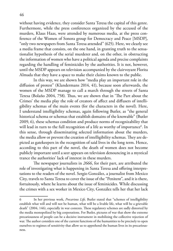without having evidence, they consider Santa Teresa the capital of this genre. Furthermore, while the press conferences organized by the accused of the murders, Klaus Haas, were attended by numerous media, at the press conference of the Women of Sonora group for Democracy and Peace [MSDP], "only two newspapers from Santa Teresa attended" (625). Here, we clearly see a media frame that consists, on the one hand, in granting truth to the sensationalist hypothesis of the serial murderer and, on the other, in obstructing the information of women who have a political agenda and precise complaints regarding the handling of feminicides by the authorities. It is not, however, until the MSDP appears on television accompanied by the clairvoyant Florita Almada that they have a space to make their claims known to the public.

In this way, we are shown how "media play an important role in the diffusion of protest" (Klandermans 2014, 41), because soon afterwards, the women of the MSDP manage to call a march through the streets of Santa Teresa (Bolaño 2004, 758). Thus, we are shown that in 'The Part about the Crimes' the media play the role of creators of affect and diffusers of intelligibility schemas of the main events (for the characters in the novel). Here, I understand intelligibility schemas, again following Butler, as "the general historical schema or schemas that establish domains of the knowable" (Butler 2009, 6), these schemas condition and produce norms of recognizability that will lead in turn to the full recognition of a life as worthy of importance $^6.$  In this sense, through disseminating selected information about the murders, the media allow or prevent the creation of intelligibility schemas. They are depicted as gatekeepers in the recognition of said lives in the long term. Hence, according to this part of the novel, the death of women does not become publicly important until a seer appears on television denouncing in a mystical trance the authorities' lack of interest in these murders.

The newspaper journalists in *2666*, for their part, are attributed the role of investigating what is happening in Santa Teresa and offering interpretations to the readers of the novel. Sergio González, a journalist from Mexico City, travels to Santa Teresa to cover the issue of the "Penitent", and it is there, fortuitously, where he learns about the issue of feminicides. While discussing the crimes with a sex worker in Mexico City, González tells her that her lack

<sup>6</sup> In her previous work, *Precarious Life,* Butler stated that "schemes of intelligibility establish what will and will not be human, what will be a livable life, what will be a grievable death" (2004, 146), especially in war contexts. These regulatory schemes are sadly distorted by the media monopolized by big corporations. For Butler, pictures of war that show the extreme precariousness of people can be a decisive instrument in mobilizing the collective rejection of war. The author considers one of the current functions of the humanities to be precisely to open ourselves to regimes of sensitivity that allow us to apprehend the human lives in its precariousness.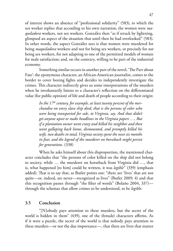of interest shows an absence of "professional solidarity" (583), to which the sex worker replies that according to his own narration, the women were *maquiladora* workers, not sex workers. González then "as if struck by lightning, glimpsed an aspect of the situation that until then he had overlooked" (583). In other words, the aspect González sees is that women were murdered for being *maquiladora* workers and not for being sex workers, or precisely for *not*  being sex workers, for not adapting to one of the permitted models of women for male satisfaction; and, on the contrary, willing to be part of the industrial economy.

Something similar occurs in another part of the novel, 'The Part about Fate': the eponymous character, an African-American journalist, comes to the border to cover boxing fights and decides to independently investigate the crimes. This character indirectly gives us some interpretations of the murders when he involuntarily listens to a character's reflection on the differentiated value (for public opinion) of life and death of people according to their origin:

> In the  $17<sup>th</sup>$  century, for example, at least twenty percent of the mer*chandise on every slave ship died, that is the persons of color who were being transported for sale, to Virginia, say. And that didn't get anyone upset or make headlines in the Virginia papers …, But if a plantation owner went crazy and killed his neighbor and then went galloping back home, dismounted, and promptly killed his wife, two deaths in total, Virginia society spent the next six months in fear, and the legend of the murderer on horseback might persist for generations.* (338)

When he asks himself about this disproportion, the mentioned character concludes that "the persons of color killed on the ship did not belong to society, while … the murderer on horseback from Virginia did …, that is, what happened [to him] could be written, it was *legible*" (339) (emphasis added). That is to say that, as Butler points out: "there are 'lives' that are not quite—or, indeed, are never—recognized as lives" (Butler 2009, 4) and that this recognition passes through "the filter of words" (Bolaño 2004, 337) through the schemas that allow crimes to be understood, to be *legible*.

#### **3.5 Conclusion**

"[N]obody pays attention to these murders, but the secret of the world is hidden in them" (439), one of the (female) characters affirms. As if it were a puzzle, the secret of the world is that nobody pays attention to these murders—or not the due importance—, that there are lives that matter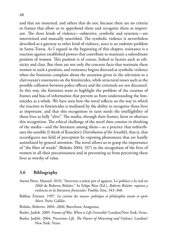and that are mourned, and others that do not, because there are no criteria or frames that allow us to apprehend them and recognize them as important. The three kinds of violence—subjective, symbolic and systemic—are intertwined and mutually nourished. The symbolic violence is nevertheless described as a gateway to other kind of violence, since is an endemic problem in Santa Teresa. As I argued in the beginning of this chapter, resistance is a reaction against established powers that contribute to maintain a subordinate position of women. This position is of course, linked to factors such as ethnicity and class. But there are not only the concrete facts that maintain these women in such a position, and resistance begins directed at symbolic violence when the feminists complain about the attention given in the television to a clairvoyant's statements on the feminicides, while structural issues such as the possible collusion between police officers and the criminals are not discussed. In this way, the feminists want to highlight the problem of the creation of frames and bias of information that prevent us from understanding the feminicides as a whole. We have seen how the novel reflects on the way in which the reaction to feminicides is mediated by the ability to recognize those lives as important, and that this recognition in turn needs the intelligibility of those lives as fully "alive". The media, through their frames, favor or obstruct this recognition. The ethical challenge of the novel then consists in thinking of the media—and the literature among them—as a practice that redistributes the sensible (I think of Rancière's *Distribution of the Sensible*), that is, that reconfigures our field of perception by exposing phenomena that are hardly assimilated by general attention. The novel allows us to grasp the importance of "the filter of words" (Bolaño 2004, 337) in the recognition of the lives of women in all their precariousness and in preventing us from perceiving these lives as worthy of value.

## **3.6 Bibliography**

- Asensi Pérez, Manuel. 2010. "Atreverse a mirar por el agujero. Lo político y lo real en *2666* de Roberto Bolaño." In Felipe Ríos (Ed.), *Roberto Bolaño: ruptura y violencia en la literatura finisecular*. Puebla: Eón, 343–368.
- Balibar, Étienne. 1997. *La crainte des masses: politique et philosophie avant et après Marx*. Paris: Galilée.

Bolaño, Roberto. 2004. *2666*. Barcelona: Anagrama.

Butler, Judith. 2009. *Frames of War. When is Life Grievable?* London/New York: Verso.

Butler, Judith. 2004. *Precarious Life. The Powers of Mourning and Violence*. London/ New York: Verso.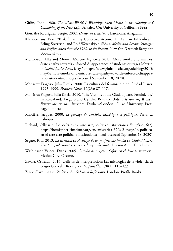- Gitlin, Todd. 1980. *The Whole World Is Watching: Mass Media in the Making and Unmaking of the New Left.* Berkeley, CA: University of California Press.
- González Rodríguez, Sergio. 2002. *Huesos en el desierto*. Barcelona: Anagrama.
- Klandermans, Bert. 2014. "Framing Collective Action." In Kathrin Fahlenbrach, Erling Sivertsen, and Rolf Werenskjold (Eds.), *Media and Revolt: Strategies and Performances from the 1960s to the Present.* New York/Oxford: Berghahn Books, 41–58.
- McPherson, Ella and Mónica Moreno Figueroa. 2015. More smoke and mirrors: State apathy towards enforced disappearance of students outrages Mexico, in *Global Justice Now*, May 5. [https://www.globaljustice.org.uk/blog/2015/](https://www.globaljustice.org.uk/blog/2015/may/5/more-smoke-and-mirrors-state-apathy-towards-enforce) [may/5/more-smoke-and-mirrors-state-apathy-towards-enforced-disappea](https://www.globaljustice.org.uk/blog/2015/may/5/more-smoke-and-mirrors-state-apathy-towards-enforce)[rance-students-outrages](https://www.globaljustice.org.uk/blog/2015/may/5/more-smoke-and-mirrors-state-apathy-towards-enforce) (accessed September 18, 2020).
- Monárrez Fragoso, Julia Estela. 2000. La cultura del feminicidio en Ciudad Juarez, 1993–1999. *Frontera Norte*, 12(23): 87–117.
- Monárrez Fragoso, Julia Estela. 2010. "The Victims of the Ciudad Juarez Feminicide." In Rosa-Linda Fregoso and Cynthia Bejarano (Eds.), *Terrorizing Women. Feminicide in the Americas*. Durham/London: Duke University Press, Pagenumbers.
- Rancière, Jacques. 2000. *Le partage du sensible. Esthétique et politique*. Paris: La Fabrique.
- Richard, Nelly. n. d.. Lo político en el arte: arte, política e instituciones. *Emisférica*, 6(2). [https://hemisphericinstitute.org/en/emisferica-62/6-2-essays/lo-politico](https://hemisphericinstitute.org/en/emisferica-62/6-2-essays/lo-politico-en-el-arte-arte-politica-e-instituciones.html)[en-el-arte-arte-politica-e-instituciones.html](https://hemisphericinstitute.org/en/emisferica-62/6-2-essays/lo-politico-en-el-arte-arte-politica-e-instituciones.html) (accessed September 18, 2020).
- Segato, Rita. 2013. *La escritura en el cuerpo de las mujeres asesinadas en Ciudad Juárez. Territorio, soberanía y crímenes de segundo estado*. Buenos Aires: Tinta Limón.
- Washington Valdez, Diana. 2005. *Cosecha de mujeres: Safari en el desierto mexicano*. México City: Océano.
- Zavala, Oswaldo. 2016. Delirios de interpretación: Las mitologías de la violencia de Sergio González Rodríguez. *Hispanófila*, 178(1): 115–133.
- Žižek, Slavoj. 2008. *Violence. Six Sideways Reflections*. London: Profile Books.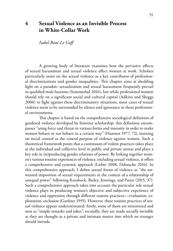## **4 Sexual Violence as an Invisible Process in White-Collar Work**

*Isabel Boni-Le Goff*

A growing body of literature examines how the pervasive effects of sexual harassment and sexual violence affect women at work. Scholars particularly insist on the sexual violence as a key contributor of professional discriminations and gender inequalities. This chapter aims at shedding light on a paradox: sexualization and sexual harassment frequently prevail in qualified male bastions (Sommerlad 2016), but while professional women should rely on a significant social and cultural capital (Adkins and Skeggs 2006) to fight against these discriminatory situations, most cases of sexual violence seem to be surrounded by silence and ignorance in these professional environments.

This chapter is based on the comprehensive sociological definition of gendered violence developed by feminist scholarship: this definition encompasses "using force and threat in various forms and intensity in order to make women behave or not behave in a certain way" (Hanmer 1977, 72), insisting on social control as the central purpose of violence against women. Such a theoretical framework posits that a continuum of violent practices takes place at the individual and collective level in public and private arenas and plays a key role in (re)producing gender relations of power. By linking together women's various routine experiences of violence, including sexual violence, it offers a comprehensive and systemic approach (Lieber 2008; Debauche 2016). In this comprehensive approach, I define sexual forms of violence as "the unwanted imposition of sexual requirements in the context of a relationship of unequal power" following Kensbock, Bailey, Jennings, and Patiar (2015, 37). Such a comprehensive approach takes into account the particular role sexual violence plays in producing women's objective and subjective experience of violence and oppression through different routine practices—evaluation, exploitation, exclusion (Gardner 1995). However, these routine practices of sexual violence appear underestimated: firstly, some of them are minimized and seen as "simple remarks and jokes"; secondly, they are made socially invisible as they are thought as a private and intimate matter into which no stranger should intrude.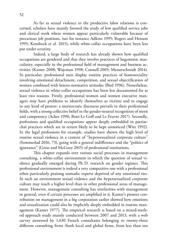As far as sexual violence in the productive labor relations is concerned, scholars have mainly favored the study of low qualified service jobs and clerical work where women appear particularly vulnerable because of precarious job positions, (see for instance Adkins 1995; Rogers and Henson 1995; Kensbock et al. 2015), while white-collar occupations have been less put under scrutiny.

Indeed, a large body of research has already shown how qualified occupations are gendered and that they involve practices of hegemonic masculinity, especially in the professional field of management and business activities (Kanter 2008; Wajcman 1998; Connell 2005; Messerschmidt 2014). In particular, professional men display routine practices of homosociality involving emotional detachment, competition, and sexual objectification of women combined with hetero-normative attitudes (Bird 1996). Nonetheless, sexual violence in white-collar occupations has been less documented for at least two reasons. Firstly, professional women and women executive managers may have problems to identify themselves as victims and to engage in any kind of protest: a meritocratic discourse prevails in their professional fields, with a strong collective belief in the gender-neutral recognition of merit and competency (Acker 1990; Boni-Le Goff and Le Feuvre 2017). Secondly, professions and qualified occupations appear deeply embedded in patriarchal practices which are in return likely to be kept unnoticed (Witz 1992). In the legal professions for example, studies have shown the high level of routine sexual violence in a context of "hypersexualized corporate culture" (Sommerlad 2016, 73), going with a general indifference and the "politics of ignorance" (Gross and McGoey 2015) of professional institutions.

This chapter expands over various social processes in management consulting, a white-collar environment in which the question of sexual violence gradually emerged during Ph.D. research on gender regimes. This professional environment is indeed a very competitive one with a professional ethos particularly praising nomadic experts deprived of any emotional ties. In such an environment sexual violence and the hypersexualized corporate culture may reach a higher level than in other professional areas of management. However, management consulting has similarities with management in general, even if certain processes are amplified in it. Kanter's pioneer contribution on management in a big corporation earlier showed how emotions and sexualization could also be implicitly deeply embedded in routine management (Kanter 1977). The empirical research is based on a mixed-method approach study mainly conducted between 2007 and 2013, with a web survey answered by 1,630 French consultants belonging to twenty-three different consulting firms (both local and global firms, from less than ten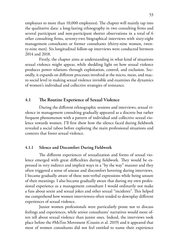employees to more than 10,000 employees). The chapter will mainly tap into the qualitative data: a long-lasting ethnography in two consulting firms and several participant and non-participant shorter observations in a total of 6 other consulting firms, seventy-two biographical interviews with sixty-eight management consultants or former consultants (thirty-nine women, twenty-nine men). Six longitudinal follow-up interviews were conducted between 2014 and 2018.

Firstly, the chapter aims at understanding in what kind of situations sexual violence might appear, while shedding light on how sexual violence produces power relations through exploitation, control, and exclusion. Secondly, it expands on different processes involved at the micro, meso, and macro social level in making sexual violence invisible and examines the dynamics of women's individual and collective strategies of resistance.

## **4.1 The Routine Experience of Sexual Violence**

During the different ethnographic sessions and interviews, sexual violence in management consulting gradually appeared as a discrete but rather frequent phenomenon with a pattern of individual and collective sexual violence towards women. I'll first show how the silence faced during fieldwork revealed a social taboo before exploring the main professional situations and contexts that foster sexual violence.

## **4.1.1 Silence and Discomfort During Fieldwork**

The different experiences of sexualization and forms of sexual violence emerged with great difficulties during fieldwork. They would be expressed in very indirect and implicit ways in a "by the way" manner and they often triggered a sense of unease and discomfort hovering during interviews. I became gradually aware of these non-verbal expressions while being unsure of their meanings. I also became gradually aware that during my own professional experience as a management consultant I would ordinarily not make a fuss about sexist and sexual jokes and other sexual "incidents". This helped me comprehend how women interviewees often tended to downplay different experiences of sexual violence.

Junior women professionals were particularly prone not to discuss feelings and experiences, while senior consultants' narratives would more often tell about sexual violence than junior ones. Indeed, the interviews took place before the #MeToo Movement (Cousin et al. 2019) and it appeared that most of women consultants did not feel entitled to name their experience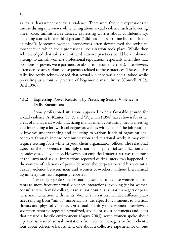as sexual harassment or sexual violence. There were frequent expressions of unease during interviews while telling about sexual violence such as lowering one's voice, unfinished sentences, expressing worries about confidentiality, or telling stories in the third person ("did not happen to me but to a friend of mine"). Moreover, women interviewees often downplayed the sexist atmosphere in which their professional socialization took place. While they acknowledged that jokes and other discursive practices could be an obvious attempt to tarnish women's professional reputations (especially when they had positions of power, were partners, or about to become partners), interviewees often denied any serious consequences related to these practices. These elusive talks indirectly acknowledged that sexual violence was a social taboo while prevailing as a routine practice of hegemonic masculinity (Connell 2005; Bird 1996).

#### **4.1.2 Expressing Power Relations by Practicing Sexual Violence in Daily Encounters**

Some professional situations appeared to be a favorable ground for sexual violence. As Kanter (1977) and Wajcman (1998) have shown for other areas of managerial work, practicing management consulting means meeting and interacting a lot: with colleagues as well as with clients. The job routinely involves understanding and adjusting to various kinds of organizational contexts through intense communication and relational work; it may even require settling for a while in your client organization offices. The relational aspect of the job seems to multiply situations of potential sexualization and episodes of sexual violence. However, our empirical material stresses that most of the unwanted sexual interactions reported during interviews happened in the context of relations of power between the perpetrator and his victim(s). Sexual violence between men and women co-workers without hierarchical asymmetry was less frequently reported.

Two major professional situations seemed to expose women consultants to more frequent sexual violence: interactions involving junior women consultants with male colleagues in senior positions (senior managers or partners) and interactions with clients. Women's narratives included different practices ranging from "minor" misbehaviors, disrespectful comments to physical threats and physical violence. On a total of thirty-nine women interviewed, seventeen reported repeated sexualized, sexual, or sexist comments and jokes that created a hostile environment (Saguy 2003); seven women spoke about repeated unwanted sexual invitations from senior managers or from clients; four about collective harassment; one about a collective rape attempt on one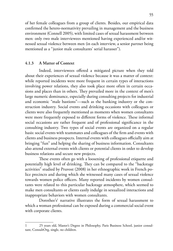of her female colleagues from a group of clients. Besides, our empirical data confirmed the hetero-normativity prevailing in management and the business environment (Connell 2005), with limited cases of sexual harassment between men: only two male interviewees mentioned having experienced and/or witnessed sexual violence between men (in each interview, a senior partner being mentioned as a "junior male consultants' serial harasser").

## **4.1.3 A Matter of Context**

Indeed, interviewees offered a mitigated picture when they told about their experiences of sexual violence because it was a matter of context: while reported incidents were more frequent in certain types of interactions involving power relations, they also took place more often in certain occasions and places than in others. They prevailed more in the context of men's large numeric dominance, especially during consulting projects for industrial and economic "male bastions"—such as the banking industry or the construction industry. Social events and drinking occasions with colleagues or clients were also frequently mentioned as moments when women consultants were more frequently exposed to different forms of violence. These informal social occasions are rather frequent and of professional significance in the consulting industry. Two types of social events are organized on a regular basis: social events with teammates and colleagues of the firm and events with clients and business prospects. Internal events with colleagues officially aim at bringing "fun" and helping the sharing of business information. Consultants also attend external events with clients or potential clients in order to develop business relations and secure new projects.

These events often go with a loosening of professional etiquette and potentially high level of drinking. They can be compared to the "backstage activities" studied by Pruvost (2008) in her ethnographic work in French police precincts and during which she witnessed many cases of sexual violence towards women police officers. Many reported incidents by women consultants were related to this particular backstage atmosphere, which seemed to make men consultants or clients easily indulge in sexualized interactions and inappropriate behaviors with women consultants.

Dorothee's<sup>1</sup> narrative illustrates the form of sexual harassment to which a woman professional can be exposed during a commercial social event with corporate clients.

<sup>1</sup> 25 years old, Master's Degree in Philosophy, Paris Business School, junior consultant, ConsultOrg, single, no children.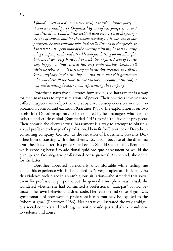*I found myself at a dinner party, well, it wasn't a dinner party … it was a cocktail party. Organized by one of our prospects … so I was dressed … I had a little cocktail dress on … I was the youngest one of course, and for the whole evening … It was one of our prospects, he was someone who had really listened to the speech, so I was happy, he spent most of the evening with me, he was running a big company in the industry. He was just hitting on me all night, but, no, it was very hard to live with. So, at first, I was of course very happy, … (but) it was just very embarrassing, because all night he tried to … It was very embarrassing because, as I didn't know anybody in the evening … and there was this gentleman who was there all the time, he tried to take me home at the end, it was embarrassing because I was representing the company.*

Dorothee's narrative illustrates how sexualized harassment is a way for men managers to express relations of power. Their practices involve three different aspects with objective and subjective consequences on women: exploitation, control, and exclusion (Gardner 1995). The exploitation is on two levels: first Dorothee appears to be exploited by her managers who use her esthetic and erotic capital (Sommerlad 2016) to win the favor of prospects. Then because the client's sexual harassment is a way to attempt to obtain a sexual profit in exchange of a professional benefit for Dorothee or Dorothee's consulting company. Control, as the situation of harassment prevents Dorothee from discussing with other clients. Exclusion, because of the dilemma Dorothee faced after this professional event. Should she call the client again while exposing herself to additional quid-pro-quo harassment or would she give up and face negative professional consequences? At the end, she opted for the latter.

Dorothee appeared particularly uncomfortable while telling me about this experience which she labeled as "a very unpleasant incident". As this violence took place in an ambiguous situation—she attended this social event for professional purposes, but the general atmosphere was casual, she wondered whether she had committed a professional "faux-pas" or not, because of her own behavior and dress code. Her reaction and sense of guilt was symptomatic of how women professionals can routinely be exposed to the "whore stigma" (Pheterson 1986). Her narrative illustrated the way ambiguous social contexts and backstage activities could particularly be conducive to violence and abuse.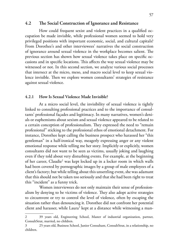## **4.2 The Social Construction of Ignorance and Resistance**

How could frequent sexist and violent practices in a qualified occupation be made invisible, while professional women seemed to hold very privileged positions with important economic, social, and cultural capitals? From Dorothee's and other interviewees' narratives the social construction of ignorance around sexual violence in the workplace becomes salient. The previous section has shown how sexual violence takes place on specific occasions and in specific locations. This affects the way sexual violence may be witnessed or not. In this second section, we analyze various social processes that intersect at the micro, meso, and macro social level to keep sexual violence invisible. Then we explore women consultants' strategies of resistance against sexual violence.

#### **4.2.1 How Is Sexual Violence Made Invisible?**

At a micro social level, the invisibility of sexual violence is tightly linked to consulting professional practices and to the importance of consultants' professional façades and legitimacy. In many narratives, women's denials or euphemisms about sexism and sexual violence appeared to be related to a certain conception of professionalism. They expressed the need to "remain professional" sticking to the professional ethos of emotional detachment. For instance, Dorothee kept calling the business prospect who harassed her "this gentleman" in a half-ironical way, meagerly expressing anger or any violent emotional response while telling me her story. Implicitly or explicitly, women consultants did not want to be seen as victims, usually joking and laughing even if they told about very disturbing events. For example, at the beginning of her career, Claudie2 was kept locked up in a locker room in which walls had been covered by pornographic images by a group of male employees of a client's factory; but while telling about this unsettling event, she was adamant that this should not be taken too seriously and that she had been right to treat this "incident" as a funny trick.

Women interviewees do not only maintain their sense of professionalism by denying to be victims of violence. They also adopt active strategies to circumvent or try to control the level of violence, often by escaping the situation rather than denouncing it. Dorothee did not confront her potential client and harasser, while Laura<sup>3</sup> kept at a distance while witnessing a man-

<sup>2</sup> 39 years old, Engineering School, Master of industrial organization, partner, ConsultStrat, married, no children.

<sup>3</sup> 25 years old, Business School, Junior Consultant, ConsultStrat, in a relationship, no children.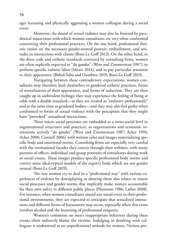ager harassing and physically aggressing a women colleague during a social event.

Moreover, the denial of sexual violence may also be fostered by paradoxical injunctions with which women consultants are very often confronted concerning their professional practices. On the one hand, professional rhetoric insists on the necessary gender-neutral posture, embodiment, and attitudes in interactions with clients (Boni-Le Goff 2012). On the other hand, in the dress code and esthetic standards conveyed by consulting firms, women are often explicitly expected to "do gender" (West and Zimmerman 1987), to perform specific esthetic labor (Mears 2014), and to pay particular attention to their appearance (Bitbol-Saba and Dambrin 2019; Boni-Le Goff 2019).

Navigating between these contradictory expectations, women consultants may therefore lend themselves to gendered esthetic practices, forms of sexualization of their appearance, and forms of seduction. They are then caught up in ambivalent feelings: they may experience the feeling of being at odds with a double standard—as they are treated as "ordinary professionals" and at the same time as gendered bodies—and they may also feel guilty when confronted to forms of sexual violence with the perception that they might have "provoked" sexualized interactions.

These micro social processes are embedded at a meso-social level in organizational structures and practices, as organizations and economic institutions actively "do gender" (West and Zimmerman 1987; Acker 1990; Acker 2006; Connell 2006) with written rules and images materializing specific body and emotional norms. Consulting firms are especially very careful with the institutional façades they convey through their websites, with many pictures of offices, individual and group portraits of consultants during work or social events. These images produce specific professional body norms and convey some ideal-typical models of the expert's body which are not gender neutral (Boni-Le Goff 2019).

The way women try to deal in a "professional way" with various experiences of violence by downplaying or denying them also relates to macro social processes and gender norms that implicitly make women accountable for their own safety in different public places (Pheterson 1986; Lieber 2008). For instance, when women consultants attend any social event in their professional environments, they are expected to anticipate that sexualized interactions and different forms of harassment may occur, especially when this event involves alcohol and the loosening of professional etiquette.

Women's comments on men's inappropriate behaviors during these events often indirectly blame the victims. Indulging in drinking with colleagues is understood as an unprofessional attitude for women. Various pro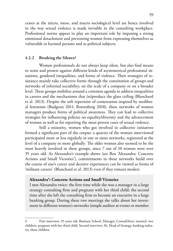cesses at the micro, meso, and macro sociological level are hence involved in the way sexual violence is made invisible in the consulting workplace. Professional norms appear to play an important role by imposing a strong emotional detachment and preventing women from expressing themselves as vulnerable or harmed persons and as political subjects.

#### **4.2.2 Breaking the Silence?**

Women professionals do not always keep silent, but also find means to resist and protest against different kinds of asymmetrical professional situations, gendered inequalities, and forms of violence. Their strategies of resistance mainly take collective forms through the constitution of groups and networks of informal sociability, on the scale of a company or on a broader level. These groups mobilize around a common agenda to address inequalities in careers and the mechanisms that (re)produce the glass ceiling (Blanchard et al. 2013). Despite the soft repertoire of contestation inspired by neoliberal feminism (Budgeon 2011; Rottenberg 2018), these networks of women managers produce forms of political awareness. They can lead to collective strategies for influencing policies on equality/diversity and the advancement of women as well as for reporting the most proven cases of sexual violence.

Still a minority, women who got involved in collective initiatives formed a significant part of the corpus: a quarter of the women interviewed participated more or less regularly in one or more networks, registered at the level of a company or more globally. The older women also seemed to be the most heavily involved in these groups, since 7 out of 10 women were over 35 years old. As Alexandra's example shows (see Box 'Alexandra: Concrete Actions and Small Victories'), commitments in these networks build over the course of one's career and decisive experiences can be viewed as forms of 'militant careers' (Blanchard et al. 2013) even if they remain modest.

### **Alexandra4 : Concrete Actions and Small Victories**

I met Alexandra twice: the first time while she was a manager in a large strategy consulting firm and pregnant with her third child; the second time after she left the consulting firm to become an executive in a large banking group. During these two meetings she talks about her investment in different women's networks (simple auditor at events or member

<sup>4</sup> First interview, 35 years old, Business School, Manager, ConsultStrat, married, two children, pregnant with her third child. Second interview, 36, Head of Strategy, banking industry, three children.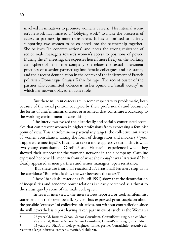involved in initiatives to promote women's careers). Her internal women's network has initiated a "lobbying work" to make the processes of access to partnership more transparent. It has committed to actively supporting two women to be co-opted into the partnership together. She believes "in concrete actions" and notes the strong resistance of senior male managers towards women's access to positions of power. During the 2nd meeting, she expresses herself more freely on the working atmosphere of her former company: she relates the sexual harassment practices of a senior partner against female colleagues and assistants, and their recent denunciation in the context of the indictment of French politician Dominique Strauss Kahn for rape. The recent ouster of the partner who committed violence is, in her opinion, a "small victory" in which her network played an active role.

But these militant careers are in some respects very problematic, both because of the social position occupied by these professionals and because of the forms of antifeminism, discreet or assumed, that constitute a backdrop to the working environment in consulting.

The interviews evoked the historically and socially constructed obstacles that can prevent women in higher professions from expressing a feminist point of view. This anti-feminism particularly targets the collective initiatives of women consultants, taking the form of denigration and mockery ("your Tupperware meetings!"). It can also take a more aggressive turn. This is what two young consultants—Caroline<sup>5</sup> and Hasnae<sup>6</sup>—experienced when they showed their support for the women's network in their company. Caroline expressed her bewilderment in front of what she thought was "irrational" but clearly appeared as men partners and senior managers' open resistance:

 But these are irrational reactions! It's irrational! Partners stop us in the corridors: "But what is this, the war between the sexes?!"

These "backlash" reactions (Faludi 1991) show that the denunciation of inequalities and gendered power relations is clearly perceived as a threat to the status quo by some of the male colleagues.

In several interviews, the interviewees reported or took antifeminist statements on their own behalf. Sylvie $^7$  thus expressed great suspicion about the possible "excesses" of collective initiatives, not without contradiction since she will nevertheless report having taken part in events such as the Woman's

<sup>5</sup> 28 years old, Business School, Senior Consultant, ConsutlStrat, single, no children.

<sup>6</sup> 29 years old, Business School, Senior Consultant, ConsutlStrat, single, no children.

<sup>7</sup> 43 years old, Ph.D. in biology, engineer, former partner ConsultInfo, executive director in a large industrial company, married, 4 children.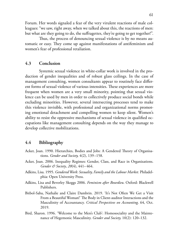Forum. Her words signaled a fear of the very virulent reactions of male colleagues: "we saw, right away, when we talked about this, the reactions of men: but what are they going to do, the suffragettes, they're going to get together!".

Thus, the process of denouncing sexual violence is by no means automatic or easy. They come up against manifestations of antifeminism and women's fear of professional retaliation.

### **4.3 Conclusion**

Systemic sexual violence in white-collar work is involved in the production of gender inequalities and of robust glass ceilings. In the case of management consulting, women consultants appear to routinely face different forms of sexual violence of various intensities. These experiences are more frequent when women are a very small minority, pointing that sexual violence can be used by men in order to collectively produce social bonds while excluding minorities. However, several intersecting processes tend to make this violence invisible, with professional and organizational norms promoting emotional detachment and compelling women to keep silent. Women's ability to resist the oppressive mechanisms of sexual violence in qualified occupations like management consulting depends on the way they manage to develop collective mobilizations.

#### **4.4 Bibliography**

- Acker, Joan. 1990. Hierarchies, Bodies and Jobs: A Gendered Theory of Organisations. *Gender and Society,* 4(2), 139–158.
- Acker, Joan. 2006. Inequality Regimes: Gender, Class, and Race in Organizations. *Gender & Society*, *20*(4), 441–464.
- Adkins, Lisa. 1995. *Gendered Work: Sexuality, Family and the Labour Market.* Philadelphia: Open University Press.
- Adkins, Lisa and Beverley Skeggs 2006. *Feminism after Bourdieu*. Oxford: Blackwell Publishers.
- Bitbol-Saba, Nathalie and Claire Dambrin. 2019. 'It's Not Often We Get a Visit From a Beautiful Woman!' The Body in Client-auditor Interactions and the Masculinity of Accountancy. *Critical Perspectives on Accounting,* 64, Oct. 2019.
- Bird, Sharon. 1996. 'Welcome to the Men's Club': Homosociality and the Maintenance of Hegemonic Masculinity. *Gender and Society,* 10(2): 120–132.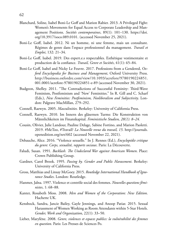- Blanchard, Soline, Isabel Boni-Le Goff and Marion Rabier. 2013. A Privileged Fight: Women's Movements for Equal Access to Corporate Leadership and Management Positions. *Sociétés contemporaines*, 89(1): 101*–*130. https://doi. [org/10.3917/soco.089.0101. \(accessed November 25, 2021\).](https://doi.org/10.3917/soco.089.0101)
- Boni-Le Goff, Isabel. 2012. Ni un homme, ni une femme, mais un consultant. Régimes de genre dans l'espace professionnel du management. *Travail et Emploi*, 132: 21–34.
- Boni-Le Goff, Isabel. 2019. Des expert.e.s respectables. Esthétique vestimentaire et production de la confiance. *Travail, Genre et Sociétés*, 41(1): 65–84.
- Boni-Le Goff, Isabel and Nicky Le Feuvre. 2017. Professions from a Gendered, *Oxford Encyclopedia for Business and Management*, Oxford University Press. [http://business.oxfordre.com/view/10.1093/acrefore/9780190224851.](https://oxfordre.com/business/view/10.1093/acrefore/9780190224851.001.0001/acrefore-9780190224851-e-89) 001.0001/acrefore-9780190224851-e-89 (accessed November 30, 2021).
- Budgeon, Shelley. 2011. "The Contradictions of Successful Feminity: Third-Wave Feminism, Postfeminism and 'New' Feminities." In R. Gill and C. Scharf (Eds.), *New Feminities: Postfeminism, Neoliberalism and Subjectivity*. London: Palgrave MacMillan, 279–292.
- Connell, Raewyn. 2005. *Masculinities.* Berkeley: University of California Press.
- Connell, Raewyn. 2010. Im Innern des gläsernen Turms: Die Konstruktion von Männlichkeiten im Finanzkapital. *Feministische Studien, 28(1): 8–24.*
- Cousin, Olivier, Julie Landour, Pauline Delage, Sabine Fortino, and Marion Paoletti. 2019. #MeToo, #Travail? *La Nouvelle revue du travail, 15*. http://journals. [openedition.org/nrt/602 \(accessed November 22, 2021\).](https://journals.openedition.org/nrt/602)
- Debauche, Alice. 2016. "Violence sexuelle." In J. Rennes (Ed.), *Encyclopédie critique du genre: Corps, sexualité, rapports sociaux*. Paris: La Découverte.
- Faludi, Susan. 1991. *Backlash. The Undeclared War against American Women*. Place: Crown Publishing Group.
- Gardner, Carol Brook. 1995. *Passing by. Gender and Public Harassment*. Berkeley: University of California Press.
- Gross, Matthias and Linsay McGoey. 2015. *Routledge International Handbook of Ignorance Studies*. London: Routledge.
- Hanmer, Jalna. 1997. Violence et contrôle social des femmes. *Nouvelles questions féministes*, 1: 68–88.
- Kanter, Rosabeth Moss. 2008. *Men and Women of the Corporation: New Edition*. Hachette UK.
- Kensbock, Sandra, Jancie Bailey, Gayle Jennings, and Anoop Patiar. 2015. Sexual Harassment of Women Working as Room Attendants within 5-Star Hotels. *Gender, Work and Organization*, 22(1): 33–50.
- Lieber, Marylène. 2008. *Genre, violences et espaces publics: la vulnérabilité des femmes en question*. Paris: Les Presses de Sciences Po.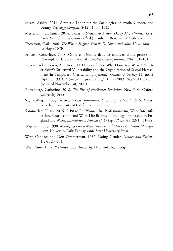- Mears, Ashley. 2014. Aesthetic Labor for the Sociologies of Work, Gender, and Beauty. *Sociology Compass*, 8(12): 1333–1343.
- Messerschmidt, James. 2014. *Crime as Structured Action: Doing Masculinities, Race, Class, Sexuality, and Crime* (2nd ed.). Lanham: Rowman & Littlefield.
- Pheterson, Gail. 1986. *The Whore Stigma: Female Dishonor and Male Unworthiness*. La Haye: DCE.
- Pruvost, Geneviève. 2008. Ordre et désordre dans les coulisses d'une profession. L'exemple de la police nationale. *Sociétés contemporaines*, 72(4): 81–101.
- Rogers, Jackie Krasas, And Kevin D. Henson. "'Hey, Why Don't You Wear A Shorter Skirt?': Structural Vulnerability and the Organization of Sexual Harassment in Temporary Clerical Employment." *Gender & Society* 11, no. 2 (April 1, 1997): 215–237. https://doi.org/10.1177/089124397011002005 (accessed November 30, 2021).
- Rottenberg, Catherine. 2018. *The Rise of Neoliberal Feminism*. New York: Oxford University Press.
- Saguy, Abigail. 2003. *What is Sexual Harassment. From Capitol Hill to the Sorbonne*. Berkeley: University of California Press.
- Sommerlad, Hilary. 2016. 'A Pit to Put Women In': Professionalism, Work Intensification, Sexualisation and Work-Life Balance in the Legal Profession in England and Wales. *International Journal of the Legal Profession*, 23(1): 61–82.
- Wajcman, Judy. 1998. *Managing Like a Man: Women and Men in Corporate Management.* University Park: Pennsylvania State University Press.
- West, Candace and Don Zimmerman. 1987. Doing Gender. *Gender and Society*, 1(2): 125–151.
- Witz, Anne. 1992. *Professions and Patriarchy*. New York: Routledge.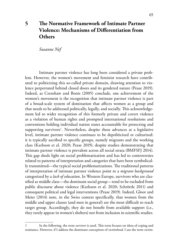# **5 The Normative Framework of Intimate Partner Violence: Mechanisms of Differentiation from Others**

*Susanne Nef*

Intimate partner violence has long been considered a private problem. However, the women's movement and feminist research have contributed to politicizing this so-called private domain, drawing attention to violence perpetrated behind closed doors and its gendered nature (Pease 2019). Indeed, as Crenshaw and Bonis (2005) conclude, one achievement of the women's movement is the recognition that intimate partner violence is part of a broad-scale system of domination that affects women as a group and that needs to be addressed politically, legally, and socially. This acknowledgement led to wider recognition of this formerly private and covert violence as a violation of human rights and prompted international resolutions and conventions holding individual nation states accountable for protecting and supporting survivors<sup>1</sup>. Nevertheless, despite these advances at a legislative level, intimate partner violence continues to be depoliticized or culturized: it is typically ascribed to specific groups, namely migrants and the working class (Karlsson et al. 2020; Pease 2019), despite studies demonstrating that intimate partner violence is prevalent across all social strata (BMFSFJ 2014). This gap sheds light on social problematization and has led to controversies related to patterns of interpretation and categories that have been symbolically transmitted—the typical social problematizations. The traditional patterns of interpretation of intimate partner violence point to a *migrant background* categorized by a *lack of education*. In Western Europe, survivors who are classified as middle class—the dominant social group—tend to be excluded from public discourse about violence (Karlsson et al. 2020; Schröttle 2011) and consequent political and legal interventions (Pease 2019). Indeed, Gloor and Meier (2014) note, in the Swiss context specifically, that women from the middle and upper classes (and men in general) are the most difficult to reach target group. Accordingly, they do not benefit from available support (i.e., they rarely appear in women's shelters) nor from inclusion in scientific studies.

<sup>1</sup> In the following, the term *survivor* is used. This term focuses on ideas of coping and resistance. However, if I address the dominant conception of *victimhood,* I use the term *victim.*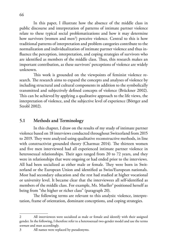In this paper, I illustrate how the absence of the middle class in public discourse and interpretation of patterns of intimate partner violence relate to these typical social problematizations and how it may determine how survivors (women and men<sup>2</sup>) perceive violence. Central to this is how traditional patterns of interpretation and problem categories contribute to the normalization and individualization of intimate partner violence and thus influence the perception, interpretation, and coping strategies of survivors who are identified as members of the middle class. Thus, this research makes an important contribution, as these survivors' perceptions of violence are widely unknown.

This work is grounded on the viewpoints of feminist violence research. The research aims to expand the concepts and analyses of violence by including structural and cultural components in addition to the symbolically transmitted and subjectively defined concepts of violence (Brückner 2002). This can be achieved by applying a qualitative approach to the life views, the interpretation of violence, and the subjective level of experience (Böttger and Strobl 2002).

## **5.1 Methods and Terminology**

In this chapter, I draw on the results of my study of intimate partner violence based on 18 interviews conducted throughout Switzerland from 2015 to 2019. They were analyzed using qualitative reconstructive methods, in line with constructivist grounded theory (Charmaz 2014). The thirteen women and five men interviewed had all experienced intimate partner violence in heterosexual relationships. Their ages ranged from 20 to 72 years, and they were in relationships that were ongoing or had ended prior to the interviews. All had been socialized as either male or female. They were born in Switzerland or the European Union and identified as Swiss/European nationals. Most had secondary education and the rest had studied at higher vocational or university level. It became clear that the interviewees all self-identified as members of the middle class. For example, Ms. Mueller<sup>3</sup> positioned herself as being from "the higher or richer class" (paragraph 20).

The following terms are relevant to this analysis: violence, interpretation, frame of orientation, dominant conceptions, and coping strategies.

<sup>2</sup> All interviewees were socialized as male or female and identify with their assigned gender. In the following, I therefore refer to a heterosexual two-gender model and use the terms *woman* and man accordingly.

<sup>3</sup> All names were replaced by pseudonyms.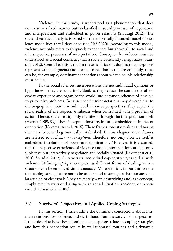Violence, in this study, is understood as a phenomenon that does not exist in a fixed manner but is classified in social processes of negotiation and interpretation and embedded in power relations (Staudigl 2012). The social-theoretical analysis is based on the empirically founded model of violence modalities that I developed (see Nef 2020). According to this model, violence not only refers to (physical) experiences but above all, to social and intersubjective processes of interpretation. Consequently, violence must be understood as a social construct that a society constantly renegotiates (Staudigl 2012). Central to this is that in these negotiations dominant conceptions represent value judgments and norms. In relation to the present study, these can be, for example, dominant conceptions about what a couple relationship must be like.

In the social sciences, interpretations are not individual opinions or hypotheses—they are supra-individual, as they reduce the complexity of everyday experience and organize the world into common schemes of possible ways to solve problems. Because specific interpretations may diverge due to the biographical course or individual narrative perspectives, they depict the social reality of the respective subjects when confronted with a problem of action. Hence, social reality only manifests through the interpretation itself (Herma 2009, 99). These interpretations are, in turn, embedded in frames of orientation (Kavemann et al. 2016). These frames consist of values and norms that have become hegemonically established. In this chapter, these frames are referred to as *dominant conceptions*. Therefore, not only violence itself is embedded in relations of power and domination. Moreover, it is assumed, that the respective experience of violence and its interpretations are not only subjective but interactively negotiated and socially situated (Kavemann et al. 2016; Staudigl 2012). Survivors use individual coping strategies to deal with violence. Defining *coping* is complex, as different forms of dealing with a situation can be employed simultaneously. Moreover, it is important to note that coping strategies are not to be understood as strategies that pursue some larger plan or clear goals. They are merely ways of surviving and, as a concept, simply refer to ways of dealing with an actual situation, incident, or experience (Bauman et al. 2008).

#### **5.2 Survivors' Perspectives and Applied Coping Strategies**

In this section, I first outline the dominant conceptions about intimate relationships, violence, and victimhood from the survivors' perspectives. I then describe how these dominant conceptions relate to coping strategies and how this connection results in well-rehearsed routines and a dynamic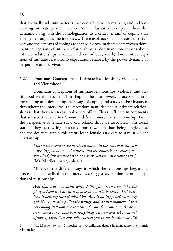that gradually gels into patterns that contribute to normalizing and individualizing intimate partner violence. As an illustrative example, I show this dynamic along with the pathologization as a central means of coping that emerged throughout the interviews. These explanations illustrate that survivors and their means of coping are shaped by two intricately interwoven dominant conceptions of intimate relationships: a) dominant conceptions about intimate relationships, violence, and victimhood, and b) dominant conceptions of intimate relationship expectations shaped by the power dynamic of perpetrator and survivor.

### **5.2.1 Dominant Conceptions of Intimate Relationships, Violence, and Victimhood**

Dominant conceptions of intimate relationships, violence, and victimhood were instrumental in shaping the interviewees' process of meaning-making and developing their ways of coping and survival. For instance, throughout the interviews, the most dominant idea about intimate relationships is that they are an essential aspect of life. This is reflected in comments that stressed that one *has to have* and *has to maintain* a relationship. From the perspective of female survivors, relationships are associated with social status—they bestow higher status upon a woman than being single does, and the desire to retain this status leads female survivors to stay in violent relationships:

> *I think we [women] are partly victims ... in the sense of letting too much happen to us … I noticed that the protection or other prestige I had, just because I had a partner, was immense [long pause].*  (Ms. Mueller,<sup>4</sup> paragraph 46)

Moreover, the different ways in which the relationships began and proceeded, as described in the interviews, suggest several dominant conceptions of relationships:

> *And that was a moment when I thought, "Come on, take the plunge! Now it's your turn to dive into a relationship." And that's how it actually started with him. And it all happened extremely quickly. So, he also pulled the strings, and, at that moment, I was very happy that someone was there for me. Someone to make decisions. Someone to take over everything. Yes, someone who was not afraid of tasks. Someone who carried you in his hands, who did*

<sup>4</sup> Ms. Mueller, Swiss, 42, mother of two children, degree in management, 8-month relationship.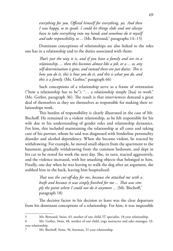*everything for you. Offered himself for everything, yes. And then I was happy, so to speak. I could let things slide and not always have to take everything into my hands and somehow do it myself and take responsibility, so ...* (Ms. Bertrand,<sup>5</sup> paragraphs 14–15)

Dominant conceptions of relationships are also linked to the roles one has in a relationship and to the duties associated with them:

> *That's just the way it is, and if you have a family and are in a relationship, ... then this becomes almost like a job, or a ... so, any self-determination is gone, and instead there are just duties. This is how you do it, this is how you do it, and this is what you do, and this is a family*. (Ms. Gerber,<sup>6</sup> paragraph 66)

Such conceptions of a relationship serve as a frame of orientation ("how a relationship has to be"): "… a relationship simply [has] to work" (Ms. Gerber, paragraph 36). The result is that interviewees demand a great deal of themselves as they see themselves as responsible for making their relationships work.

This burden of responsibility is clearly illustrated in the case of Mr. Bischoff. He remained in a violent relationship, as he felt responsible for his wife due to his understanding of gender roles and relationship dynamics. For him, this included maintaining the relationship at all costs and taking care of his partner, whom he said was diagnosed with borderline personality disorder and alcohol dependency. When she became violent, he reacted by withdrawing. For example, he moved small objects from the apartment to the basement, gradually withdrawing from the common bedroom, and slept in his car to be rested for work the next day. She, in turn, reacted aggressively, and the violence increased, with her smashing objects that belonged to him. Finally, one day when he was leaving to walk the dog after an argument, she stabbed him in the back, leaving him hospitalized:

> *That was the cut-off-day for me, because she attacked me with a knife and because it was simply finished for me ... That was simply the point where I could not do it anymore ...* (Mr. Bischoff,<sup>7</sup> paragraph 18)

The decisive factor in his decision to leave was the clear departure from his dominant conceptions of a relationship. For him, it was impossible

<sup>5</sup> Ms. Bertrand, Swiss, 43, mother of one child, IT specialist, 18-year relationship.

<sup>6</sup> Ms. Gerber, Swiss, 48, mother of one child, yoga instructor and sales manager, 10 year relationship.

<sup>7</sup> Mr. Bischoff, Swiss, 56, foreman, 31-year relationship.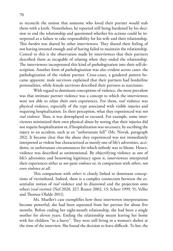to reconcile the notion that someone who loved their partner would stab them with a knife. Nonetheless, he reported still being burdened by his decision to end the relationship and questioned whether his actions could be interpreted as a failure to take responsibility for his wife and their relationship. This *burden* was shared by other interviewees. They shared their feeling of not having invested enough and of having failed to maintain the relationship. Central to this is the observation made by interviewees that their partners described them as incapable of relating when they ended the relationship. The interviewees incorporated this kind of pathologization into their self-description. Another form of pathologization was also evident across cases: the pathologization of the violent partner. Cross-cases, a gendered pattern became apparent: male survivors explained that their partners had borderline personalities, while female survivors described their partners as narcissists.

With regard to dominant conceptions of violence, the most prevalent was that intimate partner violence was a concept to which the interviewees were not able to relate their own experiences. For them, *real* violence was physical violence, especially of the type associated with visible injuries and requiring hospitalization. In their perception, what they experienced was *not real violence.* Thus, it was downplayed or excused. For example, some interviewees minimized their own physical abuse by noting that their injuries did not require hospitalization or, if hospitalization was necessary, by ascribing the injury to an accident, such as an "unfortunate fall" (Ms. Novak, paragraph 202). It became clear that the abuse they experienced was not immediately interpreted as violent but characterized as merely one of life's adversities, accidents, or unfortunate circumstances for which nobody was to blame. Hence, violence was described as unintentional. By objectifying violence as one of life's adversities and bestowing legitimacy upon it, interviewees interpreted their experiences either as *not quite violence* or, in comparison with *others*, *not even violence at all*.

This comparison with *others* is closely linked to dominant conceptions of victimhood. Indeed, there is a complex connection between the essentialist notion of *real* violence and its disavowal and the projection onto others (*real victims*) (Nef 2020, 327; Reuter 2002, 13; Scherr 1999, 51; Velho and Thomas-Olalde 2011).

Ms. Mueller's case exemplifies how these interwoven interpretations become powerful; she had been separated from her partner for about five months. Before ending her eight-month relationship, she had been a single mother for eleven years. Ending the relationship meant leaving her home with her children "in a hurry". They were still living in a women's shelter at the time of the interview. She found the decision to leave difficult. To her, the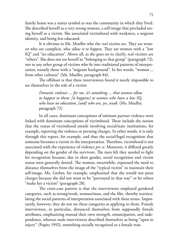family home was a status symbol as was the community in which they lived. She described herself as a very strong woman, a self-image that precluded seeing herself as a victim. She associated victimhood with weakness, a migrant identity, and being less educated.

It is obvious to Ms. Mueller who the *real victims* are. They are women who are complicit, who *allow it to happen*. They are women with a "low IQ" and "no education". Above all, as she goes on to clarify, real victims are "others". She does not see herself as "belonging to that group" (paragraph 72), nor to any other group of victims who fit into traditional patterns of interpretation, namely those with a "migrant background". In her words, "women ... from other cultures" (Ms. Mueller, paragraph 84).

The offshoot is that these interviewees found it nearly impossible to see themselves in the role of a victim:

> *Domestic violence ... for me, it's something ... that women allow to happen to them: [it happens] to women who have a low IQ, who have no education, [and] who are, yes, weak.* (Ms. Mueller, paragraph 72)

In all cases, dominant conceptions of intimate partner violence were linked with dominant conceptions of victimhood. These include the notion that the status of victimhood entails involving social/state institutions, for example, reporting the violence or pressing charges. In other words, it is only through this report, for example, and thus the social/legal recognition that someone becomes a victim in the interpretation. Therefore, victimhood is not associated with the experience of violence *per se*. Moreover, it differed greatly depending on the gender of the survivors. The men felt they needed to fight for recognition because, due to their gender, social recognition and victim status were generally denied. The women, meanwhile, expressed the need to distance themselves from the image of the "typical victim" to maintain their self-image. Ms. Gerber, for example, emphasized that she would not press charges because she did not want to be "portrayed in that way" or let others "make her a victim" (paragraph 28).

The cross-case pattern is that the interviewees employed gendered categories, such as strong/weak, woman/man, and the like, thereby rearticulating the social patterns of interpretation associated with these terms. Importantly, however, they do not see these categories as applying to them. Female interviewees, in particular, distanced themselves from supposedly female attributes, emphasizing instead their own strength, emancipation, and independence, whereas male interviewees described themselves as being "open to injury" (Popitz 1992), something socially recognized as a female trait.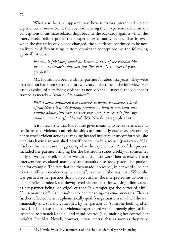What also became apparent was how survivors interpreted violent experiences as non-violent, thereby normalizing their experiences. Dominant conceptions of intimate relationships became the backdrop against which the interviewees (re)interpreted their experiences as non-violence. That is, even when the dynamics of violence changed, the experience continued to be normalized by differentiating it from dominant conceptions, as the following quote illustrates:

> *For me, it [violence] somehow became a part of the relationship then: ... our relationship was just like that.* (Ms. Novak,<sup>8</sup> paragraph 82)

Ms. Novak had been with her partner for about six years. They were married but had been separated for two years at the time of the interview. Her case is typical of perceiving violence as non-violence. Instead, the violence is framed as merely a *"relationship problem"*:

> *Well, I never considered it as violence, as domestic violence. I kind of considered it a relationship problem ... Even if somebody was talking about [intimate partner violence], I never felt [like my situation was being] addressed.* (Ms. Novak, paragraph 184)

It is noteworthy that Ms. Novak gives meaning to her experiences and reaffirms that violence and relationships are mutually exclusive. Describing her partner's violent actions as making her feel insecure or uncomfortable, she recounts having admonished herself not to "make a scene" (paragraph 202). For her, this meant not *exaggerating* what she experienced. Part of this process included her partner bringing her the bathroom scales weekly or sometimes daily to weigh herself, and her weight and figure were then assessed. These interventions escalated markedly and assaults also took place—he pushed her, for example. The fact that she then made "no scene", in her words, led her to write off such incidents as "accidents", even when she was hurt. When she was pushed or her partner threw objects at her, she interpreted his actions as just a "reflex". Indeed, she downplayed violent situations, using idioms such as her partner being "on edge" or that "his temper got the better of him". Her semantics offer an insight into her meaning-making processes. This is further reflected in her euphemistically qualifying situations in which she was financially and socially controlled by her partner as "someone looking after me". This illustrates that the violence experienced was not merely physical but extended to financial, social, and mind control (e.g., making her control her weight). For Mrs. Novak, however, it was central that as soon as they were

<sup>8</sup> Ms. Novak, Swiss, 29, stepmother of one child, student, 6-year relationship.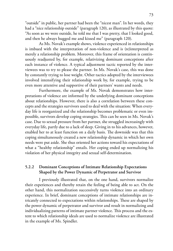"outside" in public, her partner had been the "nicest man". In her words, they had a "nice relationship outside" (paragraph 120), as illustrated by this quote: "As soon as we were outside, he told me that I was pretty, that I looked good, and then he always hugged me and kissed me" (paragraph 120).

As Ms. Novak's example shows, violence experienced in relationships is imbued with the interpretation of non-violence and is (re)interpreted as merely a relationship problem. Moreover, this frame of orientation is continuously readjusted by, for example, relativizing dominant conceptions after each instance of violence. A typical adjustment tactic reported by the interviewees was to try to please the partner. In Ms. Novak's case, this was done by constantly trying to lose weight. Other tactics adopted by the interviewees involved intensifying their relationship work by, for example, trying to be even more attentive and supportive of their partners' wants and needs.

Furthermore, the example of Ms. Novak demonstrates how interpretations of violence are informed by the underlying dominant conceptions about relationships. However, there is also a correlation between these concepts and the strategies survivors used to deal with the situation: When everyday life is reorganized and the relationship becomes problematic or even impossible, survivors develop coping strategies. This can be seen in Ms. Novak's case. Due to sexual pressure from her partner, she struggled increasingly with everyday life, partly due to a lack of sleep. Giving in to his advances, however, enabled her to at least function on a daily basis. The downside was that this coping simultaneously created a new relationship dynamic in which her own needs were put aside. She thus oriented her actions toward his expectations of what a "healthy relationship" entails. Her coping ended up normalizing his violation of her physical integrity and sexual self-determination.

#### **5.2.2 Dominant Conceptions of Intimate Relationship Expectations Shaped by the Power Dynamic of Perpetrator and Survivor**

I previously illustrated that, on the one hand, survivors normalize their experiences and thereby retain the feeling of being able to act. On the other hand, this normalization successively turns violence into an ordinary experience. In brief, dominant conceptions of intimate relationships are intricately connected to expectations within relationships. These are shaped by the power dynamic of perpetrator and survivor and result in normalizing and individualizing patterns of intimate partner violence. This process and the extent to which relationship ideals are used to normalize violence are illustrated in the example of Ms. Spindler.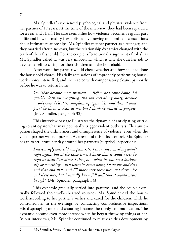Ms. Spindler<sup>9</sup> experienced psychological and physical violence from her partner of 19 years. At the time of the interview, they had been separated for a year and a half. Her case exemplifies how violence becomes a regular part of life and how normality is established by drawing on dominant conceptions about intimate relationships. Ms. Spindler met her partner as a teenager, and they married after nine years, but the relationship dynamics changed with the birth of their first child. For the couple, a "traditional assignment of roles", as Ms. Spindler called it, was very important, which is why she quit her job to devote herself to caring for their children and the household.

After work, her partner would check whether and how she had done the household chores. His daily accusations of improperly performing housework chores intensified, and she reacted with compensatory clean-ups shortly before he was to return home:

> *Yes. That became more frequent ... Before he'd come home, I'd quickly clean up everything and put everything away, because ... otherwise he'd start complaining again. Yes, and then at some point he threw a chair at me, but I think he missed on purpose.*  (Ms. Spindler, paragraph 32)

This interview passage illustrates the dynamic of anticipating or trying to anticipate what may potentially trigger violent outbursts. This anticipation shaped the ordinariness and omnipresence of violence, even when the violent partner was not present. As a result of this mind control, Ms. Spindler began to structure her day around her partner's (surprise) inspections:

> *I increasingly noticed I was panic-stricken in case something wasn't right again, but at the same time, I knew that it could never be right anyway. Sometimes I thought—when he was on a business trip or something—that when he comes home, I'll do this and that and that and that, and I'll make over there nice and there nice and there nice, but I actually knew full well that it would never be right.* (Ms. Spindler, paragraph 34)

This dynamic gradually settled into patterns, and the couple eventually followed their well-rehearsed routines: Ms. Spindler did the housework according to her partner's wishes and cared for the children, while he controlled her in the evenings by conducting comprehensive inspections. His disparaging tone and shouting became their only communication. The dynamic became even more intense when he began throwing things at her. In our interviews, Ms. Spindler continued to relativize this development by

<sup>9</sup> Ms. Spindler, Swiss, 40, mother of two children, a psychologist.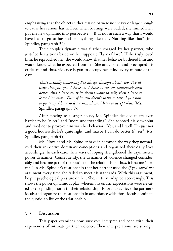emphasizing that the objects either missed or were not heavy or large enough to cause her serious harm. Even when beatings were added, she immediately put the new dynamic into perspective: "[B]ut not in such a way that I would have had to go to hospital or anything like that. Nothing like that" (Ms. Spindler, paragraph 34).

Their couple's dynamic was further charged by her partner, who justified his actions based on her supposed "lack of love": If she truly loved him, he reproached her, she would know that her behavior bothered him and would know what he expected from her. She anticipated and preempted his criticism and thus, violence began to occupy her mind every minute of the day:

> *That's actually something I've always thought about, too. I've always thought, yes, I have to, I have to do the housework even better. And I have to, if he doesn't want to talk, then I have to leave him alone. Even if he still doesn't want to talk, I just have to go away, I have to leave him alone; I have to accept that.* (Ms. Spindler, paragraph 45)

After moving to a larger house, Ms. Spindler decided to try even harder to be "nicer" and "more understanding". She adopted his viewpoint and tried not to provoke him with her behavior: "Yes, and I, well, I'm just not a good housewife; he's quite right, and maybe I can do better (?) Yes" (Ms. Spindler, paragraph 45).

Ms. Novak and Ms. Spindler have in common the way they normalized their respective dominant conceptions and organized their daily lives accordingly. In each case, their ways of coping strengthened the asymmetric power dynamics. Consequently, the dynamics of violence changed considerably and became part of the routine of the relationship. Thus, it became "normal" in Ms. Spindler's relationship that her partner used the *if-you-loved-me* argument every time she failed to meet his standards. With this argument, he put psychological pressure on her. She, in turn, adapted accordingly. This shows the power dynamic at play, wherein his erratic expectations were elevated to the guiding norm in their relationship. Efforts to achieve the partner's ideals and organize the relationship in accordance with those ideals dominate the quotidian life of the relationship.

#### **5.3 Discussion**

This paper examines how survivors interpret and cope with their experiences of intimate partner violence. Their interpretations are strongly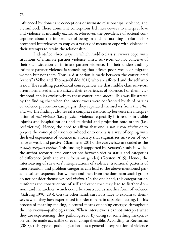influenced by dominant conceptions of intimate relationships, violence, and victimhood. These dominant conceptions led interviewees to interpret love and violence as mutually exclusive. Moreover, the prevalence of societal conceptions about the importance of being in and maintaining a relationship prompted interviewees to employ a variety of means to cope with violence in their attempts to retain the relationship.

I identified three ways in which middle-class survivors cope with situations of intimate partner violence. First, survivors do not conceive of their own situation as intimate partner violence. In their understanding, intimate partner violence is something that affects poor, weak, or migrant women but not them. Thus, a distinction is made between the constructed "others" (Velho and Thomas-Olalde 2011) who are affected and the self who is not. The resulting paradoxical consequences are that middle class survivors often normalized and trivialized their experiences of violence. For them, victimhood applies exclusively to these constructed *others*. This was illustrated by the finding that when the interviewees were confronted by third parties or violence prevention campaigns, they separated themselves from the *other victims*. The findings also reveal a complex relationship between the interpretation of *real violence* (i.e., physical violence, especially if it results in visible injuries and hospitalization) and its denial and projection onto others (i.e., *real* victims). Hence, the need to affirm that one is *not a real victim* or to project the concept of true victimhood onto others is a way of coping with the lived experience of violence in a society that stigmatizes survivors of violence as weak and passive (Glammeier 2011). The *real victims* are coded as the *socially accepted victims*. This finding is supported by Kersten's study in which the author reconstructed connections between victim status and categories of difference (with the main focus on gender) (Kersten 2015). Hence, the interweaving of survivors' interpretations of violence, traditional patterns of interpretation, and problem categories can lead to the above-mentioned paradoxical consequence that women and men from the dominant social group do not consider themselves *real victims*. On the one hand, this categorization reinforces the constructions of self and other that may lead to further divisions and hierarchies, which could be construed as another form of violence (Galtung 1990, 295). On the other hand, survivors have to explain to themselves what they have experienced in order to remain capable of acting. In this process of meaning-making, a central means of coping emerged throughout the interviews—pathologization. When interviewees cannot interpret what they are experiencing, they pathologize it. By doing so, something inexplicable can be made accessible or even comprehensible. According to Reemtsma (2008), this type of pathologization—as a general interpretation of violence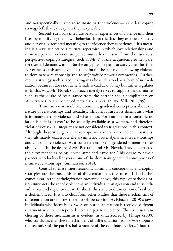and not specifically related to intimate partner violence—is the last coping strategy left that can explain the inexplicable.

Second, survivors integrate personal experiences of violence into their lives by modifying their own behavior. In particular, they ascribe a socially and personally accepted meaning to the violence they experience. This meaning is always subject to a cultural repertoire in which love relationships and intimate partner violence are per se mutually exclusive. From the survivors' perspective, coping strategies, such as Ms. Novak's acquiescing to her partner's sexual demands, might be the only possible path for survival at the time. Nevertheless, this strategy tends to maintain the status quo, allowing violence to dominate a relationship and to (re)produce power asymmetries. Furthermore, a strategy such as acquiescing may be understood as a form of normalization because it does not deny female sexual availability but rather regulates it. In this way, Ms. Novak's approach merely serves to support gender norms such as the desire of reassurance from the partner about compliments on attractiveness or the perceived female sexual availability (Villa 2011, 99).

Third, survivors mobilize dominant gendered conceptions about the nature of relationships and sexuality. This helps survivors distinguish what is intimate partner violence and what is not. For example, in a romantic relationship, it is *natural* to be sexually available as a woman, and therefore violations of sexual integrity are not considered transgressions in this context. Although these strategies serve to cope with and survive violent situations, they ultimately exacerbate the asymmetric power dynamics in relationships and consolidate violence. As a concrete example, a gendered dimension was also evident in the desire of Ms. Bertrand and Ms. Novak. They constructed their experience as being looked after and cared for. This desire to have a partner who looks after you is one of the dominant gendered conceptions of intimate relationships (Gunnarsson 2016).

Central to these interpretations, dominant conceptions, and coping strategies are the mechanisms of differentiation across cases. This also becomes clear in the pathologization presented above; this type of pathologization interprets the act of violence as an individual transgression and thus individualizes and depoliticizes it. In short, the structural dimension of violence is dethematized. It is also clear from other studies that these mechanisms of differentiation are not restricted to self-perception. As Khazaei (2019) shows, individuals who identify as Swiss or European nationals received different treatment when they reported intimate partner violence. The structural anchoring of these mechanisms is evident, as underscored by Philips (2009) who concludes that these mechanisms of differentiation from *others* supports the tectonics of the patriarchal structure of the dominant society. Thus, the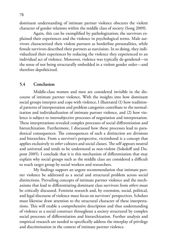dominant understanding of intimate partner violence obscures the violent character of gender relations within the middle class of society (Song 2009).

Again, this can be exemplified by pathologization; the survivors explained their experiences and the violence in psychological terms. Male survivors characterized their violent partners as borderline personalities, while female survivors described their partners as narcissists. In so doing, they individualized their experiences by reducing the violence they experienced to an individual act of violence. Moreover, violence was typically de-gendered—in the sense of not being structurally embedded in a violent gender order—and therefore depoliticized.

#### **5.4 Conclusion**

Middle-class women and men are considered invisible in the discourse of intimate partner violence. With the insights into how dominant social groups interpret and cope with violence, I illustrated (1) how traditional patterns of interpretation and problem categories contribute to the normalization and individualization of intimate partner violence, and (2) how violence is subject to intersubjective processes of negotiation and interpretation. These interpretations revealed complex processes of social differentiation and hierarchization. Furthermore, I discussed how these processes lead to paradoxical consequences. The consequences of such a distinction are divisions and hierarchies. From a survivor's perspective, victimhood is a concept that applies exclusively to *other* cultures and social classes. The self appears neutral and universal and tends to be understood as non-violent (Sokoloff and Dupont 2005). I conclude that it is this mechanism of differentiation that may explain why social groups such as the middle class are considered a difficult to reach target group by social workers and researchers.

My findings support an urgent recommendation that intimate partner violence be addressed as a social and structural problem across social distinctions. Prevailing concepts of intimate partner violence and the mechanisms that lead to differentiating dominant class survivors from *others* must be critically discussed. Feminist research and, by extension, social, political, and legal discourse of violence must focus on survivors' perspectives. Scholars must likewise draw attention to the structural character of these interpretations. This will enable a comprehensive description and thus understanding of violence as a social construct throughout a society structured by complex social processes of differentiation and hierarchization. Further analysis and empirical research are needed to specifically address the interplay of privilege and discrimination in the context of intimate partner violence.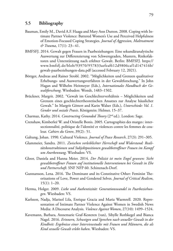#### **5.5 Bibliography**

- Bauman, Emily M., David A.F. Haaga and Mary Ann Dutton. 2008. Coping with Intimate Partner Violence: Battered Women's Use and Perceived Helpfulness of Emotion-Focused Coping Strategies. *Journal of Aggression, Maltreatment & Trauma*, 17(1): 23–41.
- BMFSFJ. 2014. Gewalt gegen Frauen in Paarbeziehungen: Eine sekundäranalytische Auswertung zur Differenzierung von Schweregraden, Mustern, Risikofaktoren und Unterstützung nach erlebter Gewalt. Berlin: BMFSFJ. https:// [www.bmfsfj.de/blob/93970/957833aefeaf612d9806caf1d147416b/](https://www.bmfsfj.de/resource/blob/93970/957833aefeaf612d9806caf1d147416b/gewalt-paarbeziehungen-data.pdf) [gewalt-paarbeziehungen-data.pdf](https://www.bmfsfj.de/resource/blob/93970/957833aefeaf612d9806caf1d147416b/gewalt-paarbeziehungen-data.pdf) (accessed February 12, 2021).
- Böttger, Andreas and Rainer Strobl. 2002. "Möglichkeiten und Grenzen qualitativer Erhebungs- und Auswertungsverfahren in der Gewaltforschung." In John Hagan and Wilhelm Heitmeyer (Eds.), *Internationales Handbuch der Gewaltforschung*. Wiesbaden: Westdt, 1483–1502.
- Brückner, Margrit. 2002. "Gewalt im Geschlechterverhältnis Möglichkeiten und Grenzen eines geschlechtertheoretischen Ansatzes zur Analyse häuslicher Gewalt." In Margrit Göttert and Karin Walser (Eds.), *Unterschiede: Vol. 1. Gender und soziale Praxis*. Königstein: Helmer, 15–37.
- Charmaz, Kathy. 2014. *Constructing Grounded Theory* (2nd ed.). London: Sage.
- Crenshaw, Kimberleé W. and Oristelle Bonis. 2005. Cartographies des marges: intersectionnalité, politique de l'identité et violences contre les femmes de couleur. *Cahiers du Genre*, 39(2): 51.
- Galtung, Johan. 1990. Cultural Violence. *Journal of Peace Research*, 27(3): 291–305.
- Glammeier, Sandra. 2011. *Zwischen verleiblichter Herrschaft und Widerstand: Realitätskonstruktionen und Subjektpositionen gewaltbetroffener Frauen im Kampf um Anerkennung*. Wiesbaden: VS.
- Gloor, Daniela and Hanna Meier. 2014. *Der Polizist ist mein Engel gewesen: Sicht gewaltbetroffener Frauen auf institutionelle Interventionen bei Gewalt in Ehe und Partnerschaft*. SNF NFP 60. Schinznach-Dorf.
- Gunnarsson, Lena. 2016. The Dominant and its Constitutive Other: Feminist Theorizations of Love, Power and Gendered Selves. *Journal of Critical Realism*, 15(1): 1–20.
- Herma, Holger. 2009. *Liebe und Authentizität: Generationswandel in Paarbeziehungen*. Wiesbaden: VS.
- Karlsson, Nadja, Marisol Lila, Enrique Gracia and Maria Waemrell. 2020. Representation of Intimate Partner Violence Against Women in Swedish News Media: A Discourse Analysis. *Violence Against Women*, 27(10): 1499–1524.
- Kavemann, Barbara, Annemarie Graf-Kesteren (van), Sibylle Rothkegel and Bianca Nagel. 2016. *Erinnern, Schweigen und Sprechen nach sexueller Gewalt in der Kindheit: Ergebnisse einer Interviewstudie mit Frauen und Männern, die als Kind sexuelle Gewalt erlebt haben*. Wiesbaden: VS.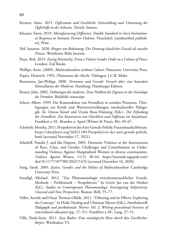- Kersten, Anne. 2015. *Opferstatus und Geschlecht: Entwicklung und Umsetzung der Opferhilfe in der Schweiz*. Zürich: Seismo.
- Khazaei, Faten. 2019. *Manufacturing Difference: Double Standard in Swiss Institutional Responses to Intimate Partner Violence*. Neuchâtel: [unidentified publisher], Print.
- Nef, Susanne. 2020. *Ringen um Bedeutung: Die Deutung häuslicher Gewalt als sozialer Prozess*. Weinheim: Beltz Juventa.
- Pease, Bob. 2019. *Facing Patriarchy: From a Violent Gender Order to a Culture of Peace*. London: Zed Books.
- Phillips, Anne. (2009). *Multiculturalism without Culture*. Princeton: University Press.
- Popitz, Heinrich. 1992. *Phänomene der Macht*. Tübingen: J.C.B. Mohr.
- Reemtsma, Jan-Philipp. 2008. *Vertrauen und Gewalt: Versuch über eine besondere Konstellation der Moderne*. Hamburg: Hamburger Edition.
- Reuter, Julia. 2002. *Ordnungen des Anderen. Zum Problem des Eigenen in der Soziologie des Fremden.* Bielefeld: transcript.
- Scherr, Albert. 1999. Die Konstruktion von Fremdheit in sozialen Prozessen. Überlegungen zur Kritik und Weiterentwicklungen interkultureller Pädagogik. In: Doron Kiesel and Ursula Boos-Nünning (Eds.), *Die Erfindung der Fremdheit. Zur Kontroverse um Gleichheit und Differenz im Sozialstaat.* Frankfurt a.M.: Brandes u. Apsel (Wissen & Praxis, 86), 49–67.
- Schröttle, Monika. 2011. Perspektiven der Anti-Gewalt-Politik: Frauenhausfachforum. [https://docplayer.org/26021109-Perspektiven-der-anti-gewalt-politik.](https://docplayer.org/26021109-Perspektiven-der-anti-gewalt-politik.html) html (accessed November 17, 2021).
- Sokoloff, Natalie J. and Ida Dupont. 2005. Domestic Violence at the Intersections of Race, Class, and Gender: Challenges and Contributions to Understanding Violence Against Marginalized Women in diverse communities. *Violence Against Women*, 11(1): 38–64. https://journals.sagepub.com/ [doi/10.1177/1077801204271476 \(accessed December 10, 2020\).](https://docplayer.org/26021109-Perspektiven-der-anti-gewalt-politik.html)
- Song, Sarah. 2009. *Justice, Gender, and the Politics of Multiculturalism*: Cambridge University Press.
- Staudigl, Michael. 2012. "Zur Phänomenologie zwischenmenschlicher Gewalt. Methode – Problematik – Perspektiven." In Gerrit Jan van der Heiden (Ed.), *Studies in Contemporary Phenomenology: Investigating Subjectivity: Classical and New Perspectives*. Boston: Brill, 55–77.
- Velho, Astride and Oscar Thomas-Olalde. 2011. "Othering and its Effects: Exploring the Concept." In Heike Niedrig and Christian Ydesen (Eds.), *Interkulturelle Pädagogik und postkoloniale Theorie: Vol. 2. Writing postcolonial histories of intercultural education* (pp. 27–51). Frankfurt a.M.: Lang, 27–51.
- Villa, Paula-Irene. 2011. *Sexy Bodies: Eine soziologische Reise durch den Geschlechtskörper*. Wiesbaden: VS.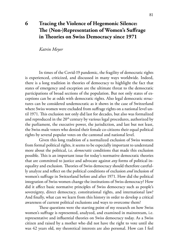# **6 Tracing the Violence of Hegemonic Silence: The (Non-)Representation of Women's Suffrage in Theories on Swiss Democracy since 1971**

*Katrin Meyer*

In times of the Covid-19 pandemic, the fragility of democratic rights is experienced, criticized, and discussed in many ways worldwide. Indeed, there is a long tradition in theories of democracy to highlight the fact that states of emergency and exception are the ultimate threat to the democratic participations of broad sections of the population. But not only states of exceptions can be at odds with democratic rights. Also legal democratic structures can be considered undemocratic as it shows in the case of Switzerland where Swiss women were excluded from suffrage rights on a national level until 1971. This exclusion not only did last for decades, but also was formalized and reproduced in the 20<sup>th</sup> century by various legal procedures, authorized by the parliament, the executive power, the jurisdiction, and last but not least, the Swiss male voters who denied their female co-citizens their equal political rights by several popular votes on the cantonal and national level.

Given this long tradition of a normalized exclusion of Swiss women from formal political rights, it seems to be especially important to understand more about the political, i.e. *democratic* conditions that made this exclusion possible. This is an important issue for today's normative democratic theories that are committed to justice and advocate against *any* forms of political inequality and exclusion. Theories of Swiss democracy should therefore carefully analyze and reflect on the political conditions of exclusion *and* inclusion of women's suffrage in Switzerland before and after 1971. How did the political integration of Swiss women change the institutions of Swiss democracy? How did it affect basic normative principles of Swiss democracy such as people's sovereignty, direct democracy, constitutional rights, and international law? And finally, what can we learn from this history in order to develop a critical awareness of current political exclusions and ways to overcome them?

These questions were the starting point of my research on how Swiss women's suffrage is represented, analyzed, and examined in mainstream, i.e. representative and influential theories on Swiss democracy today. As a Swiss citizen and raised by a mother who did not have the right to vote until she was 42 years old, my theoretical interests are also personal. How can I feel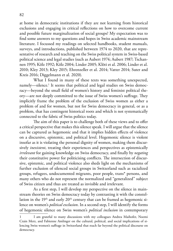at home in democratic institutions if they are not learning from historical exclusions and engaging in critical reflections on how to overcome current and possible future marginalization of social groups? My expectation was to find some answers to my questions and hopes in Swiss academic mainstream literature. I focussed my readings on selected handbooks, student manuals, surveys, and introductions, published between 1974 to 2020, that are representative of research and teaching on the Swiss political system in Swiss-based political science and legal studies (such as Aubert 1974; Aubert 1987; Tschannen 1995; Kölz 1992; Kölz 2004; Linder 2005; Klöti et al. 2006; Linder et al. 2010; Kley 2013; Kley 2015; Ehrenzeller et al. 2014; Vatter 2014; Suter and Kreis 2016; Diggelmann et al. 2020).

What I found in many of these texts was something unexpected, namely—silence.1 It seems that political and legal studies on Swiss democracy—beyond the small field of women's history and feminist political theory—are not deeply committed to the issue of Swiss women's suffrage. They implicitly frame the problem of the exclusion of Swiss women as either a problem of and for women, but not for Swiss democracy in general, or as a problem, that has contingent historical roots and which is not systematically connected to the fabric of Swiss politics today.

The aim of this paper is to challenge both of these views and to offer a critical perspective that makes this silence speak. I will argue that the silence can be captured as hegemonic and that it implies hidden effects of violence on a discursive, epistemic, and political level. Hegemonic silence is violent insofar as it is violating the personal dignity of women, making them discursively *inexistent*, treating their experiences and perspectives as epistemically *irrelevant* for gaining knowledge on Swiss democracy, and finally by *negating*  their constitutive power for politicising conflicts. The intersection of discursive, epistemic, and political violence also sheds light on the mechanisms of further exclusion of silenced social groups in Switzerland such as racialized groups, refugees, undocumented migrants, poor people, trans\* persons, and many others who do not represent the normalized and "generalized" subject of Swiss citizen and thus are treated as invisible and irrelevant.

As a first step, I will develop my perspective on the silence in mainstream theories on Swiss democracy today by contrasting it with the constellation in the  $19<sup>th</sup>$  and early  $20<sup>th</sup>$  century that can be framed as hegemonic silence on women's *political exclusion*. In a second step, I will identify the forms of hegemonic silence on Swiss women's *political inclusion* in contemporary

I am grateful to many discussions with my colleagues Andrea Maihofer, Noemi Crain Merz, and Fabienne Amlinger on the cultural, political, and social implications of silencing Swiss women's suffrage in Switzerland that reach far beyond the political discourse on democracy.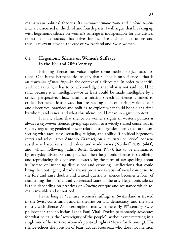mainstream political theories. Its *systematic implications* and *violent dimensions* are discussed in the third and fourth parts. I will argue that breaking up with hegemonic silence on women's suffrage is indispensable for any critical reflection of democracy that strives for inclusive and just institutions and thus, is relevant beyond the case of Switzerland and Swiss women.

## **6.1 Hegemonic Silence on Women's Suffrage in the 19th and 20th Century**

Bringing silence into voice implies some methodological assumptions. One is the hermeneutic insight, that silence is only silence—that is an *expression of meaning*—in the context of a discourse. In order to identify a silence as such, it has to be acknowledged that what is not said, could be said, because it is intelligible—or at least could be made intelligible by a critical perspective. Thus, naming a missing speech as silence is linked to critical hermeneutic analyses that are reading and comparing various texts and discourses, practices and politics, to explore what could be said at a time by whom, and is not, and what this silence could mean in a given context.

It is my claim that silence on women's rights in western politics is always a *hegemonic* silence, giving expression to a widely shared consensus in society regarding gendered power relations and gender norms that are intersecting with race, class, sexuality, religion, and ability. If political hegemony refers and relies, after Antonio Gramsci, on a cultural or "civic" consensus that is based on shared values and world views (Nonhoff 2019, 544 f.) and, which, following Judith Butler (Butler 1997), has to be maintained by everyday discourse and practice, then hegemonic silence is stabilizing and reproducing this consensus exactly by the form of *not* speaking about it. Instead of launching discussions and exposing justifications that could bring the contingent, already always precarious status of social consensus to the fore and raise doubts and critical questions, silence becomes a form of reaffirming the normal and consensual state of the art. Hegemonic silence is thus depending on practices of *silencing* critique and resistance which remain invisible and unnoticed.

In the long 19<sup>th</sup> century, women's suffrage in Switzerland is treated in the Swiss constitution and in theories on law, democracy, and the state mostly with silence. As an example of many, in the early  $19<sup>th</sup>$  century Swiss philosopher and politician Ignaz Paul Vital Troxler passionately advocates for what he calls the "sovereignty of the people", without ever referring in a single one of his texts to women's political rights (Meyer forthcoming). His silence echoes the position of Jean-Jacques Rousseau who does not mention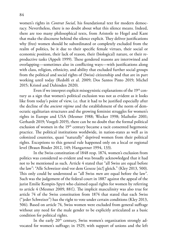women's rights in *Contrat Social,* his foundational text for modern democracy. Nevertheless, there is no doubt about what this silence means. Indeed, there are too many philosophical texts, from Aristotle to Hegel and Kant that make the discourse behind the silence explicit. They deliver justifications why (free) women should be subordinated or completely excluded from the realm of politics, be it due to their specific female virtues, their social or economic position, their lack of reason, their (biological) nature, or their reproductive tasks (Appelt 1999). These gendered reasons are intertwined and overlapping—sometimes also in conflicting ways—with justifications along with class, religion, ethnicity, and ability that excluded further social groups from the political and social rights of (Swiss) citizenship and that are in part working until today (Redolfi et al. 2009; Dos Santos Pinto 2019; Michel 2015; Kristol and Dahinden 2020).

Even if we interpret explicit misogynistic explanations of the  $19<sup>th</sup>$  century as a sign that women's political exclusion was not as evident as it looks like from today's point of view, i.e. that it had to be justified especially after the decline of the *ancient régime* and the establishment of the norm of democratic egalitarian structures and the growing feminist struggles for women's rights in Europe and USA (Mesmer 1988; Wecker 1998; Maihofer 2001; Gerhardt 2019; Voegeli 2019), there can be no doubt that the formal political exclusion of women in the 19<sup>th</sup> century became a tacit consented hegemonic practice. The political institutions worldwide, in nation-states as well as in colonized countries, quasi "naturally" deprived women from their political rights. Exceptions to this general rule happened only on a local or regional level (Braun Binder 2012, 149; Hangartner 1994, 133).

In the Swiss constitution of 1848 resp. 1874, women's exclusion from politics was considered so evident and was broadly acknowledged that it had not to be mentioned as such. Article 4 stated that "all Swiss are equal before the law": "Alle Schweizer sind vor dem Geseze [sic!] gleich." (Kley 2013, 500). This only could be understood as "all Swiss *men* are equal before the law". Such was the judgement of the federal court in 1887 against the appeal of the jurist Emilie Kempin-Spyri who claimed equal rights for women by referring to article 4 (Mesmer 2009, 88 f.). The implicit masculinity was also true for article 74 of the Swiss constitution from 1874 that stated that each Swiss ("jeder Schweizer") has the right to vote under certain conditions (Kley 2013, 506). Based on article 74, Swiss women were excluded from general suffrage without any need for the male gender to be explicitly articulated as a basic condition for political rights.

In the early 20<sup>th</sup> century, Swiss women's organization strongly advocated for women's suffrage; in 1929, with support of unions and the left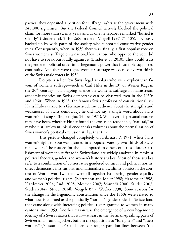parties, they deposited a petition for suffrage rights at the government with 248,000 signatures. But the Federal Council actively blocked the political claim for more than twenty years and as one newspaper remarked "buried it silently" (Linder et al. 2010, 268; in detail Voegeli 1997, 71–105), obviously backed up by wide parts of the society who supported conservative gender roles. Consequently, when in 1959 there was, finally, a first popular vote on Swiss women's suffrage on a national level, those who opposed the vote did not have to speak out loudly against it (Linder et al. 2010). They could trust the gendered political order in its hegemonic power that invariably supported continuity. And they were right. Women's suffrage was denied by two-thirds of the Swiss male voters in 1959.

Despite a select few Swiss legal scholars who were explicitly in favour of women's suffrage—such as Carl Hilty in the 19<sup>th</sup> or Werner Kägi in the 20th century—an ongoing silence on women's suffrage in mainstream academic theories on Swiss democracy can be observed even in the 1950s and 1960s. When in 1963, the famous Swiss professor of constitutional law Hans Huber talked to a German academic audience about the strengths and weaknesses of Swiss democracy, he did not say a single word about Swiss women's missing suffrage rights (Huber 1971). Whatever his personal reasons may have been, whether Huber found the exclusion reasonable, "natural," or maybe just irrelevant, his silence speaks volumes about the normalization of Swiss women's political exclusion still at that time.

This picture changed completely on February 7, 1971, when Swiss women's right to vote was granted in a popular vote by two thirds of Swiss male voters. The reasons for the—compared to other countries—late establishment of women's suffrage in Switzerland are widely analyzed in feminist political theories, gender, and women's history studies. Most of those studies refer to a combination of conservative gendered cultural and political norms, direct democratic institutions, and nationalist masculinist politics in the context of World War Two that were all together hampering gender equality and women's political rights; (Blattmann and Meier 1998; Hardmeier 1998; Hardmeier 2004; Ludi 2005; Mesmer 2007; Stämpfli 2000; Studer 2003; Studer 2014a; Studer 2014b; Voegeli 1997; Wecker 1998). Some reasons for the change in the hegemonic constellation since the 1960s were related to what now is counted as the politically "normal" gender order in Switzerland that came along with increasing political rights granted to women in many cantons since 1959. Another reason was the emergence of a new hegemonic identity of a Swiss citizen that was—at least in the German-speaking parts of Switzerland—among others built in the opposition to "foreigners" and "guest workers" ("Gastarbeiter") and formed strong separation lines between "the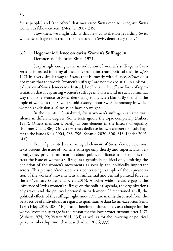Swiss people" and "the other" that motivated Swiss men to recognize Swiss women as fellow citizens (Mesmer 2007, 315).

How then, we might ask, is this new constellation regarding Swiss women's suffrage reflected in the literature on Swiss democracy today?

## **6.2 Hegemonic Silence on Swiss Women's Suffrage in Democratic Theories Since 1971**

Surprisingly enough, the introduction of women's suffrage in Switzerland is treated in many of the analyzed mainstream political theories *after* 1971 in a very similar way as *before*, that is: mostly with silence. *Silence* does not mean that the words "women's suffrage" are not evoked at all in a historical survey of Swiss democracy. Instead, I define as "silence" any form of representation that is capturing women's suffrage in Switzerland in such a minimal way that its relevance for Swiss democracy today is left blank. By silencing the topic of women's rights, we are told a story about Swiss democracy in which women's exclusion *and* inclusion have no weight.

In the literature I analyzed, Swiss women's suffrage is treated with silence in different degrees. Some texts ignore the topic completely (Aubert 1987). Others mention it briefly as one element in the history of equality (Ballmer-Cao 2006). Only a few texts dedicate its own chapter or a subchapter to the issue (Kölz 2004, 783–796; Schmid 2020, 300–313; Linder 2005, 61f.).

Even if presented as an integral element of Swiss democracy, most texts present the issue of women's suffrage only shortly and superficially. Seldomly, they provide information about political alliances and struggles that treat the issue of women's suffrage as a genuinely political one, omitting the depiction of the women's movements as socially and politically important actors. This picture often becomes a contrasting example of the representation of the workers' movement as an influential and central political force in the  $20<sup>th</sup>$  century (Suter and Kreis 2016). Another wide literature gap is the influence of Swiss women's suffrage on the political agenda, the organizations of parties, and the political personal in parliament. If mentioned at all, the political effects of the suffrage right since 1971 are mainly discussed from the perspective of individuals in regard to quantitative data (as an exception Senti 1994; Kley 2013, 408– 410)—and therefore unfortunately as a change for the worse. Women's suffrage is the reason for the lower voter turnout after 1971 (Aubert 1974, 99; Vatter 2014, 134) as well as for the lowering of political party membership since that year (Ladner 2006, 333).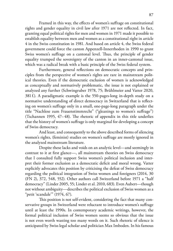Framed in this way, the effects of women's suffrage on constitutional rights and gender equality in civil law after 1971 are not reflected. In fact, granting equal political rights for men and women in 1971 made it possible to establish equality between men and women as a constitutional right in article 4 in the Swiss constitution in 1981. And based on article 4, the Swiss federal government could force the canton Appenzell-Innerrhoden in 1990 to grant Swiss women's suffrage on a cantonal level. Thus, the principle of gender equality trumped the sovereignty of the canton in an inner-cantonal issue, which was a radical break with a basic principle of the Swiss federal system.

Furthermore, general reflections on democratic concepts and principles from the perspective of women's rights are rare in mainstream political theories. Even if the democratic exclusion of women is acknowledged as conceptually and normatively problematic, the issue is not explained or analyzed any further (Schwingruber 1978, 75; Brühlmeier and Vatter 2020, 381 f.). A paradigmatic example is the 550-pages-long in-depth study on a normative understanding of direct democracy in Switzerland that is reflecting on women's suffrage only in a small, one-page-long paragraph under the title "Nachlese zum Frauenstimmrecht" ("gleanings to women's suffrage") (Tschannen 1995, 47-48). The rhetoric of appendix in this title underlies that the history of women's suffrage is only marginal for developing a concept of Swiss democracy.

And least, and consequently to the above described forms of silencing women's rights, (feminist) studies on women's suffrage are mostly ignored in the analyzed mainstream literature.

Despite these lacks and voids on an analytic level—and seemingly in contrast to it at first glance—, all mainstream theories on Swiss democracy that I consulted fully support Swiss women's political inclusion and interpret their former exclusion as a democratic deficit and moral wrong. Vatter explicitly advocates this position by criticising the defeat of Swiss democracy regarding the political integration of Swiss women and foreigners (2014, 30 (FN 2), 372, 548, 552). Other authors call Switzerland before 1971 a "half democracy" (Linder 2005, 55; Linder et al. 2010, 683). Even Aubert—though not without ambiguity—describes the political exclusion of Swiss women as a "petit 'scandale'" (1974, 67).

This position is not self-evident, considering the fact that many conservative groups in Switzerland were reluctant to introduce women's suffrage until at least the 1990s. In contemporary academic writings, however, the formal political inclusion of Swiss women seems so obvious that the issue is not even worth wasting too many words on it. Such rhetoric of silence is anticipated by Swiss legal scholar and politician Max Imboden. In his famous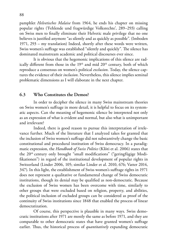pamphlet *Helvetisches Malaise* from 1964, he ends his chapter on missing popular rights ('Fehlende und fragwürdige Volksrechte', 289–293) calling on Swiss men to finally eliminate their Helvetic male privilege that no one believes is justified anymore "as silently and as quickly as possible". (Imboden 1971, 293 – my translation) Indeed, shortly after these words were written, Swiss women's suffrage was established "silently and quickly". The silence has dominated mainstream academic and political discourses ever since.

It is obvious that the hegemonic implications of this silence are radically different from those in the  $19<sup>th</sup>$  and mid  $20<sup>th</sup>$  century, both of which reproduce a consensus on women's political *exclusion*. Today, the silence captures the evidence of their *inclusion*. Nevertheless, this silence implies seminal problematic dimensions as I will elaborate in the next chapter.

#### **6.3 Who Constitutes the Demos?**

In order to decipher the silence in many Swiss mainstream theories on Swiss women's suffrage in more detail, it is helpful to focus on its systematic aspects. Can the meaning of hegemonic silence be interpreted not only as an expression of what is evident and normal, but also what is unimportant and irrelevant?

Indeed, there is good reason to pursue this interpretation of irrelevance further. Much of the literature that I analyzed takes for granted that the inclusion of Swiss women's suffrage did not substantively change the basic constitutional and procedural institution of Swiss democracy. In a paradigmatic expression, the *Handbook of Swiss Politics* (Klöti et al. 2006) states that the 20th century only brought "small modifications" ("geringfügige Modifikationen") in regard of the institutional development of popular rights in Switzerland (Linder 2006, 105; similar Linder et al. 2010, 676; Vatter 2014, 347). In this light, the establishment of Swiss women's suffrage rights in 1971 does not represent a qualitative or fundamental change of Swiss democratic institutions, though its denial may be qualified as non-democratic. Because the exclusion of Swiss women has been overcome with time, similarly to other groups that were excluded based on religion, property, and abilities, the political inclusion of excluded groups can be considered as proof of the continuity of Swiss institutions since 1848 that enabled the process of linear democratization.

Of course, this perspective is plausible in many ways. Swiss democratic institutions after 1971 are mostly the same as before 1971, and they are comparable to other democratic states that have granted women's suffrage earlier. Thus, the historical process of *quantitatively* expanding democratic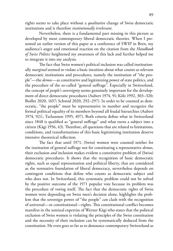rights seems to take place without a *qualitative* change of Swiss democratic institutions and is therefore *institutionally irrelevant*.

Nevertheless, there is a fundamental part missing in this picture as developed by most contemporary liberal democratic theories. When I presented an earlier version of this paper at a conference of SWIP in Bern, my audience's anger and emotional reaction on the citation from the *Handbook of Swiss Politics* heightened my awareness of this lack and further helped me to integrate it into my analysis.

The fact that Swiss women's political inclusion was called institutionally *marginal* seemed to violate a basic intuition about what counts as relevant democratic institutions and procedures, namely the institution of "the people"—the *demos*—as constitutive and legitimizing power of state politics, and the procedure of the so-called "general suffrage". Especially in Switzerland, the concept of *people's sovereignty* seems genuinely important for the development of direct democratic procedures (Aubert 1974, 91; Kölz 1992, 303–320; Boillet 2020, 1657; Schmid 2020, 292–297). In order to be counted as democratic, "the people" must be representative in number and recognize the formal political equality of its members beyond all feudal hierarchies (Aubert 1974, 92f.; Tschannen 1995, 497). Both criteria define what in Switzerland since 1848 is qualified as "general suffrage" and what turns a subject into a citizen (Kägi 1956, 43). Therefore, all questions that are related to limitations, conditions, and transformations of this basic legitimizing institution deserve intensive theoretical reflection.

The fact that until 1971, (Swiss) women were counted neither for the institution of general suffrage nor for constituting a representative *demos*, their exclusion *and* inclusion makes evident a constitutive problem of (Swiss) democratic procedures. It shows that the recognition of basic democratic rights, such as equal representation and political liberty, that are considered as the normative foundation of liberal democracy, nevertheless depends on contingent conditions that define who counts as democratic subject and who does not. In Switzerland, this systematic problem could not be solved by the positive outcome of the 1971 popular vote because its problem was the procedure of voting itself. The fact that the democratic rights of Swiss women were depending on Swiss men's decision alone, highlights the problem that the sovereign power of "the people" *can* clash with the recognition of universal—or constitutional—rights. This constitutional conflict becomes manifest in the seminal expertise of Werner Kägi who states that the political exclusion of Swiss women is violating the principles of the Swiss constitution and the necessity of their inclusion can be systematically deduced from the constitution. He even goes so far as to denounce contemporary Switzerland as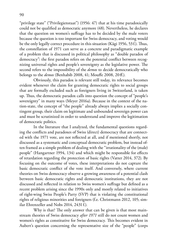"privilege state" ("Privilegienstaat") (1956: 47) that at his time paradoxically could not be qualified as democratic anymore (48). Nevertheless, he declares that the question on women's suffrage has to be decided by the male voters because the question is too important for Swiss democracy, and voting would be the only legally correct procedure in this situation (Kägi 1956, 53f.). Thus, the constellation of 1971 can serve as a concrete and paradigmatic example of a problem that is discussed in political philosophy as "double paradox of democracy": the first paradox refers on the potential conflict between recognizing universal rights and people's sovereignty as the legislative power. The second refers to the impossibility of the *demos* to decide democratically who belongs to the *demos* (Benhabib 2008, 41; Mouffe 2008, 20ff.).

Obviously, this paradox is relevant still today, its relevance becomes evident whenever the claim for granting democratic rights to social groups that are formally excluded such as foreigners living in Switzerland, is taken up. Thus, the democratic paradox calls into question the concept of "people's sovereignty" in many ways (Meyer 2016a). Because in the context of the nation-state, the concept of "the people" already always implies a socially contingent group, their claim on legitimate and unbounded sovereign power can and must be scrutinized in order to understand and improve the legitimation of democratic politics.

In the literature that I analyzed, the fundamental questions regarding the conflicts and paradoxes of Swiss (direct) democracy that are connected with the 1971 vote, are not reflected at all, and if mentioned shortly, not discussed as a systematic and conceptual democratic problem, but instead often framed as a simple problem of dealing with the "irrationality of the (male) people" (Hangartner 1994, 134) and which might be responsible for effects of retardation regarding the protection of basic rights (Vatter 2014, 372). By focusing on the outcome of votes, these interpretations do not capture the basic democratic conflict of the vote itself. And conversely, where current theories on Swiss democracy observe a growing awareness of a potential clash between basic democratic rights and democratic institutions, they are not discussed and reflected in relation to Swiss women's suffrage but defined as a recent problem arising since the 1990s only and mostly related to initiatives of right-wing Swiss People's Party (SVP) that is violating the constitutional rights of religious minorities and foreigners (f.e. Christmann 2012, 105; similar Ehrenzeller and Nobs 2014, 2431 f.).

Why is that? The only answer that can be given is that most mainstream theories of Swiss democracy *after 1971* still do not count women and women's rights as constitutive for Swiss democracy. This becomes evident in Aubert's question concerning the representative size of the "people" (corps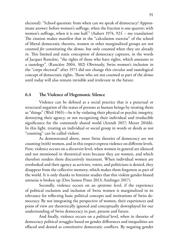electoral): "School question: from when can we speak of democracy? Approximate answer: before women's suffrage, when the fraction is one quarter; with women's suffrage, when it is one half." (Aubert 1974, 92f. – my translation) The citation makes manifest that in the "calculation exercise" of the school of liberal democratic theories, women or other marginalized groups are not counted *for* constituting the *demos*, but only counted when they are already *in*. This limited and static conception of democracy captures, in the words of Jacques Rancière, "the rights of those who have rights, which amounts to a tautology". (Rancière 2004, 302) Obviously, Swiss women's inclusion in the "corps electoral" after 1971 did not change this circular and tautological concept of democratic rights. Those who are not counted as part of the *demos* until today will also remain invisible and irrelevant in the future.

#### **6.4 The Violence of Hegemonic Silence**

Violence can be defined as a social practice that is a punctual or structural negation of the status of persons as human beings by treating them as "things" (Weil 1965)—be it by violating their physical or psychic integrity, destroying their agency, or not recognizing their individual and irreducible significance for the commonly shared world (Arendt 2017; Meyer 2016b). In this light, treating an individual or social group in words or deeds as not "counting" can be called violent.

As demonstrated above, most Swiss theories of democracy are not counting (with) women, and in this respect express violence on different levels. First, violence occurs on a *discursive* level, when women in general are silenced and not mentioned in theoretical texts because they are women, and which therefore renders them discursively inexistent. When individual women are overlooked and their agency as activists, voters, and politicians is denied, they disappear from the collective memory, which makes them forgotten as part of the world. It is only thanks to feminist studies that this violent gender-biased amnesia is broken up (Dos Santos Pinto 2013; Amlinger 2017).

Secondly, violence occurs on an *epistemic* level, if the experience of political exclusion and inclusion of Swiss women is marginalized in its relevance for reflecting basic political concepts and institutions of Swiss democracy. By not integrating the perspective of women, their experiences and point of view are theoretically ignored and conceptually downplayed for our understanding of Swiss democracy in past, present and future.

And finally, violence occurs on a *political* level, when in theories of democracy political struggles based on gender differences and inequalities are effaced and denied as constitutive democratic conflicts. By negating gender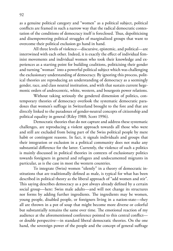as a genuine political category and "women" as a political subject, political conflicts are framed in such a narrow way that the radical democratic contestation of the conditions of democracy itself is foreclosed. Thus, depoliticising and disempowering political struggles of marginalized groups that want to overcome their political exclusion go hand in hand.

All three levels of violence—discursive, epistemic, and political—are intertwined with each other. Indeed, it is exactly the effect of individual feminist movements and individual women who took their knowledge and experiences as a starting point for building coalitions, politicising their gender and turning "woman" into a powerful political subject which was challenging the exclusionary understanding of democracy. By ignoring this process, political theories are reproducing an understanding of democracy as a seemingly gender, race, and class neutral institution, and with that sustain current hegemonic orders of androcentric, white, western, and bourgeois power relations.

Without taking seriously the gendered dimension of politics, contemporary theories of democracy overlook the systematic democratic paradoxes that women's suffrage in Switzerland brought to the fore and that are directly linked to the paradoxes of gender-neutral concepts of citizenship and political equality in general (Riley 1988; Scott 1996).

Democratic theories that do not capture and address these systematic challenges, are reproducing a violent approach towards all those who were and still are excluded from being part of the Swiss political people by mere habit or contingent reasons. In fact, it signals individuals and groups that their integration or exclusion in a political community does not make any substantial difference for the latter. Currently, the violence of such a politics is mainly discussed in political theories in contexts of exclusionary politics towards foreigners in general and refugees and undocumented migrants in particular, as is the case in most the western countries.

To integrate (Swiss) women "silently" in a theory of democratic institutions that are traditionally defined as male, is typical for what has been described in political theory as the liberal approach of "add women and stir". This saying describes democracy as a pot always already defined by a certain social group—here: Swiss male adults—and will not change its structures nor forms by adding further ingredients. The ingredients may be women, young people, disabled people, or foreigners living in a nation-state—they all are thrown in a pot of soup that might become more diverse or colorful but substantially remains the same over time. The emotional reaction of my audience at the aforementioned conference pointed to this central conflict or double perspective—in standard liberal democratic theories. On the one hand, the sovereign power of the people and the concept of general suffrage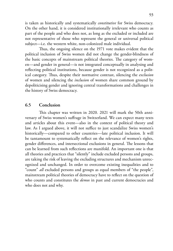is taken as historically and systematically *constitutive* for Swiss democracy. On the other hand, it is considered institutionally irrelevant who counts as part of the people and who does not, as long as the excluded or included are not representative of those who represent the general or universal political subject—i.e. the western white, non-colonized male individual.

Thus, the ongoing silence on the 1971 vote makes evident that the political inclusion of Swiss women did not change the gender-blindness of the basic concepts of mainstream political theories. The category of women—and gender in general—is not integrated conceptually in analysing and reflecting political institutions, because gender is not recognized as a political category. Thus, despite their normative contrast, silencing the *exclusion* of women and silencing the *inclusion* of women share common ground by depoliticising gender and ignoring central transformations and challenges in the history of Swiss democracy.

#### **6.5 Conclusion**

This chapter was written in 2020. 2021 will mark the 50th anniversary of Swiss women's suffrage in Switzerland. We can expect many texts and articles about this event—also in the context of political theory and law. As I argued above, it will not suffice to just scandalize Swiss women's historically—compared to other countries—late political inclusion. It will be tantamount to systematically reflect on the relevance of women's rights, gender differences, and intersectional exclusions in general. The lessons that can be learned from such reflections are manifold. An important one is that all theories and practices that "silently" include excluded persons and groups, are taking the risk of leaving the excluding structures and mechanism unrecognized and unchanged. In order to overcome existing inequalities and to "count" *all* excluded persons and groups as equal members of "the people", mainstream political theories of democracy have to reflect on the question of who counts and constitutes the *demos* in past and current democracies and who does not and why.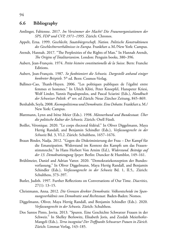#### **6.6 Bibliography**

- Amlinger, Fabienne. 2017. *Im Vorzimmer der Macht? Die Frauenorganisationen der SPS, FDP und CVP, 1971–1995.* Zürich: Chronos.
- Appelt, Erna. 1999. *Geschlecht, Staatsbürgerschaft, Nation. Politische Konstruktionen des Geschlechterverhältnisses in Europa.* Frankfurt a.M./New York: Campus.
- Arendt, Hannah. 2017. "The Perplexities of the Rights of Man." In Hannah Arendt, *The Origins of Totalitarianism*. London: Penguin books, 380–396.
- Aubert, Jean-François. 1974. *Petite histoire constitutionelle de la Suisse*. Bern: Francke Editions.
- Aubert, Jean-François. 1987. *So funktioniert die Schweiz. Dargestellt anhand einiger konkreter Beispiele.* 5th ed. Bern: Cosmos-Verlag.
- Ballmer-Cao, Thanh-Huyen. 2006. "Les politiques publiques de l'égalité entre femmes et hommes." In Ulrich Klöti, Peter Knoepfel, Hanspeter Kriesi, Wolf Linder, Yannis Papadopoulos, and Pascal Sciarini (Eds.), *Handbuch der Schweizer Politik. 4th* rev. ed Zürich: Neue Zürcher Zeitung, 845–869.
- Benhabib, Seyla. 2008. *Kosmopolitismus und Demokratie. Eine Debatte.* Frankfurt a.M./ New York: Campus.
- Blattmann, Lynn and Irène Meier (Eds.). 1998. *Männerbund und Bundesstaat. Über die politische Kultur der Schweiz.* Zürich: Orell Füssli.
- Boillet, Véronique. 2020. "Le corps électoral fédéral." In Oliver Diggelmann, Maya Hertig Randall, and Benjamin Schindler (Eds.), *Verfassungsrecht in der Schweiz* Bd. 3, VI.2. Zürich: Schulthess, 1657–1676.
- Braun Binder, Nadja. 2012. "Gegen die Diskriminierung der Frau Der Kampf für die Emanzipation. Widerstand im Kontext des Kampfs um das Frauenstimmrecht." In Hans Herbert Von Arnim (Ed.), *Widerstand. Beiträge auf der 13. Demokratietagung Speyer.* Berlin: Duncker & Humblot, 149–161.
- Brühlmeier, Daniel and Adrian Vatter. 2020. "Demokratiekonzeption der Bundesverfassung." In Oliver Diggelmann, Maya Hertig Randall, and Benjamin Schindler (Eds.), *Verfassungsrecht in der Schweiz* Bd. 1, II.5,. Zürich: Schulthess, 373–397.
- Butler, Judith. 1997. Further Reflections on Conversations of Our Time. *Diacritics,*  27(1): 13–15.
- Christmann, Anna. 2012. *Die Grenzen direkter Demokratie. Volksentscheide im Spannungsverhältnis von Demokratie und Rechtsstaat.* Baden-Baden: Nomos.
- Diggelmann, Oliver, Maya Hertig Randall, and Benjamin Schindler (Eds.). 2020. *Verfassungsrecht in der Schweiz.* Zürich: Schulthess.
- Dos Santos Pinto, Jovita. 2013. "Spuren. Eine Geschichte Schwarzer Frauen in der Schweiz." In Shelley Berlowitz, Elisabeth Joris, and Zeedah Meierhofer-Mangeli (Eds.), *Terra incognita? Der Treffpunkt Schwarzer Frauen in Zürich.* Zürich: Limmat Verlag, 143–185.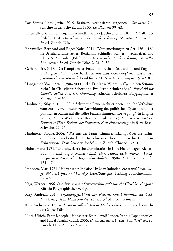- Dos Santos Pinto, Jovita. 2019. Besitzen, s/exotisieren, vergessen Schwarze Geschichte in der Schweiz um 1800. *RosaRot,* 56: 39–43.
- Ehrenzeller, Bernhard, Benjamin Schindler, Rainer J. Schweizer, and Klaus A. Vallender (Eds.). 2014. *Die schweizerische Bundesverfassung: St. Galler Kommentar.* 3rd ed. Zürich: Dike.
- Ehrenzeller, Bernhard and Roger Nobs. 2014. "Vorbemerkungen zu Art. 136–142." In Bernhard Ehrenzeller, Benjamin Schindler, Rainer J. Schweizer, and Klaus A. Vallender (Eds.), *Die schweizerische Bundesverfassung: St.Galler Kommentar.* 3rd ed. Zürich: Dike, 2421–2437.
- Gerhard, Ute. 2018. "Der Kampf um das Frauenwahlrecht Deutschland und England im Vergleich." In Ute Gerhard, *Für eine andere Gerechtigkeit. Dimensionen feministischer Rechtskritik.* Frankfurt a.M./New York: Campus, 191–218.
- Hangartner, Yvo. 1994. "1798–2000 und ?. Der lange Weg zum allgemeinen Stimmrecht." In Clausdieter Schott and Eva Petrig Schuler (Eds.), *Festschrift für Claudio Soliva zum 65. Geburtstag.* Zürich: Schulthess Polygraphischer Verlag, 127–145.
- Hardmeier, Sibylle. 1998. "Die Schweizer Frauenrechtlerinnen und ihr Verhältnis zum Staat: Zwei Thesen zur Auswirkung des politischen Systems und der politischen Kultur auf die frühe Frauenstimmrechtsbewegung." In Brigitte Studer, Regina Wecker, and Béatrice Ziegler (Eds.), *Frauen und Staat/Les Femmes et l'Etat. Berichte des Schweizerischen Historikertages in Bern.* Basel: Schwabe, 22–27.
- Hardmeier, Sibylle. 2004. "Was uns der Frauenstimmrechtskampf über die 'Erfindung' der Demokratie lehrt." In Schweizerisches Bundesarchiv (Ed.), *Die Erfindung der Demokratie in der Schweiz.* Zürich: Chronos, 75–108.
- Huber, Hans. 1971. "Die schweizerische Demokratie." In Kurt Eichenberger, Richard Bäumlin, and Jörg P. Müller (Eds.), *Hans Huber. Rechtstheorie – Verfassungsrecht – Völkerrecht. Ausgewählte Aufsätze* 1950–1970. Bern: Stämpfli, 451–474.
- Imboden, Max. 1971. "Helvetisches Malaise." In Max Imboden, *Staat und Recht. Ausgewählte Schriften und Vorträge.* Basel/Stuttgart: Helbing & Lichtenhahn, 279–307.
- Kägi, Werner. 1956. *Der Anspruch der Schweizerfrau auf politische Gleichberechtigung.* Zürich: Polygraphischer Verlag.
- Kley, Andreas. 2013. *Verfassungsgeschichte der Neuzeit: Grossbritannien, die USA, Frankreich, Deutschland und die Schweiz.* 3rd ed. Bern: Stämpfli.
- Kley, Andreas. 2015. *Geschichte des öffentlichen Rechts der Schweiz.* 2 nd rev. ed. Zürich/ St.Gallen: Dike.
- Klöti, Ulrich, Peter Knoepfel, Hanspeter Kriesi, Wolf Linder, Yannis Papadopoulos, and Pascal Sciarini (Eds.). 2006. *Handbuch der Schweizer Politik.* 4th rev. ed. Zürich: Neue Zürcher Zeitung.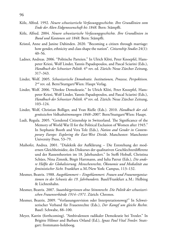- Kölz, Alfred. 1992. *Neuere schweizerische Verfassungsgeschichte. Ihre Grundlinien vom Ende der Alten Eidgenossenschaft bis 1848.* Bern: Stämpfli.
- Kölz, Alfred. 2004. *Neuere schweizerische Verfassungsgeschichte. Ihre Grundlinien in Bund und Kantonen seit 1848.* Bern: Stämpfli.
- Kristol, Anne and Janine Dahinden. 2020. "Becoming a citizen through marriage: how gender, ethnicity and class shape the nation". *Citizenship Studies* 24(1): 40–56.
- Ladner, Andreas. 2006. "Politische Parteien." In Ulrich Klöti, Peter Knoepfel, Hanspeter Kriesi, Wolf Linder, Yannis Papadopoulos, and Pascal Sciarini (Eds.), Handbuch der Schweizer Politik. 4<sup>th</sup> rev. ed. Zürich: Neue Zürcher Zeitung, 317–343.
- Linder, Wolf. 2005. *Schweizerische Demokratie. Institutionen, Prozesse, Perspektiven.*  2<sup>nd</sup> rev. ed. Bern/Stuttgart/Wien: Haupt Verlag.
- Linder, Wolf. 2006. "Direkte Demokratie." In Ulrich Klöti, Peter Knoepfel, Hanspeter Kriesi, Wolf Linder, Yannis Papadopoulos, and Pascal Sciarini (Eds.), *Handbuch der Schweizer Politik.* 4th rev. ed. Zürich: Neue Zürcher Zeitung, 103–124.
- Linder, Wolf, Christian Bolliger, and Yvan Rielle (Eds.). 2010. *Handbuch der eidgenössischen Volksabstimmungen 1848–2007.* Bern/Stuttgart/Wien: Haupt.
- Ludi, Regula. 2005. "Gendered Citizenship in Switzerland. The Significance of the Memory of World War II for the Political Exclusion of Women after 1945." In Stephanie Booth and Vera Tolz (Eds.), *Nation and Gender in Contemporary Europe: Exploring the East-West Divide*. Manchester: Manchester University Press, 53–79.
- Maihofer, Andrea. 2001. "Dialektik der Aufklärung Die Entstehung der modernen Gleichheitsidee, des Diskurses der qualitativen Geschlechterdifferenz und der Rassentheorien im 18. Jahrhundert." In Steffi Hobuß, Christina Schües, Nina Zimnik, Birgit Hartmann, and Iulia Patrut (Eds.), *Die andere Hälfte der Globalisierung. Menschenrechte, Ökonomie und Medialität aus feministischer Sicht.* Frankfurt a.M./New York: Campus, 113–132.
- Mesmer, Beatrix. 1988. *Ausgeklammert Eingeklammert. Frauen und Frauenorganisationen in der Schweiz des 19. Jahrhunderts.* Basel/Frankfurt a.M.: Helbing & Lichtenhahn.
- Mesmer, Beatrix. 2007. *Staatsbürgerinnen ohne Stimmrecht. Die Politik der schweizerischen Frauenverbände 1914–1971.* Zürich: Chronos.
- Mesmer, Beatrix. 2009. "Verfassungsrevision oder Interpretationsweg?" In Schweizerischer Verband für Frauenrechte (Eds.), *Der Kampf um gleiche Rechte.* Basel: Schwabe, 88–100.
- Meyer, Katrin (forthcoming). "Ambivalenzen radikaler Demokratie bei Troxler." In Brigitte Hilmer and Barbara Orland (Ed.), *Ignaz Paul Vital Troxler.* Stuttgart: frommann-holzboog.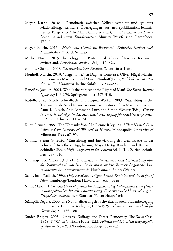- Meyer, Katrin. 2016a. "Demokratie zwischen Volkssouveränität und egalitärer Machtteilung. Kritische Überlegungen aus neorepublikanisch-feministischer Perspektive." In Alex Demirović (Ed.), *Transformation der Demokratie – demokratische Transformation.* Münster: Westfälisches Dampfboot, 174–200.
- Meyer, Katrin. 2016b. *Macht und Gewalt im Widerstreit. Politisches Denken nach Hannah Arendt.* Basel: Schwabe.
- Michel, Noémi. 2015. Sheepology. The Postcolonial Politics of Raceless Racism in Switzerland. *Postcolonial Studies,* 18(4): 410–426.
- Mouffe, Chantal. 2008. *Das demokratische Paradox.* Wien: Turia+Kant.
- Nonhoff, Martin. 2019. "Hegemonie." In Dagmar Comtesse, Oliver Flügel-Martinsen, Franziska Martinsen, and Martin Nonhoff (Eds.), *Radikale Demokratietheorie. Ein Handbuch*. Berlin: Suhrkamp, 542–552.
- Rancière, Jacques. 2004. Who Is the Subject of the Rights of Man? *The South Atlantic Quarterly* 103(2/3), Spring/Summer: 297–310.
- Redolfi, Silke, Nicole Schwalbach, and Regina Wecker. 2009. "Staatsbürgerrecht: Transnationale Aspekte einer nationalen Institution." In Martina Ineichen, Anna K. Liesch, Anja Rathmann-Lutz, and Simon Wenger (Eds.), *Gender in Trans-it. Beiträge der 12. Schweizerischen Tagung für Geschlechtergeschichte.* Zürich: Chronos, 117–124.
- Riley, Denise. 1988. "The Womanly Vote." In Denise Riley, *"Am I That Name?" Feminism and the Category of "Women" in History*. Minneapolis: University of Minnesota Press, 67–95.
- Schmid, Stefan G. 2020. "Entstehung und Entwicklung der Demokratie in der Schweiz." In Oliver Diggelmann, Maya Hertig Randall, and Benjamin Schindler (Eds.), *Verfassungsrecht in der Schweiz* Bd. 1, II.1. Zürich: Schulthess, 287–316.
- Schwingruber, Anton. 1978. *Das Stimmrecht in der Schweiz. Eine Untersuchung über das Stimmrecht als subjektives Recht, mit besonderer Berücksichtigung der kantonalrechtlichen Ausschlussgründe.* Nussbaumen: Studer+Walder.
- Scott, Joan Wallach. 1996. *Only Paradoxes to Offer. French Feminists and the Rights of Man.* Cambridge/London: Harvard University Press.
- Senti, Martin. 1994. *Geschlecht als politischer Konflikt: Erfolgsbedingungen einer gleichstellungspolitischen Interessensdurchsetzung. Eine empirische Untersuchung am Beispiel der Schweiz.* Bern/Stuttgart/Wien: Haupt Verlag.
- Stämpfli, Regula. 2000. Die Nationalisierung der Schweizer Frauen: Frauenbewegung und Geistige Landesverteidigung 1933–1939. *Schweizerische Zeitschrift für Geschichte,* 50: 155–180.
- Studer, Brigitte. 2003. "Universal Suffrage and Direct Democracy. The Swiss Case, 1848–1990." In Christine Fauré (Ed.), *Political and Historical Encyclopedia of Women*. New York/London: Routledge, 687–703.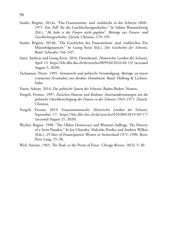- Studer, Brigitte. 2014a. "Das Frauenstimm- und -wahlrecht in der Schweiz 1848– 1971. Ein ,Fall' für die Geschlechtergeschichte." In Sabine Braunschweig (Ed.), "*Als habe es die Frauen nicht gegeben*"*. Beiträge zur Frauen- und Geschlechtergeschichte.* Zürich: Chronos, 179–195.
- Studer, Brigitte. 2014b. "Die Geschichte des Frauenstimm- und -wahlrechts: Ein Misserfolgsnarrativ." In Georg Kreis (Ed.), *Die Geschichte der Schweiz.*  Basel: Schwabe, 544–547.
- Suter, Andreas and Georg Kreis. 2016. Demokratie. *Historisches Lexikon der Schweiz,*  April 13. https://hls-dhs-dss.ch/de/articles/009926/2016-04-13/ (accessed August 5, 2020).
- Tschannen, Pierre. 1995. *Stimmrecht und politische Verständigung. Beiträge zu einem erneuerten Verständnis von direkter Demokratie.* Basel: Helbing & Lichtenhahn.
- Vatter, Adrian. 2014. *Das politische System der Schweiz.* Baden-Baden: Nomos.
- Voegeli, Yvonne. 1997. *Zwischen Hausrat und Rathaus. Auseinandersetzungen um die politische Gleichberechtigung der Frauen in der Schweiz 1945–1971.* Zürich: Chronos.
- Voegeli, Yvonne. 2019. Frauenstimmrecht. *Historisches Lexikon der Schweiz,*  September 17. https://hls-dhs-dss.ch/de/articles/010380/2019-09-17/ (accessed August 21, 2020).
- Wecker, Regina. 1998. "The Oldest Democracy and Women's Suffrage. The History of a Swiss Paradox." In Joy Charnley, Malcolm Pender, and Andrew Wilkin (Eds.), *25 Years of Emancipation. Women in Switzerland 1971–1996*. Bern: Peter Lang, 25–38.
- Weil, Simone. 1965. The Iliad, or the Poem of Force. *Chicago Review*, 18(2): 5–30.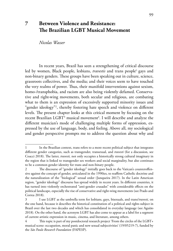## **7 Between Violence and Resistance: The Brazilian LGBT Musical Movement**

*Nicolas Wasser*

In recent years, Brazil has seen a strengthening of critical discourse led by women, Black people, lesbians, *travestis* and trans people<sup>1,</sup> gays and non-binary genders. These groups have been speaking out in culture, science, grassroots collectives, and the media; and their voices seem to have touched the very realms of power. Thus, their manifold interventions against sexism, homo-/transphobia, and racism are also being violently defamed. Conservative and right-wing movements, both secular and religious, are combating what to them is an expression of excessively supported minority issues and "gender ideology"2 , thereby fostering hate speech and violence on different levels. The present chapter looks at this critical moment by focusing on the recent Brazilian LGBT<sup>3</sup> musical movement<sup>4</sup>. I will describe and analyze the different musician's mode of challenging multiple forms of oppression, expressed by the use of language, body, and feeling. Above all, my sociological and gender perspective prompts me to address the question about why and

<sup>1</sup> In the Brazilian context, trans refers to a more recent political subject that integrates different gender categories, such as transgender, transexual, and *travesti* (for a discussion, see Coacci 2018). The latter, *travesti,* not only occupies a historically strong cultural imaginary in the region that is linked to transgender sex workers and social marginality, but also continues to be a common gender identity for trans and non-binary people.

<sup>2</sup> The discourse of "gender ideology" initially goes back to the Vatican's counteroffensive against the concept of gender, articulated in the 1990ies, to reaffirm Catholic doctrine and the naturalization of the "biological" sexual order (Junqueira 2017). In the Latin American region, "gender ideology" discourse has spread widely in recent years. In different countries, it has turned into violently orchestrated "anti-gender crusades" with considerable effects on the political landscape, especially the rise of conservative and right-wing movements (see Prado and Correa 2018).

<sup>3</sup> I use LGBT as the umbrella term for lesbians, gays, bisexuals, and trans/*travesti,* on the one hand, because it describes the historical constitution of a political and rights subject in Brazil over the last two decades and which has consolidated in everyday language (see Aguião 2018). On the other hand, the acronym LGBT has also come to appear as a label for a segment of current artistic expression in music, cinema, and literature, among others.

<sup>4</sup> This topic is part of my postdoctoral research project 'From the circles of the LGBT+ musical scene: occupation, moral panic and new sexual subjectivities' (19/05219-7), funded by the *São Paulo Research Foundation* (FAPESP).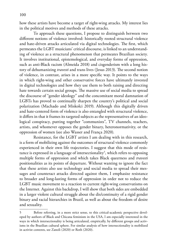100

how these artists have become a target of right-wing attacks. My interest lies in the political motives and methods of these attacks.

To approach these questions, I propose to distinguish between two different notions of violence involved: historically rooted structural violence and hate-driven attacks articulated via digital technologies. The first, which permeates the LGBT musicians' critical discourse, is linked to an understanding of violence as a structural phenomenon that permeates Brazilian society. It involves institutional, epistemological, and everyday forms of oppression, such as anti-Black racism (Almeida 2018) and cisgenderism with a long history of dehumanizing *travesti* and trans lives (Jesus 2013). The second notion of violence, in contrast, arises in a more specific way. It points to the ways in which right-wing and other conservative forces have ultimately invested in digital technologies and how they use them to both raising and directing hate towards certain social groups. The massive use of social media to spread the discourse of "gender ideology" and the concomitant moral damnation of LGBTs has proved to continually sharpen the country's political and social polarization (Machado and Miskolci 2019). Although this digitally driven and hate-centered form of violence is also entangled with structural violence, it differs in that it frames its targeted subjects as the representatives of an ideological conspiracy, putting together "communists", TV channels, teachers, artists, and whomever opposes the gender binary, heteronormativity, or the oppression of women (see also Wasser and França 2020).

Resistance, for the LGBT artists I am dealing with in this research, is a form of mobilizing against the outcomes of structural violence commonly experienced in their own life trajectories. I suggest that this mode of resistance is expressed in a language of intersectionality<sup>5</sup>, which refers to opposing multiple forms of oppression and which takes Black queerness and *travesti* positionalities as its points of departure. Without wanting to ignore the fact that these artists also use technology and social media to spread their messages and counteract attacks directed against them, I emphasize resistance to broader and long-lasting forms of oppression in order not to reduce the LGBT music movement to a reaction to current right-wing conservatisms on the Internet. Against this backdrop, I will show that both sides are embedded in a larger violent cultural struggle about the dis/continuity of a rigid gender binary and racial hierarchies in Brazil, as well as about the freedom of desire and sexuality.

<sup>5</sup> Before referring, in a more strict sense, to this critical-academic perspective developed by authors of Black and Chicana feminism in the USA, I am especially interested in the ways in which intersectionality is being articulated, empirically, by different groups and activisms in the Brazilian cultural sphere. For similar analysis of how intersectionality is mobilized in activist contexts, see Zanoli (2020) or Roth (2020).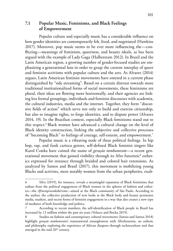## **7.1 Popular Music, Feminisms, and Black Feelings of Empowerment**

Popular culture and especially music has a considerable influence on how gender identities are contemporarily felt, lived, and negotiated (Hawkins 2017). Moreover, pop music seems to be ever more influencing the—conflicting—meanings of feminism, queerness, and beauty ideals, as has been argued with the example of Lady Gaga (Halberstam 2012). In Brazil and the Latin American region, a growing number of gender-focused studies are emphasizing a generational lens in order to grasp the current interplay of queer and feminist activisms with popular culture and the arts. As Alvarez (2014) argues, Latin American feminist movements have entered in a current phase distinguished by "side streaming". Based on a certain distrust towards more traditional institutionalized forms of social movements, these feminisms are plural, their ideas are flowing more horizontally, and their agencies are linking less formal groupings, individuals and feminist discourses with academia, the cultural industries, media and the internet. Together, they form "discursive fields of action" which serve not only to build and exercise citizenship, but also to imagine rights, to forge identities, and to dispute power (Alvarez 2014, 19). In the Brazilian context, especially Black feminisms stand out to this respect.<sup>6</sup> Black women have advanced a cultural change on the level of Black identity construction, linking the subjective and collective processes of "becoming Black" to feelings of courage, self-esteem, and empowerment.7

Popular music is a vibrating node of these political feelings. In hip hop, rap, and funk carioca genres, self-defined Black feminist singers like Karol Conka have coined the name of *geração tombamento*—a recent generational movement that gained visibility through its Afro futuristic<sup>8</sup> esthetics expressed for instance through braided and colored hair extensions. As analyzed by Santos and Brasil (2017), this movement is mobilizing young Blacks and activists, most notably women from the urban peripheries, exalt-

<sup>6</sup> Silva (2019), for instance, reveals a meaningful expansion of Black feminisms that radiate from the political engagement of Black women in the spheres of fashion and esthetics—the *Afroempreendedorismo*—aimed at the Black community of São Paulo. According to the author, the collective production of new looks at the Black body and beauty permeates media, markets, and recent forms of feminist engagement in a way that also creates a new type of mediator of both knowledge and politics.

<sup>7</sup> According to recent numbers, the self-identification of Black people in Brazil has increased by 12 million within the past six years (Velasco and Rocha 2019).

<sup>8</sup> Studies on fashion and contemporary cultural movements (Santos and Santos 2018) highlight *geração tombamento*'s transnational entanglement with Afrofuturism, an esthetic and philosophy exploring the experience of African diaspora through technoculture and that emerged in the mid 20<sup>th</sup> century.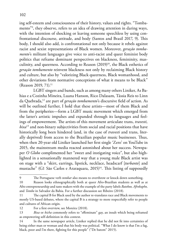ing self-esteem and consciousness of their history, values and rights. "Tombamento"9 , they observe, refers to an idea of drawing attention in daring ways, with the intention of shocking or leaving someone speechless by using confrontational discourse, attitude, and body (Santos and Brasil 2017, 9). This body, I should also add, is confrontational not only because it rebels against racist and sexist representations of Black women. Moreover, *geração tombamento*'s militant languages give voice to anti-racist and queer feminist body politics that reframe dominant perspectives on blackness, femininity, masculinity, and queerness. According to Reason (2019)<sup>10</sup>, the Black esthetics of *geração tombamento* reinvent blackness not only by reclaiming Black history and culture, but also by "valorizing Black queerness, Black womanhood, and other deviations from normative conceptions of what it means to be Black" (Reason 2019, 71).<sup>11</sup>

LGBT singers and bands, such as among many others Liniker, As Bahias e a Cozinha Mineira, Luana Hanson, Rico Dalasam, Tássia Reis to Linn da Quebrada,12 are part of *geração tombamento*'s discursive field of action. As will be outlined further, I hold that these artists—most of them Black and from the peripheries—form a LGBT music movement which emerged from the latter's artistic impulses and expanded through its languages and feelings of empowerment. The artists of this movement articulate trans, *travesti, bixa*13 and non-binary subjectivities from social and racial positions that have historically long been hindered (and, in the case of *travesti* and trans, literally deprived) from access to the Brazilian popular music businesses. Thus, when then 20-year old Liniker launched her first single 'Zero' on YouTube in 2015, the mainstream media reacted astonished about her success. Newspaper *O Globo* complimented her "sweet and instigating voice", but also highlighted in a sensationally mannered way that a young male Black artist was on stage with a "skirt, earrings, lipstick, necklace, headscarf [*turbante*] and mustache" (G1 São Carlos e Araraquara, 2015)<sup>14</sup>. This listing of supposedly

<sup>9</sup> The Portuguese verb *tombar* also means to overthrow or knock down something.

<sup>10</sup> Reason looks ethnographically both at queer Afro-Brazilian students as well as at Afro entrepreneurship and taste makers with the example of the party labels *Batekoo, Afrobapho,* and *Tombo* in Salvador da Bahia. For a further discussion see Ribeiro (2018).

<sup>11</sup> The capital B for Black used by the author re-translates race and Black movements to mostly US-based debates, where the capital B is a strategy to more respectfully refer to people and cultures of African origin.

<sup>12</sup> For a first overview, see Moreira (2018).

<sup>13</sup> *Bixa* or *bicha* commonly refers to "effeminate" gay, an insult which being reframed as empowering self-definition in this context.

<sup>14</sup> In the same newspaper article, Liniker replied that he did not fit into certainties of being either man or woman and that his body was political. "What I do know is that I'm a fag, black, poor and I'm there, fighting for this people" ("De batom" 2015).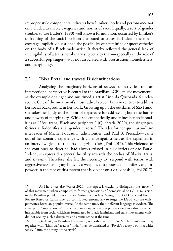improper style components indicates how Liniker's body and perfomance not only eluded available categories and norms of race. Equally, a sort of gender trouble, to use Butler's (1990) well-known formulation, occurred by Liniker's unframing of the social position attributed to travestis. Indeed, the media coverage implicitly questioned the possibility of a feminine or queer esthetics on the body of a Black male artist. It thereby reflected the general lack of intelligibility of a trans non-binary subjectivity that—especially in the role of a successful pop singer—was not associated with prostitution, homelessness, and marginality.

#### **7.2 "Bixa Preta" and travesti Disidentifications**

Analyzing the imaginary horizons of *travesti* subjectivities from an intersectional perspective is central to the Brazilian LGBT music movement<sup>15,</sup> as the example of singer and multimedia artist Linn da Quebrada16 underscores. One of the movement's most radical voices, Linn never tires to address her social background in her work. Growing up in the outskirts of São Paulo, she takes her body as the point of departure for addressing both the harms and powers of marginality. While she emphatically underlines her positionalities as "*bixa*, trans, Black and peripheral" (Quebrada 2020), the singer-performer self-identifies as a "gender terrorist". The idea for her queer art—Linn is a reader of Michel Foucault, Judith Butler, and Paul B. Preciado—came out of her somatic experience with violence against her, as she explained in an interview given to the arts magazine *Cult* (Trói 2017). This violence, as she continues to describe, had always existed in all districts of São Paulo. Indeed, it expressed a general hostility towards the bodies of Blacks, trans, and *travestis*. Therefore, she felt the necessity to "respond with terror, with aggressiveness, using my body as a weapon, as a protest, as manifest, as gunpowder in the face of this system that is violent on a daily basis" (Trói 2017).

<sup>15</sup> As I hold (see also Wasser 2020), this aspect is crucial to distinguish the "novelty" of this movement when compared to former generations of homosexual or LGBT musicians in the Brazilian popular music scenes. Artists such as Ney Matogrosso, Gal Costa and later on Renato Russo or Cássia Eller all contributed enormously to forge the LGBT culture which permeates Brazilian popular music. At the same time, their different language is evident. The concept of "empowerment" of the contemporary generation presents itself in a discursive field inseparable from social criticisms formulated by Black feminisms and trans movements which did not occupy such a discursive and artistic scope at the time.

<sup>16</sup> *Quebrada,* in Brazilian Portuguese, is another word for *favela.* The artist's wordplay together with "Linn da," read as "linda," may be translated as "Favela's beauty", or, in a wider sense, "Linn, the beauty of the favela".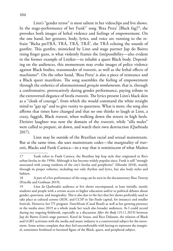Linn's "gender terror" is most salient in her videoclips and live shows. In the stage-performance of her Funk<sup>17</sup> song 'Bixa Preta' [Black fag]<sup>18</sup>, she provokes both images of lethal violence and feelings of empowerment. On the one hand, her gestures, body, lyrics, and voice are running to the refrain "Bicha preTRÁ, TRÁ, TRÁ, TRÁ", the TRÁ echoing the sounds of gunfire. This gunfire, mimicked by Linn and stage partner Jup do Bairro rising finger guns, is what violently frames the (im)possibility—also evident in the former example of Liniker—to inhabit a queer Black body. Depending on the audiences, this momentum may evoke images of police violence against Black bodies, transmurder of *travestis*, as well as the lethal effects of machismo<sup>19</sup>. On the other hand, 'Bixa Preta' is also a piece of resistance and a Black queer manifesto. The song assembles the feeling of empowerment through the esthetics of aforementioned *geração tombamento*, that is, through a confrontative, provocatively daring gender performance, paying tribute to the extroverted elegance of favela *travestis*. The lyrics present Linn's black skin as a "cloak of courage", from which she would command the white straight mind to "gay up" and to give vanity to queerness. What is more, the song also affirms that times have changed and that no one thinks to laugh at Linn, a crazy, faggish, Black *travesti*, when walking down the streets in high heels. Derisive laughter was now the domain of the *travestis*, while "alfa males" were called to prepare, sit down, and watch their own destruction (Quebrada 2017).

Linn may be outside of the Brazilian racial and sexual mainstream. But at the same time, she uses mainstream codes—the marginality of *travestis*, Blacks and Funk Carioca—in a way that is reminiscent of what Muñoz

<sup>17</sup> Funk refers to Funk Carioca, the Brazilian hip hop style that originated in Rio's urban favelas in the 1990s. Although it has become widely popular since, Funk is still "strongly associated with young residents of the city's favelas and peripheries" (Mizrahi 2018), mainly through its proper esthetics, including not only rhythm and lyrics, but also body styles and fashion.

<sup>18</sup> A part of a live performance of the song can be seen in the documentary *Bixa Travesty*  (Priscilla and Goifman 2019).

<sup>19</sup> Linn da Quebrada's audience at live shows encompassed, at least initially, mostly students and people with a certain access to higher education and/or to political debates about gender, queerness, and marginality. This is also due to the fact that her shows preferably used to take place at cultural centres (SESC and CCSP in São Paulo capital, for instance) and smaller festivals. However, her TV program *TransMissão* (Canal Brasil) as well as her growing presence in the media since 2019 as a whole made her reach also broader audiences. As I could record during my ongoing fieldwork, especially at a discussion *After the Body* (19.11.2019) between Jup do Bairro (Linn's stage partner), Karol de Souza, and Rico Dalasam, the relation of Black and LGBT activisms with the media and music industry is a controversial subject for the movement. Some artists complain that they feel uncomfortable with having to represent the marginal, sometimes fetishized or heroized figure of the Black, queer, and peripheral subject.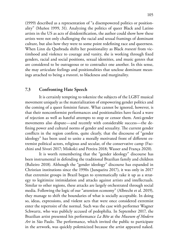(1999) described as a representation of "a disempowered politics or positionality" (Muñoz 1999, 31). Analyzing the politics of queer Black and Latino artists in the US as acts of disidentification, the author could show how these artists were not only challenging the racial and sexual framings of dominant culture, but also how they were to some point redefining race and queerness. When Linn da Quebrada shifts her positionality as Black *travesti* from victimhood and violence to courage and vanity, she is working through fixed genders, racial and social positions, sexual identities, and music genres that are considered to be outrageous or to contradict one another. In this sense, she may articulate feelings and positionalities that unclose dominant meanings attached to being a *travesti*, to blackness and marginality.

#### **7.3 Confronting Hate Speech**

It is certainly tempting to tokenize the subjects of the LGBT musical movement uniquely as the materialization of empowering gender politics and the coming of a queer feminist future. What cannot be ignored, however, is that their nonconformist performances and positionalities have faced a wave of rejection as well as hateful attempts to stop or censor them. Anti-gender movements also dispute—and recently with considerable success—the defining power and cultural norms of gender and sexuality. The current gender conflicts in the region confirm, quite clearly, that the discourse of "gender ideology" has been used to unite a morally motivated front of different extremist political actors, religious and secular, of the conservative camp (Facchini and Sívori 2017; Miskolci and Pereira 2018; Wasser and França 2020).

It is worth remembering that the "gender ideology" discourse has been instrumental in defending the traditional Brazilian family and children (Balieiro 2018). Although the "gender ideology" discourse has expanded in Christian institutions since the 1990s (Junqueira 2017), it was only in 2017 that extremist groups in Brazil began to systematically take it up as a strategy to legitimize intimidation and attacks against artists and intellectuals. Similar to other regions, these attacks are largely orchestrated through social media. Following the logic of our "attention economy" (Albrecht et al. 2019), they manage to shift the boundaries of what is socially acceptable. In doing so, ideas, expressions, and violent acts that were once considered extremist enter the repertoire of the normal. Such was the case with performer Wagner Schwartz, who was publicly accused of pedophilia. In September 2017, the Brazilian artist presented his performance *La Bête* at the *Museum of Modern Art* in São Paulo. The performance, which invited the public to participate in the artwork, was quickly polemicized because the artist appeared naked.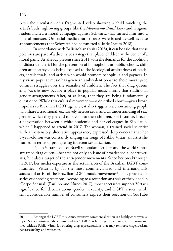After the circulation of a fragmented video showing a child touching the artist's body, right-wing groups like the *Movimento Brasil Livre* and religious leaders incited a moral campaign against Schwartz that turned him into a hateful monster. On social media death threats were issued as well as false announcements that Schwartz had committed suicide (Brum 2018).

In accordance with Balieiro's analysis (2018), it can be said that these polemics are part of a discursive strategy that places children at the center of a moral panic. As already present since 2011 with the demands for the abolition of didactic material for the prevention of homophobia at public schools, children are portrayed as being exposed to the ideological arbitrariness of teachers, intellectuals, and artists who would promote pedophilia and gayness. In my view, popular music has given an ambivalent boost to these morally-led cultural struggles over the sexuality of children. The fact that drag queens and *travestis* now occupy a place in popular music means that traditional gender arrangements falter, or at least, that they are being fundamentally questioned. While this cultural movement—as described above—gives broad impulses to Brazilian LGBT agencies, it also triggers rejection among people who share a traditional, exclusively heterosexual and cis understanding of sex/ gender, which they pretend to pass on to their children. For instance, I recall a conversation between a white academic and her colleagues in São Paulo, which I happened to attend in 2017. The woman, a trained social scientist with an ostensibly alternative appearance, expressed deep concern that her 5-year-old son was constantly singing the songs of Pabllo Vittar, an artist she framed in terms of propagating indecent sexualization.

Pabllo Vittar—one of Brazil's popular pop stars and the world's most streamed drag queen—became not only an issue of broader social controversies, but also a target of the anti-gender movements. Since her breakthrough in 2017, her media exposure as the actual icon of the Brazilian LGBT communities—Vittar is by far the most commercialized and internationally successful artist of the Brazilian LGBT music movement<sup>20</sup>—has provoked a series of opposing reactions. According to a reception analysis of the videoclip 'Corpo Sensual' (Paulino and Nunes 2017), most spectators support Vittar's significance for debates about gender, sexuality, and LGBT issues, while still a considerable number of consumers express their rejection on YouTube

<sup>20</sup> Amongst the LGBT musicians, extensive commercialization is a highly controversial topic. Several artists see the commercial tag "LGBT" as limiting to their artistic expression and they criticize Pabllo Vittar for offering drag representations that may reinforce cisgenderism, heterosexuality, and whiteness.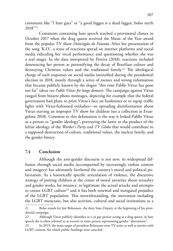comments like "I hate gays" or "a good faggot is a dead faggot, bolso myth 2018"21.

Comments containing hate speech reached a provisional climax in October 2017 when the drag queen received the Music of the Year award from the popular TV show *Domingão do Faustão*. After her presentation of the song 'K.O.', a wave of reactions spread on internet platforms and social media ridiculing her vocal performance and questioning whether she was a real singer. In the data interpreted by Pereira (2018), reactions included denouncing her person as personifying the decay of Brazilian culture and destroying Christian values and the traditional family.<sup>22</sup> The ideological charge of such responses on social media intensified during the presidential election in 2018, mostly through a series of memes and wrong information that became publicly known by the slogan "this time Pabllo Vittar has gone too far" (*dessa vez Pablo Vittar foi longe demais*). The campaign against Vittar ranged from bizarre photo montages, depicting for example that the federal government had plans to print Vittar's face on banknotes or to equip traffic lights with Vittar-fashioned eyelashes—to spreading disinformation about Vittar starting an improper TV show for children (see a collection in Evangelista 2018). Common to this defamation is the way it linked Pabllo Vittar as a person to "gender ideology", portraying the latter as the product of the leftist ideology of the *Worker's Party* and *TV Globo* that would contribute to a supposed destruction of culture, traditional values, the nuclear family, and the gender binary.

#### **7.4 Conclusion**

Although the anti-gender discourse is not new, its widespread diffusion through social media (accompanied by increasingly violent content and imagery) has ultimately furthered the country's moral and political polarization. As a historically specific articulation of violence, the discursive strategy of putting children at the center of moral anxieties about sexuality and gender works, for instance, to legitimate the actual attacks and attempts to censor LGBT culture<sup>23,</sup> and it has both renewed and instigated prejudice of the LGBT population. This notwithstanding, the movement including the LGBT musicians, but also activists, cultural and social institutions as a

<sup>21</sup> Bolso stands for Jair Bolsonaro, the then State Deputy at the beginning of his presidential campaign.

<sup>22</sup> Although Vittar publicly identifies as a cis gay person acting as a drag queen, in hate speech she is often referred to as travesti or trans person representing gender "aberrations".

<sup>23</sup> In 2019, the main target of president Bolsonaro were TV series as well as movies with LGBT content, for which public fundings were canceled.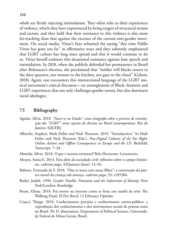whole are firmly rejecting intimidation. They often refer to their experiences of violence, which they have experienced by being targets of structural sexism and racism, and they hold that their resistance to this violence is also more far-reaching than that against the excesses of the current anti-gender movement. On social media, Vittar's fans reframed the saying "this time Pabllo Vittar has gone too far" in affirmative ways and they solemnly emphasized that LGBT culture has long since spread and that it would continue to do so. Vittar herself endorses this situational resistance against hate speech and intimidation. In 2018, when she publicly defended her permanence in Brazil after Bolsonaro's election, she proclaimed that "neither will blacks return to the slave quarters, nor women to the kitchen, nor gays to the closet" (Gshow, 2018). Again, one encounters this intersectional language of the LGBT musical movement's critical discourse—an entanglement of Black, feminist and LGBT experiences that not only challenges gender norms, but also dominant racial ideologies.

#### **7.5 Bibliography**

- Aguião, Silvia. 2018. "*Fazer-se no Estado": uma etnografia sobre o processo de constituição dos "LGBT" como sujeitos de direitos no Brasil contemporâneo*. Rio de Janeiro: EdUERJ.
- Albrecht, Stephen, Maik Fielitz and Nick Thurston. 2019. "Introduction." In Maik Fielitz and Nick Thurston (Eds.), *Post-Digital Cultures of the Far Right: Online Actions and Offline Consequences in Europe and the US*. Bielefeld: Transcript, 7–24.
- Almeida, Silvio. 2018. *O que é racismo estrutural?* Belo Horizonte: Letramento.
- Alvarez, Sonia E. 2014. Para além da sociedade civil: reflexões sobre o campo feminista. *cadernos pagu,* 43(January-June): 13–56.
- Balieiro, Fernando de F. 2018. "Não se meta com meus filhos": a construção do pânico moral da criança sob ameaça. *cadernos pagu*, 53: e185306.
- Butler, Judith. 1990. *Gender Trouble: Feminism and the Subversion of Identity.* New York/London: Routledge.
- Brum, Eliane. 2018. Fui morto na internet como se fosse um zumbi da série The Walking Dead. *El País Brasil*, 12 February, Opinião.
- Coacci, Thiago. 2018. Conhecimento precário e conhecimento contra-público: a coprodução dos conhecimentos e dos movimentos sociais de pessoas trans no Brasil. Ph.D. dissertation, Department of Political Science, Universidade Federal de Minas Gerais, Brazil.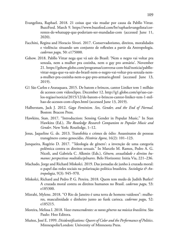- Evangelista, Raphael. 2018. 21 coisas que vão mudar por causa da Pabllo Vittar. BuzzFeed. March 9. [https://www.buzzfeed.com/br/raphaelevangelista/cor](https://www.buzzfeed.com/br/raphaelevangelista/correntes-de-whatsapp-que-poderiam-ser-mandadas-com)[rentes-de-whatsapp-que-poderiam-ser-mandadas-com](https://www.buzzfeed.com/br/raphaelevangelista/correntes-de-whatsapp-que-poderiam-ser-mandadas-com) (accessed June 11, 2020).
- Facchini, Regina and Horacio Sívori. 2017. Conservadorismo, direitos, moralidades e violência: situando um conjunto de reflexões a partir da Antropologia. *cadernos pagu,* 50: e175000.
- Gshow. 2018. Pabllo Vittar nega que vá sair do Brasil: 'Nem o negro vai voltar pra senzala, nem a mulher pra cozinha, nem o gay pro armário'. November 21. [https://gshow.globo.com/programas/conversa-com-bial/noticia/pabllo](https://gshow.globo.com/programas/conversa-com-bial/noticia/pabllo-vittar-nega-que-va-sair-do-brasil-nem-o-negro-vai-voltar-pra-senzala-nem-a-mulher-pra-cozinha-nem-o-gay-pro-armario.ghtml)[vittar-nega-que-va-sair-do-brasil-nem-o-negro-vai-voltar-pra-senzala-nem](https://gshow.globo.com/programas/conversa-com-bial/noticia/pabllo-vittar-nega-que-va-sair-do-brasil-nem-o-negro-vai-voltar-pra-senzala-nem-a-mulher-pra-cozinha-nem-o-gay-pro-armario.ghtml)[a-mulher-pra-cozinha-nem-o-gay-pro-armario.ghtml](https://gshow.globo.com/programas/conversa-com-bial/noticia/pabllo-vittar-nega-que-va-sair-do-brasil-nem-o-negro-vai-voltar-pra-senzala-nem-a-mulher-pra-cozinha-nem-o-gay-pro-armario.ghtml) (accessed June 13, 2019).
- G1 São Carlos e Araraquara. 2015. De batom e brincos, cantor Liniker tem 1 milhão de acessos com videoclipes. December 12. [http://g1.globo.com/sp/sao-car](https://g1.globo.com/sp/sao-carlos-regiao/noticia/2015/12/de-batom-e-brincos-cantor-liniker-tem-1-milhao-de-acessos-com-clipes.html)[los-regiao/noticia/2015/12/de-batom-e-brincos-cantor-liniker-tem-1-mil](https://g1.globo.com/sp/sao-carlos-regiao/noticia/2015/12/de-batom-e-brincos-cantor-liniker-tem-1-milhao-de-acessos-com-clipes.html)[hao-de-acessos-com-clipes.html](https://g1.globo.com/sp/sao-carlos-regiao/noticia/2015/12/de-batom-e-brincos-cantor-liniker-tem-1-milhao-de-acessos-com-clipes.html) (accessed June 13, 2019).
- Halberstam, Jack J. 2012. *Gaga Feminism. Sex, Gender, and the End of Normal.* Boston: Beacon Press.
- Hawkins, Stan. 2017. "Introduction: Sensing Gender in Popular Music." In Stan Hawkins (Ed.), *The Routledge Research Companion to Popular Music and Gender*. New York: Routledge, 1–12.
- Jesus, Jaqueline G. de. 2013. Transfobia e crimes de ódio: Assassinatos de pessoas transgênero como genocídio. *História Agora*, 16(2): 101–123.
- Junqueira, Rogério D. 2017. "'Ideologia de gênero': a invenção de uma categoria polêmica contra os direitos sexuais." In Marcelo M. Ramos, Pedro A. G. Nicoli, and Gabriela C. Alkmin (Eds.), *Gênero, sexualidade e direitos humanos: perspectivas multidisciplinares.* Belo Horizonte: Initia Via, 221–236.
- Machado, Jorge and Richard Miskolci. 2019. Das jornadas de junho à cruzada moral: o papel das redes sociais na polarização política brasileira. *Sociologia & Antropologia*, 9(3): 945–970.
- Miskolci, Richard and Pedro P. G. Pereira. 2018. Quem tem medo de Judith Butler? A cruzada moral contra os direitos humanos no Brasil. *cadernos pagu*, 53: e185300.
- Mizrahi, Mylene. 2018. "O Rio de Janeiro é uma terra de homens vaidosos": mulheres, masculinidade e dinheiro junto ao funk carioca. *cadernos pagu*, 52: e185215.
- Moreira, Melissa I. 2018. *Vozes transcendentes: os novos gêneros na música brasileira.* São Paulo: Hoo Editora.
- Muñoz, José E. 1999. *Disidentifications: Queers of Color and the Performance of Politics*. Minneapolis/London: University of Minnesota Press.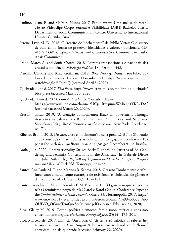- Paulino, Luana E. and Maíra S. Nunes. 2017. Pabllo Vittar: Uma análise de recepção ao Videoclipe Corpo Sensual e Visibilidade LGBT. Bachelor Thesis, Department of Social Communication, Centro Universitário Internacional Uninter Curitiba, Brazil.
- Pereira, Lívia M. D. 2018. O "roteiro do linchamento" de Pabllo Vittar: O discurso de ódio como forma de preservar identidades e valores tradicionais. *CO-MUNICON, Congresso Internacional Comunicação e Consumo.* São Paulo: Anais Comunicon.
- Prado, Marco A. and Sonia Correa. 2018. Retratos transnacionais e nacionais das cruzadas antigênero. *Psicologia Política*, 18(43): 444–448.
- Priscilla, Claudia and Kiko Goifman. 2019. *Bixa Travesty: Trailer*. YouTube, uploaded by Knows Trailers, November 21. [https://www.youtube.com/](https://www.youtube.com/watch?v=egIqHTajnuQ) [watch?v=egIqHTajnuQ](https://www.youtube.com/watch?v=egIqHTajnuQ) (accessed April 5, 2020).
- Quebrada, Linn d. 2017. *Bixa Preta*. [https://www.letras.mus.br/mc-linn-da-quebrada/](https://www.macleans.ca/news/canada/from-foster-care-to-missing-or-murdered-canadas-other-tragic-pipeline/) [bixa-preta](https://www.macleans.ca/news/canada/from-foster-care-to-missing-or-murdered-canadas-other-tragic-pipeline/) (accessed March 20, 2020).
- Quebrada, Linn d. 2020. *Linn da Quebrada.* YouTube Channel. [https://www.youtube.com/channel/UCje0RwqumaW8Be1c1YKL7DA/](https://www.youtube.com/channel/UCje0RwqumaW8Be1c1YKL7DA/featured) [featured](https://www.youtube.com/channel/UCje0RwqumaW8Be1c1YKL7DA/featured) (accessed March 20, 2020).
- Reason, Joshua. 2019. "A Geração Tombamento: Black Empowerment Through Aesthetics in Salvador da Bahia." In Daive A. Dunkley and Stephanie Shonekan (Eds.), *Black Resistance in the Americas*. New York: Routledge, 64–71.
- Ribeiro, Bruno. 2018. De suor, close e movimento': a cena preta LGBT de São Paulo e sua construção a partir de festas politicamente engajadas. Conference Paper at the 31th *Reunião Brasileira de Antropologia*, December 9–12, Brasília.
- Roth, Julia. 2020. "Intersectionality Strikes Back: Right-Wing Patterns of En-Gendering and Feminist Contestations in the Americas." In Gabriele Dietze and Julia Roth (Eds.), *Right-Wing Populism and Gender: European Perspectives and Beyond.* Bielefeld: Transcript, 251–271.
- Santos, Ana Paula M. T. and Marinês R. Santos. 2018. Geração Tombamento e Afrofuturismo: a moda como estratégia de resistência às violências de gênero e de raça no Brasil. *Dobras*, 11(23): 157–181.
- Santos, Jaqueline S. M. and Natasha F. M. Brasil. 2017. "O grito tem que ser potente": O feminismo negro de MC Carol e Karol Conka. Conference Paper at the *SeminárioInternacional Fazendo Gênero 11,* Florianópolis, 2017. [http://](http://www.en.wwc2017.eventos.dype.com.br/resources/anais/1499430358_ARQUIVO_OGritoTemQueSerPotente.pdf) [www.en.wwc2017.eventos.dype.com.br/resources/anais/1499430358\\_AR-](http://www.en.wwc2017.eventos.dype.com.br/resources/anais/1499430358_ARQUIVO_OGritoTemQueSerPotente.pdf)[QUIVO\\_OGritoTemQueSerPotente.pdf](http://www.en.wwc2017.eventos.dype.com.br/resources/anais/1499430358_ARQUIVO_OGritoTemQueSerPotente.pdf) (accessed February 23, 2020).
- Silva, Gleicy M. 2019. Corpo, política e emoção: feminismos, estética e consumo entre mulheres negras. *Horizontes Antropológicos*, 25(54): 173–201.
- Trói, Marcelo de. 2017. Linn da Quebrada: O 'cis-tema' só valoriza os saberes heterossexuais. *Revista Cult*. August 8. [https://revistacult.uol.com.br/home/](https://revistacult.uol.com.br/home/entrevista-linn-da-quebrada/) [entrevista-linn-da-quebrada](https://revistacult.uol.com.br/home/entrevista-linn-da-quebrada/) (accessed February 22, 2020).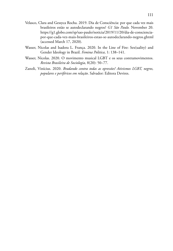- Velasco, Clara and Gessyca Rocha. 2019. Dia de Consciência: por que cada vez mais brasileiros estão se autodeclarando negros? *G1 São Paulo.* November 20. [https://g1.globo.com/sp/sao-paulo/noticia/2019/11/20/dia-de-consciencia](https://g1.globo.com/sp/sao-paulo/noticia/2019/11/20/dia-de-consciencia-por-que-cada-vez-mais-brasileiros-estao-se-autodeclarando-negros.ghtml)[por-que-cada-vez-mais-brasileiros-estao-se-autodeclarando-negros.ghtml](https://g1.globo.com/sp/sao-paulo/noticia/2019/11/20/dia-de-consciencia-por-que-cada-vez-mais-brasileiros-estao-se-autodeclarando-negros.ghtml)  (accessed March 17, 2020).
- Wasser, Nicolas and Isadora L. França. 2020. In the Line of Fire: Sex(uality) and Gender Ideology in Brazil. *Femina Politica*, 1: 138–141.
- Wasser, Nicolas. 2020. O movimento musical LGBT e os seus contramovimentos. *Revista Brasileira de Sociologia*, 8(20): 50–77.
- Zanoli, Vinícius. 2020. *Bradando contra todas as opressões! Ativismos LGBT, negros, populares e periféricos em relação*. Salvador: Editora Devires.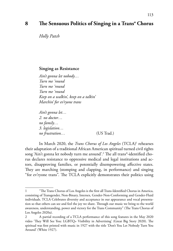## **8 The Sensuous Politics of Singing in a Trans\* Chorus**

*Holly Patch*

#### **Singing as Resistance**

*Ain't gonna let nobody… Turn me 'round Turn me 'round Turn me 'round Keep on a walkin', keep on a talkin' Marchin' for ev'ryone trans* 

*Ain't gonna let… 2. no doctor… no family… 3. legislation… no frustration…* (US Trad.)

In March 2020, the *Trans Chorus of Los Angeles* (TCLA)1 rehearses their adaptation of a traditional African American spiritual turned civil rights song 'Ain't gonna let nobody turn me around'.2 The all trans\*-identified chorus declares resistance to oppressive medical and legal institutions and actors, disapproving families, or potentially disempowering affective states. They are marching (stomping and clapping, in performance) and singing "for ev'ryone trans". The TCLA explicitly demonstrates their politics using

<sup>1</sup> "The Trans Chorus of Los Angeles is the first all Trans-Identified Chorus in America, consisting of Transgender, Non-Binary, Intersex, Gender-Non-Conforming and Gender-Fluid individuals. TCLA Celebrates diversity and acceptance in our appearance and vocal presentation so that others can see and feel the joy we share. Through our music we bring to the world awareness, understanding, power and victory for the Trans Community" (The Trans Chorus of Los Angeles 2020a).

<sup>2</sup> A partial recording of a TCLA performance of this song features in the May 2020 video 'They Will See You: LGBTQ+ Visibility in Advertising' (Great Big Story 2020). The spiritual was first printed with music in 1927 with the title 'Don't You Let Nobody Turn You Around' (White 1927).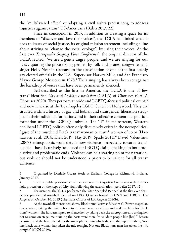the "multilayered effect" of adapting a civil rights protest song to address injustices against trans\* US-Americans (Balén 2017, 22).

Since its conception in 2015, in addition to creating a space for its members to "discover and love their voices", the TCLA has linked what it does to issues of social justice, its original mission statement including a line about striving to "change the social ecology", by using their voices. At the first ever *Transgender Singing Voice Conference*<sup>3</sup> , the original director of the TCLA recited, "we are a gentle angry people, and we are singing for our lives", quoting the protest song penned by folk and protest songwriter and singer Holly Near in response to the assassination of one of the first openly gay elected officials in the U.S., Supervisor Harvey Milk, and San Francisco Mayor George Moscone in 1978.<sup>4</sup> Their singing has always been set against the backdrop of voices that have been permanently silenced.

Self-described as the first in America, the TCLA is one of few trans\*-identified *Gay and Lesbian Association* (GALA) of Choruses (GALA Choruses 2020). They perform at pride and LGBTQ-focused political events<sup>5</sup> and now rehearse at the Los Angeles LGBT Center in Hollywood. They are situated within a history of gay and lesbian and transgender liberation struggle, in their individual formations and in their collective contentious political formation under the LGBTQ umbrella. The "T" in mainstream, Western neoliberal LGBTQ politics often only discursively exists in the necropolitical figure of the murdered Black trans\* woman or trans\* woman of color (Haritaworn et al. 2014; Krell 2019; Nay 2019; Spade 2011).6 David Valentine's (2007) ethnographic work details how violence—especially towards trans\* people—has discursively been used for LBGTQ claims-making, to both productive and problematic ends. Violence can be a starting point for narration, but violence should not be understood a priori to be salient for all trans\* existence.

<sup>3</sup> Organized by Danielle Cozart Steele at Earlham College in Richmond, Indiana, January 2017.

<sup>4</sup> The first public performance of the *San Francisco Gay Men's Chorus* was at the candlelight procession on the steps of City Hall following the assassination (see Balén 2017, 42).

<sup>5</sup> For instance, the TCLA performed the 'Star-Spangled Banner' at the first ever democratic presidential townhall focused on LBGTQ issues hosted by CNN and HRC in Los Angeles on October 10, 2019 (The Trans Chorus of Los Angeles 2020b).

At the townhall mentioned above, Black trans\* activist Blossom C. Brown staged an intervention, taking the microphone to criticize event organizers and make a claim for Black trans\* women. The host attempted to silence her by taking back the microphone and asking her not to come on stage, maintaining the hosts were there "to validate people like [her]." Brown persisted, and the host offered her the microphone, into which she said that up until then, "not one Black trans woman has taken the mic tonight. Not one Black trans man has taken the mic tonight" (CNN 2019).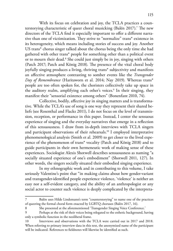With its focus on celebration and joy, the TCLA practices a counterstorying characteristic of queer choral musicking (Balén 2017).<sup>7</sup> The new directors of the TCLA find it especially important to offer a different narrative than one of victimization. They strive to "normalize" trans\* existence in its heterogeneity, which means including stories of success and joy. Another US trans\* chorus singer talked about the chorus being the only time she had gathered with other trans\* people for something other than a political event or to mourn their dead.<sup>8</sup> She could just simply be in joy, singing with others (Patch 2017; Patch and König 2018). The presence of the vital choral body joyfully singing produces a living, thriving trans\* subjectivity and manifests an affective atmosphere contrasting to somber events like the *Transgender Day of Remembrance* (Haritaworn et al. 2014; Nay 2019). Whereas trans\* people are too often spoken for, the choristers collectively take up space in the auditory realm, amplifying each other's voices.<sup>9</sup> In their singing, they manifest their "sensorial existence among others" (Bonenfant 2010, 74).

Collective, bodily, affective joy in singing matters and is transformative. While the TCLA's use of song is one way they represent their shared beliefs (see Rosenthal and Flacks 2011), I do not focus on the level of transmission, reception, or performance in this paper. Instead, I center the sensuous experience of singing and the everyday narratives that emerge in a reflection of this sensuousness. I draw from in-depth interviews with TCLA singers and participant observations of their rehearsals.<sup>10</sup> I employed interpretative phenomenological analysis (Smith et al. 2009) to get closer to the lived experience of the phenomenon of trans\* vocality (Patch and König 2018) and to guide participants in their own hermeneutic work of making sense of these experiences. Sociologist Alexis Shotwell describes sensuousness as naming "a socially situated experience of one's embodiment" (Shotwell 2011, 127). In other words, the singers socially situated their embodied singing experience.

In my ethnographic work and in contributing to this volume, I take seriously Valentine's point that "in making claims about how gender-variant and transgender-identified people experience violence, 'violence' is neither an easy nor a self-evident category, and the ability of an anthropologist or any social actor to counter such violence is deeply complicated by the interpreta-

Balén uses Hilde Lindemann's term "counterstorying" to name one of the practices of queering the formal choral form enacted by LGBTQ choruses (Balén 2017, 16).

<sup>8</sup> She presented at the aforementioned 'Transgender Singing Voice Conference.'

<sup>9</sup> Perhaps at the risk of their voices being relegated to the esthetic background, having only a symbolic function in the neoliberal frame.

<sup>10</sup> Interviews and observations with the TCLA were carried out in 2017 and 2018. When referring to primary interview data in this text, the anonymized name of the participant will be indicated. References to fieldnotes will likewise be identified as such.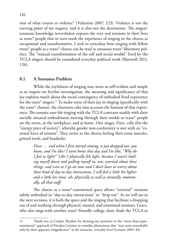tion of what counts *as* violence" (Valentine 2007, 223). Violence is not the starting point of my inquiry, and it is also not the destination. The singers' sensuous knowledge nevertheless exposes the very real tensions in their lives as trans\* people that in turn mark the experience of singing in the chorus as exceptional and transformative. I seek to articulate how singing with fellow trans\* people as a trans\* chorus can be read as sensuous trans\*-liberatory politics. The "mutual transformation of the self and social worlds" lived by the TCLA singers should be considered everyday political work (Shotwell 2011, 126).

## **8.1 A Sensuous Problem**

While the joyfulness of singing may seem so self-evident and simple as to require no further investigation, the meaning and significance of that joy explains much about the social contingency of embodied lived experience for the trans\* singers.11 To make sense of their joy in singing (specifically with the trans\* chorus), the choristers take into account the horizon of that experience. The somatic ease felt singing with the TCLA contrasts starkly with their socially situated embodiment moving through their worlds as trans\* people on the street, at the workplace, and at home. One singer, Finn, calls this the "energy price of society", whereby gender non-conformity is met with an "external force of tension". They arrive to the chorus feeling their tense muscles, gritted teeth, and headache:

> *Finn: … and when I first started coming, it just dropped out, you know, and I'm like/ I went home that day and I'm like, "Why do I feel so light?" Like I physically felt light, because I wasn't holding myself down and pulling myself in, um, worried about these things, and even as I go on now and I don't have to worry about these kind of day-to-day interactions. I still feel a little bit lighter and a little less tense, uh, physically as well as mentally, emotionally, all that stuff.*

The chorus as a trans\*-constituted space allows "external" tensions subtly embodied in "day-to-day interactions" to "drop out". As we will see in the next sections, it is both the space and the singing that facilitate a dropping out of and working through physical, mental, and emotional tensions. Grace, who also sings with another trans\*-friendly college choir, finds the TCLA to

<sup>11</sup> Thank you to Crispin Thurlow for drawing my attention to the "more-than-representational" approach of Hayden Lorimer to consider phenomena that "may seem remarkable only by their apparent *in*significance" at the sensuous, everyday level (Lorimer 2005, 84).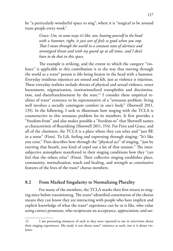be "a particularly wonderful space to sing", where it is "magical to be around trans people every week".

> *Grace: Um, in some ways it's like, um, beating yourself in the head*  with a hammer, right, it just sort of feels so good when you stop. *That I move through the world in a constant state of alertness and stereotyped threat and with my guard up at all times, and I don't have to do that in this space.*

The example is striking, and the extent to which the category "violence" is applicable to this contribution is in the way that moving through the world as a trans\* person is *like* being beaten in the head with a hammer. Everyday insidious injustices are sensed and felt, just as violence is injurious. These everyday realities include threats of physical and sexual violence, street harassment, stigmatization, institutionalized transphobia and discrimination, and disenfranchisement by the state.12 I consider these empirical realities of trans\* existence to be representative of a "sensuous problem: living well involves a socially contingent comfort in one's body" (Shotwell 2011, 135). In the following, I seek to illuminate how singing with the TCLA is counteractive to this sensuous problem for its members. It first provides a "freedom-from" and also makes possible a "freedom-to" that Shotwell names as characteristic of flourishing (Shotwell 2011, 154). For Finn and Grace, and all of the choristers, the TCLA is a place where they can relax and "just BE in a sense" (Finn). To Lili, feeling and expressing through singing: "It's like you exist." Finn describes how through the "physical act" of singing, "just by exerting that breath, you kind of expel out a lot of that tension." The intersubjective atmosphere manifested in their singing conditions how they "can feel that the others relax" (Finn). Their collective singing establishes place, community, normalization, touch and healing, and strength as constitutive features of the lives of the trans\* chorus members.

## **8.2 From Marked Singularity to Normalizing Plurality**

For many of the members, the TCLA marks their first return to singing since before transitioning. The trans\*-identified constitution of the chorus means they can know they are interacting with people who have implicit and explicit knowledge of what the trans\* experience can be or is like, who value using correct pronouns, who reciprocate an acceptance, appreciation, and un-

<sup>12</sup> I am presenting instances of such as they were reported to me in interviews about their singing experiences. My study is not about trans\* existence as such, nor is it about violence.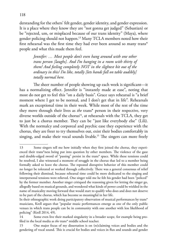derstanding for the others' felt gender, gender identity, and gender expression. It is a place where they know they are "not gonna get judged" (Sebastian) or be "rejected, um, or misplaced because of our trans identity" (Maya), where gender policing should not happen.13 Many TCLA members noted how their first rehearsal was the first time they had ever been around so many trans\* people and what this made them feel.

> *Jennifer: … Most people don't even hang around with one other trans person [laughs]. And I'm hanging in a room with thirty of them! And feeling completely NOT in the slightest bit out of the ordinary in this/ I'm like, totally [lets hands fall on table audibly] totally normal here.*

The sheer number of people showing up each week is significant—it has a normalizing effect. Jennifer is "instantly made at ease", noting that most do not get to feel this "on a daily basis". Grace says rehearsal is "a brief moment where I get to be normal, and I don't get that in life". Rehearsals mark an exceptional time in their week. While most of the rest of the time they move through their lives as *the* trans\* person in their respective, very diverse worlds outside of the chorus<sup>14</sup>, at rehearsals with the TCLA, they get to just be a chorus member. They can be "just like everybody else" (Lili). With the normalcy and corporeal and psychic ease they experience with the chorus, they are freer to try themselves out, exist their bodies comfortably in singing, and make their vocal sounds livable.<sup>15</sup> The singers can more freely

<sup>13</sup> Some singers tell me how initially when they first joined the chorus, they experienced their trans\*ness being put into question by other members. The violence of the gaze and double-edged sword of "passing" persist in the trans\* space. While these tensions could be resolved, I also witnessed a moment of struggle in the chorus that led to a member being formally asked to leave the chorus. The repeated disruptive behavior of this member could no longer be tolerated or worked through collectively. There was a general consensus of relief following their dismissal, because rehearsal time could be more dedicated to the singing and interpersonal tensions were relieved. One singer told me he felt his gender had been "policed" by the former member. Another singer critiqued the reasoning given for letting the singer go, allegedly based on musical grounds, and wondered what kinds of power could be wielded in the name of musicality moving forward that would start to qualify who does and does not deserve to be part of the chorus, which has become so meaningful in her life.

In their ethnographic work doing participatory observation of musical performances by trans\* musicians, Krell argues that "popular music performances emerge as one of the only public venues in which trans people can be in community with one another with less likelihood of policing" (Krell 2014, 49).

<sup>14</sup> Some even live their marked singularity in a broader scope, for example being profiled in the local media as *the* trans\* middle school teacher.

<sup>15</sup> One major focus of my dissertation is on (re)claiming voices and bodies and the gendering of vocal sound. This is crucial for bodies and voices in flux and sounds and gender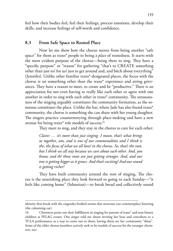feel how their bodies feel, feel their feelings, process emotions, develop their skills, and increase feelings of self-worth and confidence.

### **8.3 From Safe Space to Rooted Place**

Now let me show how the chorus moves from being another "safe space" for them as trans\* people to being a *place* of rootedness. It starts with the most evident purpose of the chorus—being there to sing. They have a "specific purpose" or "reason" for gathering "that's to CREATE something other than just to/ for us/ just to get around and, and bitch about everything" (Jennifer). Unlike other familiar trans\*-designated places, the focus with the chorus is on something other than the trans\* experience and airing grievances. They have a reason to meet, to create and be "productive." There is an appreciation for not even having to really like each other or agree with one another in order to sing with each other in trans\* community. The sensuousness of the singing arguably constitutes the community formation, as the sonorous constitutes the place. Unlike the bar, where Jade has also found trans\* community, the chorus is something she can share with her young daughter. The singers practice counterstorying through place-making and have a new avenue for being trans\* role models of success.16

They meet to sing, and they stay in the chorus to care for each other:

*Claire: … it's more than just singing. I mean, that's what brings us together, um, and is one of our commonalities and I think is the, the focus of what we all love/ in the chorus. So, that's the root, but I think we all stay because we care about each other. And, you know, and th/ those roots are just getting stronger. And, and our tree is getting bigger as it grows. And that's exciting! And our sound is getting richer!*

They have built community around the root of singing. The chorus is the nourishing place they look forward to going to each Sunday—"it feels like coming home" (Sebastian)—to break bread and collectively sound

identity that break with the cisgender-bodied norms that structure our commonplace listening (the colonizing ear).

<sup>16</sup> Choristers point out their fulfillment in singing for parents of trans\* and non-binary children at PFLAG events. One singer told me about inviting her boss and coworkers to a TCLA performance as a way to come out to them, having them see her community "shine". Some of the older chorus members actively seek to be models of success for the younger choristers, too.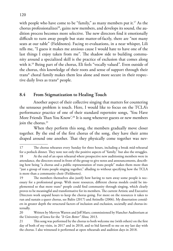with people who have come to be "family," as many members put it.<sup>17</sup> As the chorus professionalizes<sup>18</sup>, gains new members, and develops its sound, the audition process becomes more selective. The new directors find it emotionally difficult to turn away people but state matter-of-factly, there are "not many seats at our table" (Fieldnotes). Facing re-evaluations, in a near whisper, Lili tells me, "I guess it makes me anxious cause I would hate to have one of the last things I enjoy taken from me". The shadow side to building community around a specialized skill is the practice of exclusion that comes along with it.19 Being part of the chorus, Eli feels "vocally valued". Even outside of the chorus, this knowledge of their roots and sense of support through their trans\* choral family makes them less alone and more secure in their respective daily lives as trans\* people.

## **8.4 From Stigmatization to Healing Touch**

Another aspect of their collective singing that matters for countering the sensuous problem is touch. Here, I would like to focus on the TCLA's performance practice of one of their standard repertoire songs, 'You Have More Friends Than You Know'.<sup>20</sup> It is sung whenever guests or new members join the chorus.<sup>21</sup>

When they perform this song, the members gradually move closer together. By the end of the first chorus of the song, they have their arms draped around one another. That they physically come together was nev-

<sup>17</sup> The chorus rehearses every Sunday for three hours, including a break mid-rehearsal for a potluck dinner. They note not only the positive aspects of "family," but also the struggles. 18 At the end of an open rehearsal where prospective new auditioning members were in attendance, the directors stood in front of the group to give notes and announcements, describing how being "a chorus and a public representation of trans people" makes them more than "just a group of trans people singing together," alluding to without specifying how the TCLA is more than a community choir (Fieldnotes).

<sup>19</sup> The members themselves also justify how having to turn away some people is necessary for a professional group. With more resources, different chorus models could be implemented so that more trans\* people could find community through singing, which clearly proves to be meaningful and transformative for its members. The current Artistic and Executive Directors work unpaid hours to keep the chorus going. For more on the resources it takes to run and sustain a queer chorus, see Balén (2017) and Attinello (2006). My dissertation considers in greater depth the structural factors of inclusion and exclusion, societally and chorus-internally.

<sup>20</sup> Written by Mervyn Warren and Jeff Marx; commissioned by Hancher Auditorium at the University of Iowa for the *"It Gets Better" Show,* 2013.

<sup>21</sup> This song was performed by the chorus to both welcome me (with others) on the first day of both of my visits, in 2017 and in 2018, and to bid farewell to me on my last day with the chorus. I also witnessed it performed at open rehearsals and audition days in 2018.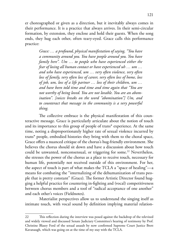er choreographed or given as a direction, but it inevitably always comes in their performance. It is a practice that always arrives. In their semi-circular formation, by extension, they enclose and hold their guests. When the song ends, they hug each other, often teary-eyed. Grace calls this performance practice:

> *Grace: … a profound, physical manifestation of saying, "You have a community around you. You have people around you. You have family here". Um … to people who have experienced either the fear of losing all human contact or have experienced uh … um … and who have experienced, um … very often violence, very often loss of family, very often loss of career, very often loss of home, loss of job, um, loss of a life partner … loss of their children, um … and have been told time and time and time again that "You are not worthy of being loved. You are not lovable. You are an abomination". [voices breaks on the word "abomination"] Um, and to counteract that message in the community is a very powerful thing.*

The collective embrace is the physical manifestation of this counteractive message. Grace is particularly articulate about the notion of touch and its importance to this group of people of trans\* experience. At the same time, noting a disproportionately higher rate of sexual violence incurred by trans\* people, embodied histories they bring with them to the choral space, Grace offers a nuanced critique of the chorus's hug-friendly environment. She believes the chorus should sit down and have a discussion about how touch could be unwanted, nonconsensual, or triggering for some.<sup>22</sup> Nevertheless, she stresses the power of the chorus as a place to receive touch, necessary for human life, potentially not received outside of this environment. For her, the aspect of touch is part of what makes the TCLA a "space of healing"—a means for combating the "internalizing of the dehumanization of trans people that is pretty constant" (Grace). The former Artistic Director found hugging a helpful practice for countering in-fighting and (vocal) competitiveness between chorus members and a tool of "radical acceptance of one another" and each other's voices (Fieldnotes).

Materialist perspectives allow us to understand the singing itself as intimate touch, with vocal sound by definition implying material relation-

<sup>22</sup> This reflection during the interview was posed against the backdrop of the televized and widely viewed and discussed Senate Judiciary Committee's hearing of testimony by Prof. Christine Blasey Ford of the sexual assault by now confirmed Supreme Court Justice Brett Kavanaugh, which was going on at the time of my stay with the TCLA.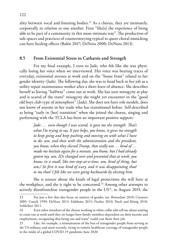ality between vocal and listening bodies.23 As a chorus, they are intimately, corporeally in relation to one another. Finn "like[s] the experience of being able to be part of a community in this more intimate way". The production of safe spaces and practices of counterstorying typical to queer choral musicking can have healing effects (Balén 2017; DeNora 2000; DeNora 2013).

## **8.5 From Existential Stress to Catharsis and Strength**

For my final example, I turn to Jade, who felt like she was physically losing her voice when we interviewed. Her voice was bearing traces of everyday, existential stresses at work and on the "home front" related to her gender identity (Jade). The following day, she was to head back to her job as a utility repair maintenance worker after a short leave of absence. She describes herself as having "halfway" come out at work. She has seen misogyny at play and is scared of the trans\* misogyny she might yet encounter in the "good old boys club type of atmosphere" (Jade). She does not have role models, does not know of anyone in her trade who has transitioned before. Self-described as being "early in [her] transition" when she joined the chorus, singing and performing with the TCLA has been an important positive support:

> *Jade: … even though I was scared, it gave me the strength. That's what I'm trying to say. It just helps, you know, it gives me strength to keep going and keep pushing and moving on with what I have to do, um, and then with the administration and the president, you know, when they elected Trump, that really um … kind of … made me hesitate again for a minute, you know, but I had already gotten my, um, IDs changed over and presented that at work, you know, in a small, like one-step-at-a-time, um, kind of thing, but um,/ So first it was kind of scary, and it was disappointing that/ to me that/ I felt like we were going backwards by electing him.*

She is unsure about the kinds of legal protections she will have at the workplace, and she is right to be concerned.<sup>24</sup> Among other attempts to actively disenfranchise transgender people in the US<sup>25</sup>, in August 2019, the

<sup>23</sup> For just a few that also focus on matters of gender, see: Bonenfant 2010; Cavarero 2005; Cusick 1999; DeNora 2013; Eidsheim 2015; Fischer 2010; Patch and König 2018; Schlichter 2011.

<sup>24</sup> Even other members of the chorus working in white collar jobs tell me about waiting to come out at work until they no longer have family members dependent on their income and employment, recognizing that being out and trans\* could cost them their job.

<sup>25</sup> Like, for example, a reinstatement of the ban of transgender people from serving in the US military, and most recently, trying to remove healthcare coverage of transgender people in the midst of a global COVID-19 pandemic June 2020.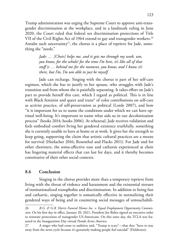Trump administration was urging the Supreme Court to approve anti-transgender discrimination at the workplace, and in a landmark ruling in June 2020, the Court ruled that federal sex discrimination protections of Title VII of the Civil Rights Act of 1964 extend to gay and transgender workers.<sup>26</sup> Amidst such uncertainty<sup>27</sup>, the chorus is a place of reprieve for Jade, something she "needs."

> *Jade: … [Choir] helps me, and it gets me through my week, um, you know, for the whole/ for the time I'm here, it's like all of that stuff is … behind me for the moment, you know, and I know it's there, but I'm, I'm um able to just be myself.*

Jade can recharge. Singing with the chorus is part of her self-care regimen, which she has to justify to her spouse, who struggles with Jade's transition and from whom she is painfully separating. It takes effort on Jade's part to provide herself this care, which I regard as political. This is in line with Black feminist and queer and trans\* of color contributions on self-care as activist practice, of self-preservation as political (Lorde 2007), and how "it is important for us to name the conditions under which we can have optimal well-being. It's important to name what aids us in our decolonization process" (hooks 2014; hooks 2006). At rehearsal, Jade receives validation and feels embodied comfort living her gendered existence truthfully, something she is currently unable to have at home or at work. It gives her the strength to keep going, supporting the claim that artistic cultural practices are a means for survival (Horlacher 2016; Rosenthal and Flacks 2011). For Jade and for other choristers, the soma-affective ease and catharsis experienced at choir has lingering material effects that can last for days, and it thereby becomes constitutive of their other social contexts.

#### **8.6 Conclusion**

Singing in the chorus provides more than a temporary reprieve from living with the threat of violence and harassment and the existential stresses of institutionalized transphobia and discrimination. In addition to being fun and cathartic, singing together is somatically effective in normalizing their gendered ways of being and in countering social messages of untouchabili-

<sup>26</sup> *R.G. & G.R. Harris Funeral Homes Inc. v. Equal Employment Opportunity Commission.* On his first day in office, January 20, 2021, President Joe Biden signed an executive order to reinstate protections of transgender US-Americans. On this same day, the TCLA was featured in the Inauguration Day virtual *Parade Across America.*

<sup>27</sup> A singer who had come to audition said, "Trump is scary"—that they "have to stay away from the news cycle because it's genuinely making people feel suicidal" (Fieldnotes).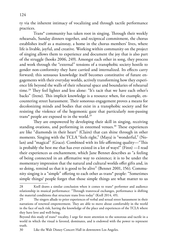ty via the inherent intimacy of vocalizing and through tactile performance practices.

Trans\* community has taken root in singing. Through their weekly rehearsals, Sunday dinners together, and reciprocal commitment, the chorus establishes itself as a mainstay, a home in the chorus members' lives, where life is livable, joyful, and creative. Working within community on the project of singing allows them to experience and document the joy that is also part of the struggle (hooks 2006, 249). Amongst each other in song, they process and work through the "external" tensions of a transphobic society hostile to gender non-conformity they have carried and internalized. Its effects carry forward; this sensuous knowledge itself becomes constitutive of future engagements with their everyday worlds, actively transforming how they experience life beyond the walls of their rehearsal space and boundaries of rehearsal time.<sup>28</sup> They feel lighter and less alone: "It's tacit that we have each other's backs" (Irene). This implicit knowledge is a resource when, for example, encountering street harassment. Their sonorous engagement proves a means for decolonizing minds and bodies that exist in a transphobic society and for resisting the violence of the hegemonic gaze that particularly non-passing trans\* people are exposed to in the world.29

They are empowered by developing their skill in singing, receiving standing ovations, and performing in esteemed venues.<sup>30</sup> These experiences are like "diamonds in their heart" (Claire) that can shine through in other moments. Singing with the TCLA "feels right," (Maya) is "wonderful," (Nolan) and "magical" (Grace). Combined with its life-affirming quality—"This is probably the best me that has ever existed in a lot of ways!" (Finn) —I read their experiences as enchantment, which Jane Bennet describes as "a feeling of being connected in an affirmative way to existence; it is to be under the momentary impression that the natural and cultural worlds offer gifts and, in so doing, remind us that it is good to be alive" (Bennet 2001, 156). Community singing is a "simple" offering to each other as trans\* people: "Sometimes simple things/ people forget that those simple things are what matter to us

<sup>28</sup> Krell draws a similar conclusion when it comes to trans\* performer and audience relationship in musical performance: "Through transvocal exchanges, performance is shifting the material conditions that structure trans lives today" (Krell 2014, 49).

<sup>29</sup> The singers allude to prior experiences of verbal and sexual street harassment in their narrations of renewed empowerment. They are able to move about comfortably in the world in the face of such risk, having the knowledge of the place and experiences of the TCLA where they have love and well-being.

Beyond this study of trans\* vocality, I urge for more attention to the sonorous and tactile in a world in which the visual is favored, dominates, and is endowed with the power to represent truth.

<sup>30</sup> Like the Walt Disney Concert Hall in downtown Los Angeles.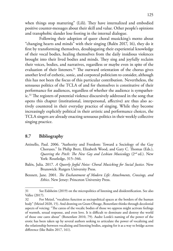when things stop mattering" (Lili). They have internalized and embodied positive counter-messages about their skill and value. Other people's opinions and transphobic slander lose footing in the internal dialogue.

Following their adoption of queer choral musicking's motto about "changing hearts and minds" with their singing (Balén 2017, 16), they do it first by transforming themselves, desubjugating their experiential knowledge of their vocal bodies, healing themselves from the daily insidious violences brought into their lived bodies and minds. They sing and joyfully reclaim their voices, bodies, and narratives, regardless or maybe even in spite of the evaluation of their listeners.<sup>31</sup> The outward orientation of the chorus gives another level of esthetic, sonic, and corporeal politicism to consider, although this has not been the focus of this particular contribution. Nevertheless, the sensuous politics of the TCLA of and for themselves is constitutive of their performance for audiences, regardless of whether the audience is sympathetic.32 The registers of potential violence discursively addressed in the song that opens this chapter (institutional, interpersonal, affective) are thus also actively countered in their everyday practice of singing. While they become increasingly explicitly political in their artistic and performance choices, the TCLA singers are already enacting sensuous politics in their weekly collective singing practice.

#### **8.7 Bibliography**

- Attinello, Paul. 2006. "Authority and Freedom: Toward a Sociology of the Gay Choruses." In Philip Brett, Elizabeth Wood, and Gary C. Thomas (Eds.), *Queering the Pitch: The New Gay and Lesbian Musicology* (2<sup>nd</sup> ed.). New York: Routledge, 315–346.
- Balén, Julia. 2017. *A Queerly Joyful Noise: Choral Musicking for Social Justice.* New Brunswick: Rutgers University Press.
- Bennett, Jane. 2001. *The Enchantment of Modern Life: Attachments, Crossings, and Ethics*. New Jersey: Princeton University Press.

<sup>31</sup> See Eidsheim (2019) on the micropolitics of listening and disidentification. See also Vallee (2017).

<sup>32</sup> For Meizel, "vocalities function as sociopolitical spaces at the borders of the human body" (Meizel 2020, 15). And drawing on Grant Olwage, Bonenfant thinks through decolonial aspects of voicing: "The caress of the vocalic bodies of those we oppress might activate feelings of warmth, sexual response, and even love. It is difficult to dominate and destroy the world of those one cares about" (Bonenfant 2010, 79). Audre Lorde's naming of the power of the erotic has been taken up by several authors seeking to articulate the power of vocalizing and the relationship between vocalizing and listening bodies, arguing for it as a way to bridge across difference (like Balén 2017, 161).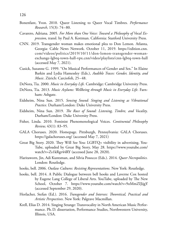- Bonenfant, Yvon. 2010. Queer Listening to Queer Vocal Timbres. *Performance Research,* 15(3): 74–80.
- Cavarero, Adriana. 2005. *For More than One Voice: Toward a Philosophy of Vocal Expression*, transl. by Paul A. Kottman. California: Stanford University Press.
- CNN. 2019. Transgender woman makes emotional plea to Don Lemon. Atlanta, Georgia: Cable News Network. October 11, 2019. [https://edition.cnn.](https://edition.cnn.com/videos/politics/2019/10/11/don-lemon-transgender-woman-exchange-lgbtq-town-hall-vpx.cnn/video/playlists/cnn-lgbtq-town-hall) [com/videos/politics/2019/10/11/don-lemon-transgender-woman](https://edition.cnn.com/videos/politics/2019/10/11/don-lemon-transgender-woman-exchange-lgbtq-town-hall-vpx.cnn/video/playlists/cnn-lgbtq-town-hall)[exchange-lgbtq-town-hall-vpx.cnn/video/playlists/cnn-lgbtq-town-hall](https://edition.cnn.com/videos/politics/2019/10/11/don-lemon-transgender-woman-exchange-lgbtq-town-hall-vpx.cnn/video/playlists/cnn-lgbtq-town-hall) (accessed May 7, 2021).
- Cusick, Suzanne G. 1999. "On Musical Performances of Gender and Sex." In Elaine Barkin and Lydia Hamessley (Eds.), *Audible Traces: Gender, Identity, and Music*. Zürich: Carciofoli, 25–48.
- DeNora, Tia. 2000. *Music in Everyday Life.* Cambridge: Cambridge University Press.
- DeNora, Tia. 2013. *Music Asylums: Wellbeing through Music in Everyday Life*. Farnham: Ashgate.
- Eidsheim, Nina Sun. 2015. *Sensing Sound: Singing and Listening as Vibrational Practice*. Durham/London: Duke University Press.
- Eidsheim, Nina Sun. 2019. *The Race of Sound: Listening, Timbre, and Vocality*. Durham/London: Duke University Press.
- Fisher, Linda. 2010. Feminist Phenomenological Voices. *Continental Philosophy Review,* 43(1): 83–95.
- GALA Choruses. 2020. Homepage. Pittsburgh, Pennsylvania: GALA Choruses. https://galachoruses.org/ (accessed May 7, 2021)
- Great Big Story. 2020. They Will See You: LGBTQ+ visibility in advertising. You-Tube, uploaded by Great Big Story, May 28. [https://www.youtube.com/](https://www.youtube.com/watch?v=Zs1kRgr44RY) [watch?v=Zs1kRgr44RY](https://www.youtube.com/watch?v=Zs1kRgr44RY) (accessed June 28, 2020).
- Haritaworn, Jin, Adi Kuntsman, and Silvia Posocco (Eds.). 2014. *Queer Necropolitics.* London: Routledge.
- hooks, bell. 2006. *Outlaw Cultures: Resisting Representations*. New York: Routledge.
- hooks, bell. 2014. A Public Dialogue between bell hooks and Laverne Cox hosted by Eugene Lang College of Liberal Arts. YouTube, uploaded by The New School, October 7. <https://www.youtube.com/watch?v=9oMmZIJijgY> (accessed September 29, 2020).
- Horlacher, Stefan (Ed.). 2016. *Transgender and Intersex: Theoretical, Practical and Artistic Perspectives*. New York: Palgrave Macmillan.
- Krell, Elías D. 2014. Singing Strange: Transvocality in North American Music Performance. Ph.D. dissertation, Performance Studies, Northwestern University, Illinois, USA.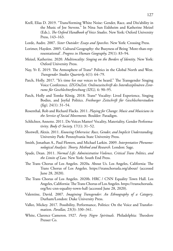- Krell, Elías D. 2019. "Trans/forming White Noise: Gender, Race, and Dis/ability in the Music of Joe Stevens." In Nina Sun Eidsheim and Katherine Meizel (Eds.), *The Oxford Handbook of Voice Studies*. New York: Oxford University Press, 143–163.
- Lorde, Audre. 2007. *Sister Outsider: Essays and Speeches*. New York: Crossing Press.
- Lorimer, Hayden. 2005. Cultural Geography: the Busyness of Being 'More-than-representational'. *Progress in Human Geography,* 29(1): 83–94.
- Meizel, Katherine. 2020. *Multivocality: Singing on the Borders of Identity*. New York: Oxford University Press.
- Nay, Yv E. 2019. The Atmosphere of Trans\* Politics in the Global North and West. *Transgender Studies Quarterly,* 6(1): 64–79.
- Patch, Holly. 2017. "It's time for our voices to be heard." The Transgender Singing Voice Conference. *IZGOnZeit. Onlinezeitschrift des Interdisziplinären Zentrums für Geschlechterforschung (IZG),* 6: 90–95.
- Patch, Holly and Tomke König. 2018. Trans\* Vocality: Lived Experience, Singing Bodies, and Joyful Politics. *Freiburger Zeitschrift für Geschlechterstudien (fzg),* 24(1): 31–54.
- Rosenthal, Rob and Richard Flacks. 2011. *Playing for Change: Music and Musicians in the Service of Social Movements.* Boulder: Paradigm.
- Schlichter, Annette. 2011. Do Voices Matter? Vocality, Materiality, Gender Performativity. *Body & Society,* 17(1): 31–52.
- Shotwell, Alexis. 2011. *Knowing Otherwise: Race, Gender, and Implicit Understanding*. University Park: Pennsylvania State University Press.
- Smith, Jonathan A., Paul Flowers, and Michael Larkin. 2009. *Interpretative Phenomenological Analysis: Theory, Method and Research.* London: Sage.
- Spade, Dean. 2011. *Normal Life: Administrative Violence, Critical Trans Politics, and the Limits of Law.* New York: South End Press.
- The Trans Chorus of Los Angeles. 2020a. About Us. Los Angeles, California: The Trans Chorus of Los Angeles. https://transchorusla.org/about/ (accessed June 28, 2020).
- The Trans Chorus of Los Angeles. 2020b. HRC / CNN Equality Town Hall. Los Angeles, California: The Trans Chorus of Los Angeles. [https://transchorusla.](https://transchorusla.org/hrc-cnn-equality-town-hall/) [org/hrc-cnn-equality-town-hall](https://transchorusla.org/hrc-cnn-equality-town-hall/) (accessed June 28, 2020).
- Valentine, David. 2007. *Imagining Transgender: An Ethnography of a Category*. Durham/London: Duke University Press.
- Vallee, Mickey. 2017. Possibility, Performance, Politics: On the Voice and Transformation. *Parallax,* 23(3): 330–341.
- White, Clarence Cameron. 1927. *Forty Negro Spirituals.* Philadelphia: Theodore Presser Co.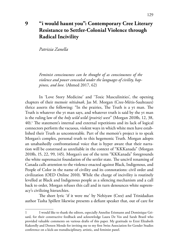# **9 "i would haunt you": Contemporary Cree Literary Resistance to Settler-Colonial Violence through Radical Incivility**

*Patrizia Zanella* 

*Feminist consciousness can be thought of as consciousness of the violence and power concealed under the languages of civility, happiness, and love.* (Ahmed 2017, 62)

In 'Love Story Medicine' and 'Toxic Masculinities', the opening chapters of their memoir *nîtisânak*, Jas M. Morgan (Cree-Métis-Saulteaux) thrice asserts the following: "In the prairies, The Truth is a yt man. The Truth is whatever the yt man says, and whatever truth is said by the yt man is the ruling law of the *holy wild wild (prairie) west*" (Morgan 2018b, 12, 38, 40).1 The statement's internal and external repetitions and its lack of logical connectors perform the vacuous, violent ways in which white men have established their Truth as uncontestable. Part of the memoir's project is to speak Morgan's complex, personal truth to this hegemonic Truth. Morgan adopts an unabashedly confrontational voice that is hyper aware that their narration will be construed as unreliable in the context of "KKKanada" (Morgan 2018b, 15, 22, 99, 145). Morgan's use of the term "KKKanada" foregrounds the white supremacist foundation of the settler state. The uncivil renaming of Canada calls attention to the violence enacted against Black, Indigenous, and People of Color in the name of civility and its connotations: civil order and civilization (OED Online 2010). While the charge of incivility is routinely levelled at Black and Indigenous people as a silencing mechanism and a call back to order, Morgan refuses this call and in turn denounces white supremacy's civilizing hierarchies.

The short lyric 'if it were me' by Nehiyaw (Cree) and Trinidadian author Tasha Spillett likewise presents a defiant speaker that, out of care for

I would like to thank the editors, especially Annelise Erismann and Dominique Grisard, for their constructive feedback and acknowledge Laura De Vos and Sarah Brazil who provided valuable comments on various drafts of this paper. My gratitude to Erzsi Elizabeth Kukorelly and Doreen Mende for inviting me to my first Swiss Association for Gender Studies conference on a kick-ass transdisciplinary, artistic, and feminist panel.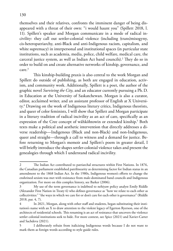themselves and their relatives, confronts the imminent danger of being disappeared with a threat of their own: "i would haunt you" (Spillett 2018, l. 11). Spillett's speaker and Morgan communicate in a mode of radical incivility: they call out settler-colonial violence (including (trans)misogyny, cis-heteropatriarchy, anti-Black and anti-Indigenous racism, capitalism, and white supremacy) in interpersonal and institutional spaces (in particular state institutions, such as academia, media, police, child welfare, medical care, the carceral justice system, as well as Indian Act band councils).2 They do so in order to build on and create alternative networks of kinship, governance, and  $c$ are $3$ 

This kinship-building praxis is also central to the work Morgan and Spillett do outside of publishing, as both are engaged in education, activism, and community work. Additionally, Spillett is a poet, the author of the graphic novel *Surviving the City*, and an educator currently pursuing a Ph.D. in Education at the University of Saskatchewan. Morgan is also a curator, editor, acclaimed writer, and an assistant professor of English at X University.4 Drawing on the work of Indigenous literary critics, Indigenous theorists, and queer of color feminists, I will show that Spillett and Morgan participate in a literary tradition of radical incivility as an act of care, specifically as an expression of the Cree concept of wâhkôhtowin or extended kinship.<sup>5</sup> Both texts make a political and aesthetic intervention that directly addresses a diverse readership—Indigenous (Black and non-Black) and non-Indigenous, queer and straight—through a call to witness and a demand for justice. Before returning to Morgan's memoir and Spillett's poem in greater detail, I will briefly introduce the shapes settler-colonial violence takes and present the genealogies through which I understand radical incivility.

<sup>2</sup> The Indian Act contributed to patriarchal structures within First Nations. In 1876, the Canadian parliament established patrilinearity as determining factor for Indian status in an amendment to the 1868 Indian Act. In the 1980s, Indigenous women's efforts to change the enshrined sexism was met with resistance from male-dominated band councils and Indigenous organization. For more on this complex history, see Barker (2006).

<sup>3</sup> My use of the term governance is indebted to nehiyaw policy analyst Emily Riddle (Alexander First Nation in Treaty 6) who defines governance as "how we relate to each other as collectivities:" "the ways in which we care for or don't care for each other is governance" (Riddle 2018, par. 4, 7).

In 2021, Morgan, along with other staff and students, began substituting their institution's name with an X to draw attention to the violent legacy of Egerton Ryerson, one of the architects of residential schools. This renaming is an act of resistance that uncovers the violence settler colonial institutions seek to hide. For more context, see Spice (2021) and Xavier-Carter and Sachdeva (2021).

<sup>5</sup> I deliberately refrain from italicizing Indigenous words because I do not want to mark them as foreign words according to style guide rules.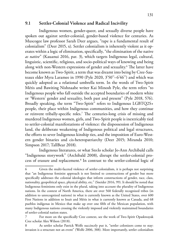## **9.1 Settler-Colonial Violence and Radical Incivility**

Indigenous women, gender-queer, and sexually diverse people have spoken out against settler-colonial, gender-based violence for centuries. As Muscogee law professor Sarah Deer argues, "rape is a fundamental result of colonialism" (Deer 2015, x). Settler colonialism is inherently violent as it operates within a logic of elimination, specifically, "the elimination of the native *as native*" (Kauanui 2016, par. 3), which targets Indigenous legal, cultural, linguistic, scientific, religious, and socio-political ways of knowing and being along with non-Western expressions of gender and sexuality.<sup>6</sup> The latter have become known as Two-Spirit, a term that was dreamt into being by Cree-Sauteaux elder Myra Laramee in 1990 (Pyle 2020, 3'50''–6'46'') and which was quickly adopted as a relational umbrella term. In the words of Two-Spirit Métis and Bawiting Nishnaabe writer Kai Minosh Pyle, the term refers "to Indigenous people who fall outside the accepted boundaries of modern white or 'Western' gender and sexuality, both past and present" (Pyle 2018, 576). Broadly speaking, the term "Two-Spirit" refers to Indigenous LGBTQ2S+ people, their place within Indigenous communities, and how they continue or reinvent tribally-specific roles.7 The centuries-long crisis of missing and murdered Indigenous women, girls, and Two-Spirit people is inextricably tied to settler-colonial manifestations of violence: the dispossession of Indigenous land, the deliberate weakening of Indigenous political and legal structures, the efforts to sever Indigenous kinship ties, and the imposition of Euro-Western gender binaries and cis-heteropatriarchy (Deer 2015; Miranda 2010; Simpson 2017; TallBear 2018).

Indigenous literatures, or what Sto:lo scholar Jo-Ann Archibald calls "Indigenous storywork" (Archibald 2008), disrupt the settler-colonial process of erasure and replacement.8 In contrast to the settler-colonial logic of

<sup>6</sup> Given the multi-faceted violence of settler-colonialism, it is perhaps not surprising that "an Indigenous feminist approach is not limited to constructions of gender but more specifically addresses the colonial ideologies that inform constructions of gender, race, class, nationality, geopolitical space, physical ability, etc." (Sneider 2016, 99). It should be noted that Indigenous feminisms only exist in the plural, taking into account the plurality of Indigenous nations. In the context of North America, there are over 560 federally recognized tribes (in addition to unrecognized nations) in what is currently known as the United States, over 600 First Nations in addition to Inuit and Métis in what is currently known as Canada, and 68 pueblos indígenas in Mexico that make up over one fifth of the Mexican population, with many Indigenous nations crossing the violently imposed and violently maintained boundaries of settler-colonial nation states.

<sup>7</sup> For more on the specifically Cree context, see the work of Two-Spirit Opaskwayak Cree scholar Alex Wilson (2018).

<sup>8</sup> As settler scholar Patrick Wolfe succinctly put it, "settler colonizers come to stay: invasion is a structure not an event" (Wolfe 2006, 388). More importantly, settler colonialism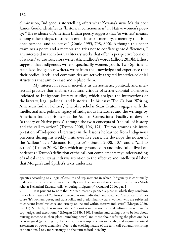elimination, Indigenous storytelling offers what Koyangk'auwi Maidu poet Janice Gould identifies as "historical consciousness" in Native women's poetry: "The evidence of American Indian poetry suggests that 'to witness' means, among other things, to store an event in tribal memory, a memory that is at once personal and collective" (Gould 1995, 798, 800). Although this paper examines a poem and a memoir and tries not to conflate genre differences, I am interested in them both as literary works that offer "a perspective born out of stakes," to use Tuscarora writer Alicia Elliott's words (Elliott 2019b). Elliott suggests that Indigenous writers, specifically women, youth, Two-Spirit, and racialized Indigenous writers, write from the knowledge and experience that their bodies, lands, and communities are actively targeted by settler-colonial structures that aim to erase and replace them.

My interest in radical incivility as an aesthetic, political, and intellectual practice that enables structural critique of settler-colonial violence is indebted to Indigenous literary studies, which analyze the intersections of the literary, legal, political, and historical. In his essay 'The Callout: Writing American Indian Politics', Cherokee scholar Sean Teuton engages with the intellectual and political legacy of Indigenous literatures and the writings by American Indian prisoners at the Auburn Correctional Facility to develop "a theory of Native praxis" through the twin concepts of "the call of history and the call to action" (Teuton 2008, 106, 121). Teuton grounds his interpretation of Indigenous literatures in the lessons he learned from Indigenous prisoners during his weekly visits over five years. He develops the notion of the "callout" as a "demand for justice" (Teuton 2008, 107) and a "call to action" (Teuton 2008, 106), which are grounded in and mindful of lived experiences.9 Teuton's definition of the call-out complements my understanding of radical incivility as it draws attention to the affective and intellectual labor that Morgan's and Spillett's texts undertake.

operates according to a logic of erasure and replacement in which Indigeneity is continually under erasure because it can never be fully erased, a paradoxical mechanism that Kanaka Maoli scholar Kēhaulani Kauanui calls "enduring Indigeneity" (Kauanui 2016, par. 1).

It is prudent to note that Morgan recently penned a piece in which they condemn the violent nature of "call-outs" directed at one individual and so-called "cancel culture" because "it's women, queer, and trans folks, and predominantly trans women, who are subjected to constant lateral violence and cruelty online and within creative industries" (Morgan 2020, par. 11). Similarly, their memoir states: "I don't want to enact carceral cultures, make myself a cop, judge, and executioner" (Morgan 2018b, 110). I understand calling out to be less about putting someone in their place (punching down) and more about refusing the place one has been assigned (punching up). Evidently, this is complex, context-specific, and requires a critical assessment of power dynamics. Due to the evolving nature of the term call-out and its shifting connotations, I rely more strongly on the term radical incivility.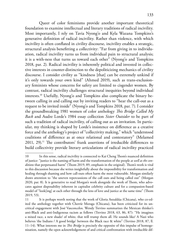Queer of color feminisms provide another important theoretical foundation to examine intellectual and literary traditions of radical incivility. Most importantly, I rely on Tavia Nyong'o and Kyla Wazana Tompkins's generative definition of radical incivility. Rather than violence, with which incivility is often conflated in civility discourse, incivility enables a strategic, structural analysis benefitting a collectivity: "Far from giving in to individuation, radical incivility turns us from individual pain to structural analysis; it is a with-ness that turns us toward each other" (Nyong'o and Tompkins 2018, par. 2). Radical incivility is inherently political and invested in collective interests in counter-distinction to the depoliticizing mechanics of civility discourse. I consider civility as "kindness [that] can be extremely unkind if it's only towards your own kind" (Ahmed 2019), such as trans-exclusionary feminists whose concerns for safety are limited to cisgender women. By contrast, radical incivility challenges structural inequities beyond individual interests.10 Usefully, Nyong'o and Tompkins also complicate the binary between calling in and calling out by inviting readers to "hear the call-out as a request to be invited inside" (Nyong'o and Tompkins 2018, par. 7). I consider the groundbreaking 1981 women of color anthology *This Bridge Called My Back* and Audre Lorde's 1984 essay collection *Sister Outsider* to be part of such a tradition of radical incivility, of calling out as an invitation. In particular, my thinking is shaped by Lorde's insistence on difference as a creative force and the anthology's project of "collectivity making," which "understood coalitions of difference as at once relational and contestatory" (Melamed 2011, 29).<sup>11</sup> The contributors' frank assertions of irreducible differences to build collectivity provide literary articulations of radical incivility practiced

<sup>10</sup> In this sense, radical incivility is connected to Kai Cheng Thom's nuanced definition of justice: "justice is the naming of harm and the transformation of the people *as well as the conditions* that perpetuated harm" (Thom 2019, 89, emphasis in the original). Thom's work is vital to this discussion because she writes insightfully about the impossibility for transformation and healing through shaming and how call-outs often harm the most vulnerable. Morgan similarly draws attention to "the uneven repercussions of the call outs and being called out" (Morgan 2020, par. 8). It is generative to read Morgan's work alongside the work of Thom, who advocates against disposability inherent in capitalist celebrity culture and for a compassion-based model of "look[ing] at each other through the lens of love and justice at the same time" (Thom 2019, 53).

<sup>11</sup> It is perhaps worth noting that the work of Gloria Anzaldúa (Chicana), who co-edited the anthology together with Cherríe Moraga (Chicana), has been criticized for its uncritical engagement with José Vasconcelos. Wendy Trevino summarizes the Mexican thinker's anti-Black and anti-Indigenous racism as follows (Trevino 2018, 63, 86, 87): "He imagines a mixed race, a new shade/ of white, that will trump them all. He sounds like/ A Nazi who believes 'the Indians / A good bridge' between the Black race & white" (Trevino 2018, 87, ll. 11–14). What interests me in *This Bridge* is precisely the opposite of this impulse of homogenization, namely the open acknowledgement of and critical confrontation with irreducible dif-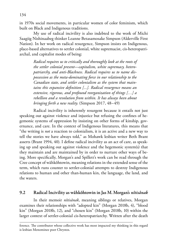in 1970s social movements, in particular women of color feminism, which built on Black and Indigenous traditions.

My use of radical incivility is also indebted to the work of Michi Saagiig Nishinaabeg thinker Leanne Betasamosake Simpson (Alderville First Nation). In her work on radical resurgence, Simpson insists on Indigenous, place-based alternatives to settler colonial, white supremacist, cis-heteropatriarchal, and capitalist modes of being:

> *Radical requires us to critically and thoroughly look at the roots of the settler colonial present—capitalism, white supremacy, heteropatriarchy, and anti-Blackness. Radical requires us to name dispossession as the meta-dominating force in our relationship to the Canadian state, and settler colonialism as the system that maintains this expansive definition [...]. Radical resurgence means an extensive, rigorous, and profound reorganization of things […] a rebellion and a revolution from within. It has always been about bringing forth a new reality.* (Simpson 2017, 48–49)

Radical incivility is inherently resurgent because it entails not just speaking out against violence and injustice but refusing the confines of hegemonic systems of oppression by insisting on other forms of kinship, governance, and care. In the context of Indigenous literatures, this means that "the writing is *not* a reaction to colonialism, it is an active and a new way to tell the stories we have always told," as Mohawk lesbian writer Beth Brant asserts (Brant 1994, 40). I define radical incivility as an act of care, as speaking up and speaking out against violence and the hegemonic system(s) that they maintain and are maintained by in order to nurture other ways of being. More specifically, Morgan's and Spillett's work can be read through the Cree concept of wâhkôhtowin, meaning relations in the extended sense of the term, which runs counter to settler-colonial attempts to destroy Indigenous relations to human and other than-human kin, the language, the land, and the waters.

#### **9.2 Radical Incivility as wâhkôhtowin in Jas M. Morgan's** *nîtisânak*

In their memoir *nîtisânak*, meaning siblings or relatives, Morgan examines their relationships with "adopted kin" (Morgan 2018b, 4), "blood kin" (Morgan 2018b, 12), and "chosen kin" (Morgan 2018b, 10) within the larger context of settler-colonial cis-heteropatriarchy. Written after the death

ference. The contributor whose collective work has most impacted my thinking in this regard is lesbian Menominee poet Chrystos.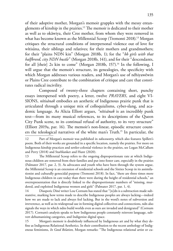of their adoptive mother, Morgan's memoir grapples with the messy entanglements of kinship in the prairies.12 The memoir is dedicated to their mother as well as to okâwiya, their Cree mother, from whom they were removed in what has become known as the Millennial Scoop (Tremonti 2018).<sup>13</sup> Morgan critiques the structural conditions of interpersonal violence out of love for wîtisâna, their siblings and relatives; for their mothers and grandmothers; for their "plains NDN kin" (Morgan 2018b, 1); for the "*bb girls with that halfbreed, city NDN hustle*" (Morgan 2018b, 141), and for their "descendants, for all [their] 2s kin to come" (Morgan 2018b, 157).<sup>14</sup> In the following, I will argue that the memoir's structure, its genealogies, the specificity with which Morgan addresses various readers, and Morgan's use of nêhiyawêwin or Plains Cree contribute to the combination of critique and care that constitutes radical incivility.

Composed of twenty-three chapters containing short, punchy essays interspersed with poetry, a letter, twelve *PRAYERS*, and eight VI-SIONS, *nîtisânak* embodies an aesthetic of Indigenous prairie punk that is articulated through a unique mix of colloquialisms, cyber-slang, and academic language. As Alicia Elliott argues, *"nîtisânak* is an incredibly punk text—from its many musical references, to its descriptions of the Queen City Punk scene, to its continual refusal of authority, to its very structure" (Elliott 2019a, par. 16). The memoir's non-linear, episodic structure counters the teleological narratives of the white man's Truth.15 In particular, the

13 The Millennial Scoop refers to the ongoing disproportionate rate at which Indigenous children are removed from their families and put into foster care, especially in the prairies (Palmater 2017, par. 2, 3). As advocates and youth who have been through the system argue, the Millennial Scoop is an extension of residential schools and the Sixties Scoop in its assimilationist and culturally genocidal purpose (Tremonti 2018). In fact, "there are three times more Indigenous children in care today than there were during the height of residential schools," an overrepresentation that is directly linked to the disproportionate numbers of "missing, murdered, and exploited Indigenous women and girls" (Palmater 2017, par. 1, 4).

14 Diasporic Diné writer Lou Cornum has stated that "[n]dn is a subtraction made substantive, marking how terms made to describe Indigenous peoples are always lacking—indeed how we are made to lack and always feel lacking. But in the word's notes of subversion and irreverence, as well as its widespread use in forming digital collectives and connections, ndn also signals the ways in which ndns build worlds even as ours are invaded and denigrated" (Cornum 2017). Cornum's analysis speaks to how Indigenous people constantly reinvent language, subvert dehumanizing categories, and Indigenize digital space.

15 Morgan's memoir is doubtlessly influenced by Indigenous art and by what they define as Indigenous Relational Aesthetics. In their contribution to the recent anthology of Indigenous feminisms, *In Good Relation,* Morgan remarks: "The Indigenous relational artist or cu-

<sup>12</sup> Part of Morgan's memoir was published in *ndncountry,* which also features Spillett's poem. Both of their works are grounded in a specific location, namely the prairies. For more on Indigenous kinship practices and settler-colonial violence in the prairies, see Logan McCallum and Perry (2018) and Starblanket and Hunt (2020).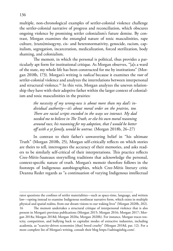multiple, non-chronological examples of settler-colonial violence challenge the settler-colonial narrative of progress and reconciliation, which obscures ongoing violence by promising settler colonialism's future demise. By contrast, Morgan examines the entangled nature of toxic masculinities, rape culture, (trans)misogyny, cis- and heteronormativity, genocide, racism, capitalism, segregation, incarceration, medicalization, forced sterilization, body shaming, and colonialism.

The memoir, in which the personal is political, thus provides a particularly apt form for institutional critique. As Morgan observes, "[a]s a ward of the state, my whole life has been constructed for me by institutions" (Morgan 2018b, 173). Morgan's writing is *radical* because it examines the *root* of settler-colonial violence and analyzes the interrelations between interpersonal and structural violence.<sup>16</sup> In this vein, Morgan analyzes the uneven relationship they have with their adoptive father within the larger context of colonialism and toxic masculinities in the prairies:

> *the necessity of my wrong-ness is about more than my dad's individual authority—it's about moral order on the prairies, too. There are racial scripts encoded in the ways we interact. My dad needed me to believe in The Truth, or else his own moral reasoning around race, his reasoning for my adoption, that I would be better off with a yt family, would be untrue.* (Morgan 2018b, 26–27)

In contrast to their father's unwavering belief in "his ultimate Truth" (Morgan 2018b, 25), Morgan self-critically reflects on which stories are theirs to tell, interrogates the accuracy of their memories, and asks readers to be similarly self-critical of their interpretations. This practice reflects Cree-Métis-Sauteaux storytelling traditions that acknowledge the personal, context-specific nature of truth. Morgan's memoir therefore follows in the footsteps of Indigenous autobiographies, which Cree-Métis literary critic Deanna Reder regards as "a continuation of varying Indigenous intellectual

rator questions the confines of settler materialities—such as space-time, language, and written law—opting instead to examine Indigenous nonlinear narrative form, which exists in multiple physical and spatial realms, from our dream visions to our waking lives" (Morgan 2020b, 202). 16 The memoir undertakes a structural critique of interpersonal violence that is also present in Morgan's previous publications (Morgan 2015; Morgan 2016; Morgan 2017; Morgan 2018a; Morgan 2018d; Morgan 2020a; Morgan 2020b). For instance, Morgan traces toxicity, competition, and bullying back to capitalist modes of extractive industries, including academia, as "scarcity-driven economies [that] breed cruelty" (Morgan 2018d, par. 12). For a more complete list of Morgan's writing, consult their blog https://aabitagiizhig.com/.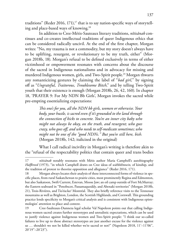traditions" (Reder 2016, 171), $^{17}$  that is to say nation-specific ways of storytelling and place-based ways of knowing.18

In addition to Cree-Métis-Sauteaux literary traditions, *nîtisânak* continues and co-creates intellectual traditions of queer Indigenous ethics that can be considered radically uncivil. At the end of the first chapter, Morgan writes: "No, my trauma is not a commodity, but my story doesn't always have to be uplifting, resurgent, or revolutionary to be my truth, either" (Morgan 2018b, 18). Morgan's refusal to be defined exclusively in terms of either victimhood or empowerment resonates with concerns about the discourse of the sacred in Indigenous nationalisms and in advocacy for missing and murdered Indigenous women, girls, and Two-Spirit people.19 Morgan thwarts any romanticizing gestures by claiming the label of "*bad girl,*" by signing off as "*Ungrateful, Traitorous, Troublesome Bitch*," and by telling Two-Spirit youth that their existence is enough (Morgan 2018b, 26, 42, 160). In chapter 18, 'PRAYER 9: For My NDN Bb Girls', Morgan invokes the sacred while pre-empting essentializing expectations:

> *This one's for you, all the NDN bb girls, women or otherwise. Your body, your hustle, is sacred even if it's grounded to the land through the connection of kicks to concrete. You're an inner city baby who might not always be okay, on the truth, and resurgent; who goes crazy, who goes off, and who needs to self-medicate sometimes; who might not be one of the "good NDNs." But you're still here, bish.*  (Morgan 2018b, 142; italicized in the original)

What I call radical incivility in Morgan's writing is therefore akin to the "refusal of the respectability politics that contain queer and trans bodies

<sup>17</sup> *nîtisânak* notably resonates with Métis author Maria Campbell's autobiography *Halfbreed* (1973), "in which Campbell draws on Cree ideas of *wâhkôhtowin,* of kinship, and the tradition of protest to theorize opposition and allegiance" (Reder 2016, 171).

<sup>18</sup> Morgan always locates their analysis of these interconnected forms of violence in specific places, from rural Saskatchewan to prairie cities, most prominently Regina and Edmonton, but also Saskatoon, Swift Current, Estevan, Moose Jaw; an oil camp outside of Fort McMurray; the Eastern seaboard in "Penobscot, Passamaquoddy, and Abenaki territories" (Morgan 2018b, 21), Trois-Rivières, and Tio'tia:ke/ Montréal. They also briefly reference visits to the Tennessee mountains as well as Brighton, London, the Scottish Highlands, and Cornwall. This grounding practice lends specificity to Morgan's critical analysis and is consistent with Indigenous epistemologies' attention to place and context.

<sup>19</sup> Cree-Saulteaux-Dunneza legal scholar Val Napoleon points out that calling Indigenous women sacred creates further stereotypes and unrealistic expectations, which can be used to justify violence against Indigenous women and Two-Spirit people: "I think our so-called failures to live up to those abstract stereotypes are just another excuse for the violence against us ... shouldn't we not be killed whether we're sacred or not?" (Napoleon 2018, 11'-11'06", 20'19''–20'23'').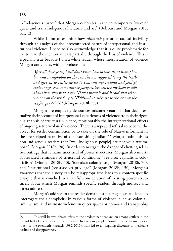in Indigenous spaces" that Morgan celebrates in the contemporary "wave of queer and trans Indigenous literature and art" (Belcourt and Morgan 2018, par. 13).

While I aim to examine how *nîtisânak* performs radical incivility through an analysis of the interconnected nature of interpersonal and institutional violence, I need to also acknowledge that it is quite problematic for me to read the memoir at least partially through the lens of violence. This is especially true because I am a white reader, whose interpretation of violence Morgan anticipates with apprehension:

> *After all these years, I still don't know how to talk about homophobia and transphobia on the rez. I'm not supposed to say the truth and give in to settler desire to consume my trauma and feed yt saviour ego, so at some dinner party settlers can use my book to talk about how they read a gay NDN's memoir and it said that it's* so violent *on the rez for gay NDNs—but, like, it's* so violent *on the rez for gay NDNs!* (Morgan 2018b, 50)

Morgan pre-emptively denounces misinterpretations that decontextualize their account of interpersonal experiences of violence from their rigorous analysis of structural violence, most notably the intergenerational effects of ongoing settler-colonial violence. There is a repeated refusal to become the object for settler consumption or to take on the role of Native informant in the pre-scripted narrative of the "vanishing Indian."20 Morgan admonishes non-Indigenous readers that "we [Indigenous people] are not your trauma porn" (Morgan 2018b, 90). In order to mitigate the danger of eliciting selective outrage that remains uncritical of power structures, Morgan also inserts abbreviated reminders of structural conditions: "See also: capitalism, colonialism" (Morgan 2018b, 50), "(see also: colonialism)" (Morgan 2018b, 70), and "institutional (see also: yt) privilege" (Morgan 2018b, 130). Morgan's awareness that their story can be misappropriated leads to a context-specific critique that is couched in a careful consideration of existing power structures, about which Morgan reminds specific readers through indirect and direct address.

Morgan's address to the reader demands a heterogenous audience to interrogate their complicity in various forms of violence, such as colonialism, racism, and intimate violence in queer spaces or homo- and transphobia

<sup>20</sup> This well-known phrase refers to the predominant conviction among settlers in the second half of the nineteenth century that Indigenous peoples "would not be around to see much of the twentieth" (Francis 1992/2011). This led to an ongoing discourse of inevitable decline and disappearance.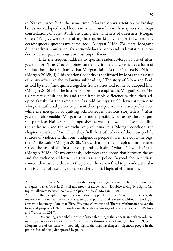in Native spaces.<sup>21</sup> At the same time, Morgan draws attention to kinship bonds with adopted kin, blood kin, and chosen kin in these spaces and maps constellations of care. While critiquing the whiteness of queerness, Morgan states: "Yt gays were some of my first queer kin. Don't get it twisted, my dearest queers, queer is my home, too" (Morgan 2018b, 73). Here, Morgan's direct address simultaneously acknowledges kinship and its limitations in order to claim space without diminishing difference.

Like the frequent address to specific readers, Morgan's use of nêhiyawêwin or Plains Cree combines care and critique and constitutes a form of self-location. The first family that Morgan claims is their "plains NDN kin" (Morgan 2018b, 1). This relational identity is confirmed by Morgan's first use of nêhiyawêwin in the following subheading: "The story of Mom and Dad, as told by niya (me), quilted together from stories told to me by adopted kin" (Morgan 2018b, 4). The first-person pronoun emphasizes Morgan's Cree-Métis-Sauteaux positionality and their irreducible difference within their adopted family. At the same time, "as told by niya (me)" draws attention to Morgan's authorial power to present their perspective as the storyteller even while the metaphor of quilting acknowledges previous storytellers.<sup>22</sup> nêhiyawêwin also enables Morgan to be more specific when using the first-person plural, as Plains Cree distinguishes between the we inclusive (including the addressee) and the we exclusive (excluding you). Morgan concludes the chapter 'wîhtikow', $23$  in which they "tell the truth of one of the most prolific sources of violence within our [Indigenous people's] lives: the cops, the pigs, the wîhtikowak" (Morgan 2018b, 92), with a short paragraph of untranslated Cree. The use of the first-person plural exclusive, "*ni*ka-mâci-waniskâ*nân*" (Morgan 2018b, 92; my emphasis), reinforces the opposition between the we and the excluded addressee, in this case the police. Beyond the incendiary content that issues a threat to the police, the very refusal to provide a translation is an act of resistance to the settler-colonial logic of elimination.

<sup>21</sup> In this way, Morgan broadens the critique that (non-citizen) Cherokee Two-Spirit and queer writer Qwo-Li Driskill undertook of academia in "Doubleweaving Two-Spirit Critiques: Alliances Between Native and Queer Studies" (Morgan 2010).

<sup>22</sup> The metaphor of quilting could also be applied to Morgan's citational practices; the memoir's endnotes feature a mix of academic and pop-cultural references without imposing an epistemic hierarchy. Note that Elissa Washuta (Cowlitz) and Theresa Warburton analyze the form and purpose of Native non-fiction through the analogy of weaving practices (Washuta and Warburton 2019).

<sup>23</sup> Designating a cannibal monster of insatiable hunger that appears in both atâyohkewina (legendary story cycle) and kayâs acimowina (historical incidents) (Carlson 2009, 359), Morgan's use of the term wîhtikow highlights the ongoing danger Indigenous people in the prairies face of being disappeared by police.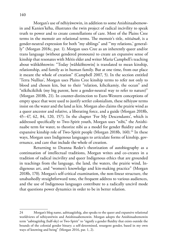Morgan's use of nêhiyâwewin, in addition to some Anishinaabemowin and Kanien'kéha, illustrates the twin project of radical incivility to speak truth to power and to create constellations of care. Most of the Plains Cree terms in the memoir are relational terms. The memoir's title, *nîtisânak*, is a gender-neutral expression for both "my siblings" and "'my relations,' generally" (Morgan 2018c, par. 1). Morgan uses Cree as an inherently queer and/or trans language (without gendered pronouns) to create an expansive sense of kinship that resonates with Métis elder and writer Maria Campbell's teaching about wâhkôhtowin: "Today [wâhkôhtowin] is translated to mean kinship, relationship, and family as in human family. But at one time, from our place it meant the whole of creation" (Campbell 2007, 5). In the section entitled 'Terra Nullius', Morgan uses Plains Cree kinship terms to refer not only to blood and chosen kin, but to their "relation, kihcikamiy, the ocean" and "nîkihcikihik (my big parent, here a gender-neutral way to refer to nature)" (Morgan 2018b, 21). In counter-distinction to Euro-Western conceptions of empty space that were used to justify settler colonialism, these nêhiyaw terms insist on the water and the land as kin. Morgan also claims the prairie wind as a queer ancestor and relative, a liberating force, and a guide (Morgan 2018b, 45–47, 62, 84, 120, 157). In the chapter 'For My Descendants', which is addressed specifically to Two-Spirit youth, Morgan uses "nibi," the Anishinaabe term for water, to theorize nibi as a model for gender fluidity and the expansive kinship role of Two-Spirit people (Morgan 2018b, 160).<sup>24</sup> In these ways, Morgan uses Indigenous languages to articulate forms of kinship, governance, and care that include the whole of creation.

Returning to Deanna Reder's theorization of autobiography as a continuation of intellectual traditions, Morgan writes and co-creates in a tradition of radical incivility and queer Indigenous ethics that are grounded in teachings from the language, the land, the waters, the prairie wind, Indigenous art, and "women's knowledge and kin-making practice" (Morgan 2018b, 170). Morgan's self-critical examination, the non-linear structure, the unabashedly straightforward tone, the frequent address to various audiences, and the use of Indigenous languages contribute to a radically uncivil mode that questions power dynamics in order to be in better relation.

<sup>24</sup> Morgan's blog name, aabitaagiizhig, also speaks to the queer and expansive relational worldviews of nêhiyawêwin and Anishinaabemowin. Morgan adopts the Anishinaabemowin term "aabitagiizhig (half-sky) or Two-Spirit" to "signify a gender fluidity that exists outside the bounds of the colonial gender binary; a self-determined, resurgent gender, based in my own ways of knowing and being" (Morgan 2016, par. 1, 2).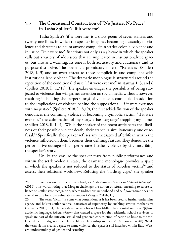**9.3 The Conditional Construction of "No Justice, No Peace" in Tasha Spillett's 'if it were me'**

Tasha Spillett's 'if it were me' is a short poem of seven stanzas and twenty-one lines, in which the speaker imagines becoming a casualty of violence and threatens to haunt anyone complicit in settler-colonial violence and injustice. "if it were me" functions not only as a *j'accuse* in which the speaker calls out a variety of addressees that are implicated in institutionalized spaces, but also as a warning. Its tone is both accusatory and cautionary and its purpose disruptive. The poem is a promissory note to "Relatives" (Spillett 2018, l. 3) and an overt threat to those complicit in and compliant with institutionalized violence. The dramatic monologue is structured around the repetition of the conditional clause "if it were ever me" in stanzas 1, 3, and 6 (Spillett 2018, ll. 1,7,18). The speaker envisages the possibility of being subjected to violence that will garner attention on social media without, however, resulting in holding the perpetrator(s) of violence accountable. In addition to the implications of violence behind the suppositional "if it were ever me/ with no justice" (Spillett 2018, ll. 8,19), the first self-definition of the speaker denounces the confining violence of becoming a symbolic victim: "if it were ever me// the culmination of my story/ a hashtag cage/ trapping my name" (Spillett 2018, ll. 1–4). While the speaker of the poem anticipates the likeliness of their possible violent death, their stance is simultaneously one of refusal.25 Specifically, the speaker refuses any mediatized afterlife in which the violence inflicted on them becomes their defining feature. They denounce the performative outrage which perpetrates further violence by circumscribing the speaker's story.

Unlike the erasure the speaker fears from public performance and within the settler-colonial state, the dramatic monologue provides a space in which the speaker is not reduced to the status of voiceless victim<sup>26</sup> and asserts their relational worldview. Refusing the "hashtag cage," the speaker

<sup>25</sup> For more on the function of refusal, see Audra Simpson's work in *Mohawk Interruptus*  (2014). It is worth noting that Morgan challenges the notion of refusal, meaning to refuse reliance on settler-state recognition, where Indigenous nationhood and self-governance does not extend to care for more vulnerable members (Morgan 2018b, 15).

<sup>26</sup> The term "victim" is somewhat contentious as it has been used to further undermine agency and bolster settler-colonial narratives of superiority by enabling saviour mechanisms (Palmater 2015, 131). Tanana Athabascan scholar Dian Million has pointed out how "[t]hose academic languages (*abuse, victim*) that created a space for the residential school survivors to speak are part of the intricate sexual and gendered construction of nation so basic to the violence done to Indigenous peoples, to life as relationship and being" (Million 2014, 40). While the term victim creates a space to name violence, that space is still inscribed within Euro-Western understandings of gender and sexuality.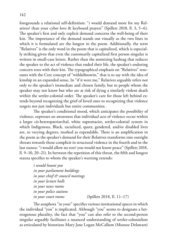foregrounds a relational self-definition: "i would demand more for my Relatives/ than your cyber love & keyboard prayers" (Spillett 2018, ll. 3, 5–6). The speaker's first and only explicit demand concerns the well-being of their kin. The importance of the demand stands out visually as the two lines in which it is formulated are the longest in the poem. Additionally, the term "Relatives" is the only word in the poem that is capitalized, which is especially striking given that even the customarily capitalized first person singular is written in small-case letters. Rather than the atomizing hashtag that reduces the speaker to the act of violence that ended their life, the speaker's enduring concern rests with their kin. The typographical emphasis on "Relatives" resonates with the Cree concept of "wâhkôhtowin," that is to say with the idea of kinship in an expanded sense. In "if it were me," Relatives arguably refers not only to the speaker's immediate and chosen family, but to people whom the speaker may not know but who are at risk of dying a similarly violent death within the settler-colonial order. The speaker's care for those left behind extends beyond recognizing the grief of loved ones to recognizing that violence targets not just individuals but entire communities.

The speaker's conditional mood, which anticipates the possibility of violence, expresses an awareness that individual acts of violence occur within a larger cis-heteropatriarchal, white supremacist, settler-colonial system in which Indigenous, Black, racialized, queer, gendered, and/or disabled lives are, to varying degrees, marked as expendable. There is an amplification in the poem as the speaker's demand for their Relatives transforms into outright threats towards those complicit in structural violence in the fourth and in the last stanza: "i would allow no rest/ you would not know peace" (Spillett 2018, ll. 9–10, 20–21). In between the repetition of this threat, the fifth and longest stanza specifies to whom the speaker's warning extends:

> *i would haunt you in your parliament buildings in your chief & council meetings in your lecture halls in your news rooms in your police stations in your court rooms* (Spillett 2018, ll. 11–17)

The anaphora "in your" specifies various institutional spaces in which the individual "you" is implicated. Although "you" seems to designate a heterogenous plurality, the fact that "you" can also refer to the second-person singular arguably facilitates a nuanced understanding of settler-colonialism as articulated by historians Mary Jane Logan McCallum (Munsee Delaware)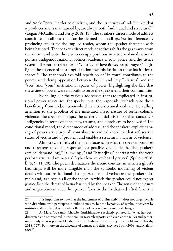and Adele Perry: "settler colonialism, and the structures of indifference that it produces and is maintained by, are always both [individual and structural]" (Logan McCallum and Perry 2018, 15). The speaker's direct mode of address constitutes a call-out that can be defined as a call *against* indifference by producing stakes for the implied reader, whom the speaker threatens with being haunted. The speaker's direct mode of address shifts the gaze away from the victim and onto those who occupy positions in settler-colonial national politics, Indigenous national politics, academia, media, police, and the justice system. The earlier reference to "your cyber love & keyboard prayers" highlights the absence of meaningful action towards justice in these institutional spaces.27 The anaphora's five-fold repetition of "in your" contributes to the poem's underlying opposition between the "i" and "my Relatives" and the "you" and "your" institutional spaces of power, highlighting the fact that these sites of power were not built to serve the speaker and their communities.

By calling out the various addressees that are implicated in institutional power structures, the speaker puts the responsibility back onto those benefitting from and/or co-involved in settler-colonial violence. By calling attention to the problem of the institutionalized nature of settler-colonial violence, the speaker disrupts the settler-colonial discourse that constructs Indigeneity in terms of deficiency, trauma, and a problem to be solved.<sup>28</sup> The conditional mood, the direct mode of address, and the speaker's explicit naming of power structures all contribute to radical incivility that refuses the status of victim and of problem and enables a structural analysis of violence.

Almost two-thirds of the poem focuses on what the speaker promises and threatens to do in response to a possible violent death. The speaker's acts of "demand[ing]," "allow[ing]," and "haunt[ing]" contrast with the you's performative and immaterial "cyber love & keyboard prayers" (Spillett 2018, ll. 5, 9, 11, 20). The poem dramatizes the ironic contrast in which a ghost's hauntings will be more tangible than the symbolic mourning of violent deaths without institutional change. Actions and verbs are the speaker's domain and, as a result, all of the spaces in which the speaker could not expect justice face the threat of being haunted by the speaker. The sense of enclosure and imprisonment that the speaker fears in the mediatized afterlife in the

<sup>27</sup> It is important to note that the indictment of online activism does not target people with disabilities who participate in online activism, but the hypocrisy of symbolic activism by institutionally affiliated actors who offer condolences without structural changes.

<sup>28</sup> As Maya Ode'amik Chacaby (Anishinaabe) succinctly phrased it, "what has been discovered and represented in the news, in research reports, and even at the rallies and gatherings is only what is permissible: that there are Indians and that they have problems" (Chacaby 2018, 127). For more on the discourse of damage and deficiency, see Tuck (2009) and Mailhot (2017).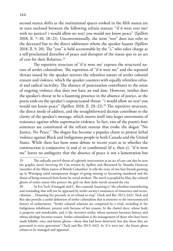second stanza shifts as the institutional spaces evoked in the fifth stanza are in turn enclosed between the following refrain stanzas: "if it were ever me/ with no justice// i would allow no rest/ you would not know peace" (Spillett 2018, ll. 7–10, 18–21). Unconventionally, the term "rest" does not refer to the deceased but to the direct addressees whom the speaker haunts (Spillett 2018, ll. 9, 20). The "you" is held accountable by the "i," who takes charge as a self-proclaimed disturber of peace and disrupter of the status quo in an act of care for their Relatives.29

The repetitive structure of 'if it were me' exposes the structural nature of settler colonialism. The repetition of "if it were me" and the repeated threats issued by the speaker mirrors the relentless nature of settler colonial erasure and violence, which the speaker counters with equally relentless refusal and radical incivility. The absence of punctuation contributes to the sense of ongoing violence that does not have an end date. However, neither does the speaker's threat to be a haunting presence in the absence of justice, as the poem ends on the speaker's unpunctuated threat: "i would allow no rest/ you would not know peace" (Spillett 2018, ll. 20–21).<sup>30</sup> The repetitive structure, the direct mode of address, and the straightforward diction contribute to the clarity of the speaker's message, which inserts itself into larger movements of resistance against white supremacist violence. In fact, two of the poem's four sentences are constituted of the refrain stanzas that evoke the slogan "No Justice, No Peace." The slogan has become a popular chant to protest lethal violence against Black and Indigenous people in both Canada and the United States. While there has been some debate in recent years as to whether the construction is conjunctive  $(x \text{ and } y)$  or conditional (if x, then y), "if it were me" leaves no ambiguity that the absence of peace is not a lamentation but

<sup>29</sup> The radically uncivil threat of a ghostly intervention as an act of care can also be seen the graphic novel *Surviving the City* written by Spillett and illustrated by Natasha Donovan (member of the Métis nation of British Columbia). It tells the story of two best friends growing up in Winnipeg amid omnipresent danger of going missing or becoming murdered and the threat of being removed from home by social workers. The novel is peopled by blue-sky-colored ghosts of stolen sisters who protect the girls on their daily travels around the city.

<sup>30</sup> As Eve Tuck (Unangaxˆ) and C. Ree contend, haunting is "the relentless remembering and reminding that will not be appeased by settler society's assurances of innocence and reconciliation… Haunting lies precisely in its refusal to stop" (Tuck and Ree 2013, 642). Tuck and Ree also provide a useful definition of settler colonialism that is attentive to the interconnected history of enslavement: "Settler colonial relations are comprised by a triad, including a) the Indigenous inhabitant, present only because of her erasure; b) the chattel slave, whose body is property and murderable; and c) the inventive settler, whose memory becomes history, and whose ideology becomes reason. Settler colonialism is the management of those who have been made killable, once and future ghosts—those that had been destroyed, but also those that are generated in every generation" (Tuck and Ree 2013, 642). In 'if it were me', the future ghost refuses to be managed and appeased.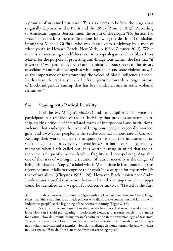a promise of sustained resistance. This also seems to be how the slogan was originally deployed in the 1980s and the 1990s (Zimmer 2013). According to American linguist Ben Zimmer, the origin of the slogan "No Justice, No Peace" dates back to the manifestations following the death of Trinidadian immigrant Michael Griffith, who was chased onto a highway by a mob of white youth in Howard Beach, New York, in 1986 (Zimmer 2013). While there is an increasing mindfulness not to co-opt slogans such as Black Lives Matter for the purpose of protesting anti-Indigenous racism, the fact that "if it were me" was penned by a Cree and Trinidadian poet speaks to the history of solidarity and resistance against white supremacy and state violence as well as the importance of foregrounding the voices of Black Indigenous people. In this way, the radically uncivil refrain gestures towards a longer history of Black-Indigenous kinship that has been under erasure in settler-colonial narratives<sup>31</sup>

## **9.4 Staying with Radical Incivility**

Both Jas M. Morgan's *nîtisânak* and Tasha Spillett's 'if it were me' participate in a tradition of radical incivility that provides structural, kinship-making critique of interrelated forms of interpersonal and institutional violence that endanger the lives of Indigenous people, especially women, girls, and Two-Spirit people, in the settler-colonial nation-state of Canada. Reading their works has led me to question my own role in academia, on social media, and in everyday interactions.<sup>32</sup> In both texts, I experienced moments when I felt called out. It is worth bearing in mind that radical incivility is frequently met with white fragility and tone-policing. Arguably one of the risks of writing in a tradition of radical incivility is the danger of being dismissed as "angry," a label which Menominee lesbian poet Chrystos rejects because it fails to recognize their work "as a weapon for my survival & that of my allies" (Chrystos 1995, 128). However, Black lesbian poet Audre Lorde draws a useful distinction between hatred and anger in which anger could be identified as a weapon for collective survival: "Hatred is the fury

<sup>31</sup> In the context of the prairies, Calgary author, playwright, and director Cheryl Foggo states that "there was almost no Black pioneer who didn't create connection and kinship with Indigenous people" at the beginning of the twentieth century (Foggo 2017).

<sup>32</sup> Some of the ongoing questions these works have provoked or reinforced are as follows: How can I avoid participating in performative outrage that turns people into symbols for a cause? How do I minimize my research's participation in the extractive logic of academia? Who is my research for? How can I make sure that I speak with rather than about or for Indigenous writers, activists, and academics? How do I challenge cis-homonormativity and whiteness in queer spaces? How do I position myself without centering myself?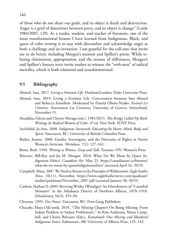of those who do not share our goals, and its object is death and destruction. Anger is a grief of distortions between peers, and its object is change" (Lorde 1984/2007, 129). As a reader, student, and teacher of literature, one of the most transformational lessons I have learned from Indigenous, Black, and queer of color writing is to stay with discomfort and acknowledge anger as both a challenge and an invitation. I am grateful for the call-outs that invite me to do better, including Morgan's memoir and Spillett's poem. While refusing elimination, appropriation, and the erasure of differences, Morgan's and Spillett's literary texts invite readers to witness the "with-ness" of radical incivility, which is both relational and transformational.

## **9.5 Bibliography**

Ahmed, Sara. 2017. *Living a Feminist Life*. Durham/London: Duke University Press.

- Ahmed, Sara. 2019. Living a Feminist Life: Conversation between Sara Ahmed and Rebecca Amsellem. Moderated by Pamela Ohene-Nyako. *Festival Les Créatives.* Association Les Créatives, University of Geneva, Switzerland, November 15.
- Anzaldúa, Gloria and Cherrie Moraga (eds.). 1981/2015. *This Bridge Called My Back: Writings by Radical Women of Color.* 4<sup>th</sup> ed. New York: SUNY Press.
- Archibald, Jo-Ann. 2008. *Indigenous Storywork: Educating the Heart, Mind, Body, and Spirit*. Vancouver, BC: University of British Columbia Press.
- Barker, Joanne. 2006. Gender, Sovereignty, and the Discourse of Rights in Native Women's Activism. *Meridians,* 7(1): 127–161.
- Brant, Beth. 1994. *Writing as Witness: Essay and Talk*. Toronto, ON: Women's Press.
- Belcourt, Bill-Ray and Jas M. Morgan. 2018. What Do We Mean by Queer Indigenous Ethics? *Canadian Art*. May 23. https://canadianart.ca/features/ [what-do-we-mean-by-queerindigenousethics/ \(accessed April 16, 2019\).](https://canadianart.ca/features/what-do-we-mean-by-queerindigenousethics/)
- Campbell, Maria. 2007. We Need to Return to the Principles of Wahkotowin. *Eagle Feather News*, 10(11). November. [https://www.eaglefeathernews.com/quadrant/](https://www.eaglefeathernews.com/quadrant/media//pastIssues/November_2007.pdf) [media//pastIssues/November\\_2007.pdf](https://www.eaglefeathernews.com/quadrant/media//pastIssues/November_2007.pdf) (accessed January 30, 2019).
- Carlson, Nathan D. 2009. Reviving Witiko (Windigo): An Ethnohistory of "Cannibal Monsters" in the Athabasca District of Northern Alberta, 1878–1910. *Ethnohistory,* 56(3): 355–94.
- Chrystos. 1995. *Fire Power*. Vancouver, BC: Press Gang Publishers.
- Chacaby, Maya Ode'amik. 2018. "(The Missing Chapter) On Being Missing: From Indian Problem to Indian Problematic." In Kim Anderson, Maria Campbell, and Christi Belcourt (Eds.), *Keetsahnak: Our Missing and Murdered Indigenous Sisters*. Edmonton, AB: University of Alberta Press, 125–143.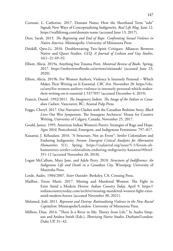- Cornum, L. Catherine. 2017. Domain Name: How the Shorthand Term "ndn" Signals New Ways of Conceptualizing Indigeneity. *Real Life Mag*. June 12. [https://reallifemag.com/domain-name](https://reallifemag.com/domain-name/) (accessed June 13, 2017).
- Deer, Sarah. 2015. *The Beginning and End of Rape. Confronting Sexual Violence in Native America*. Minneapolis: University of Minnesota Press.
- Driskill, Qwo-Li. 2010. Doubleweaving Two-Spirit Critiques: Alliances Between Native and Queer Studies. *GLQ: A Journal of Lesbian and Gay Studies,*  $16(1-2): 69-92.$
- Elliott, Alicia. 2019a. Anything but Trauma Porn. *Montreal Review of Books*. Spring, 2017. <https://mtlreviewofbooks.ca/reviews/nitisanak/>(accessed June 23, 2020).
- Elliott, Alicia. 2019b. For Women Authors, Violence Is Intensely Personal Which Makes Their Writing on It Essential. *CBC Arts.* November 28. [https://cbc.](https://cbc.ca/arts/for-women-authors-violence-is-intensely-personal-which-makes-their-writing-on-it-essential-1.5377057) [ca/arts/for-women-authors-violence-is-intensely-personal-which-makes](https://cbc.ca/arts/for-women-authors-violence-is-intensely-personal-which-makes-their-writing-on-it-essential-1.5377057)[their-writing-on-it-essential-1.5377057](https://cbc.ca/arts/for-women-authors-violence-is-intensely-personal-which-makes-their-writing-on-it-essential-1.5377057) (accessed December 4, 2019).
- Francis, Daniel. 1992/2011. *The Imaginary Indian. The Image of the Indian in Canadian Culture*. Vancouver, BC: Arsenal Pulp Press.
- Foggo, Cheryl. 2017. Our Narrative Clashes with the Canadian Bedtime Story. *Black Lives Out West Symposium*. The Insurgent Architects' House for Creative Writing, University of Calgary, Canada, November 25, 2017.
- Gould, Janice. 1995. American Indian Women's Poetry: Strategies of Rage and Hope. *Signs* 20(4) Postcolonial, Emergent, and Indigenous Feminisms: 797–817.
- Kauanui, J. Kēhaulani. 2016. "A Structure, Not an Event": Settler Colonialism and Enduring Indigeneity. *Forum: Emergent Critical Analytics for Alternative Humanities* 5(1). Spring. https://csalateral.org/issue/5-1/forum-althumanities-settler-colonialism-enduring-indigeneity-kauanui/#fnref-351-12 (accessed November 20, 2018).
- Logan McCallum, Mary Jane, and Adele Perry. 2018. *Structures of Indifference: An Indigenous Life and Death in a Canadian City*. Winnipeg: University of Manitoba Press.
- Lorde, Audre. 1984/2007. *Sister Outsider*. Berkeley, CA: Crossing Press.
- Mailhot, Terese Marie. 2017. Missing and Murdered Women: The Fight to Exist Amid a Modern Horror. *Indian Country Today*. April 9. [https://](https://indiancountrytoday.com/archive/missing-murdered-women-fight-exist-amid-modern-horror) [indiancountrytoday.com/archive/missing-murdered-women-fight-exist](https://indiancountrytoday.com/archive/missing-murdered-women-fight-exist-amid-modern-horror)[amid-modern-horror](https://indiancountrytoday.com/archive/missing-murdered-women-fight-exist-amid-modern-horror) (accessed November 30, 2021).
- Melamed, Jodi. 2011. *Represent and Destroy: Rationalizing Violence in the New Racial Capitalism*. Minneapolis/London: University of Minnesota Press.
- Million, Dian. 2014. "There Is a River in Me: Theory from Life." In Audra Simpson and Andrea Smith (Eds.), *Theorizing Native Studies*. Durham/London: Duke UP, 31–42.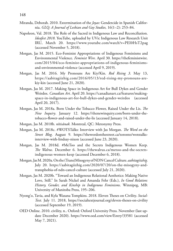- Miranda, Deborah. 2010. Extermination of the *Joyas*: Gendercide in Spanish California. *GLQ: A Journal of Lesbian and Gay Studies,* 16(1–2): 253–84.
- Napoleon, Val. 2018. The Role of the Sacred in Indigenous Law and Reconciliation. *Ideafest 2018*. YouTube, uploaded by UVic Indigenous Law Research Unit IRU, March 20. <https://www.youtube.com/watch?v=PEI0HsT2pag> (accessed November 5, 2018).
- Morgan, Jas M. 2015. Eco-Feminist Appropriations of Indigenous Feminisms and Environmental Violence. *Feminist Wire*. April 30. [https://thefeministwire.](https://thefeministwire.com/2015/04/eco-feminist-appropriations-of-indigenous-feminisms-and-environmental-violence) [com/2015/04/eco-feminist-appropriations-of-indigenous-feminisms](https://thefeministwire.com/2015/04/eco-feminist-appropriations-of-indigenous-feminisms-and-environmental-violence)[and-environmental-violence](https://thefeministwire.com/2015/04/eco-feminist-appropriations-of-indigenous-feminisms-and-environmental-violence) (accessed April 9, 2019).
- Morgan, Jas M. 2016. My Pronouns Are Kiy/Kin. *Red Rising 3*. May 13, [https://aabitagiizhig.com/2016/05/13/red-rising-my-pronouns-are](https://aabitagiizhig.com/2016/05/13/red-rising-my-pronouns-are-kiy-kin/)[kiy-kin](https://aabitagiizhig.com/2016/05/13/red-rising-my-pronouns-are-kiy-kin/) (accessed June 21, 2020).
- Morgan, Jas M. 2017. Making Space in Indigenous Art for Bull Dykes and Gender Weirdos. *Canadian Art*. April 20. [https://canadianart.ca/features/making](https://canadianart.ca/features/making-space-in-indigenous-art-for-bull-dykes-and-gender-weirdos/)[space-in-indigenous-art-for-bull-dykes-and-gender-weirdos](https://canadianart.ca/features/making-space-in-indigenous-art-for-bull-dykes-and-gender-weirdos/) (accessed April 20, 2017).
- Morgan, Jas M. 2018a. Born Under the Tobacco Flower, Raised Under the Lis. *The New Inquiry*. January 12. [https://thenewinquiry.com/born-under-the](https://thenewinquiry.com/born-under-the-tobacco-flower-and-raised-under-the-lis/)[tobacco-flower-and-raised-under-the-lis](https://thenewinquiry.com/born-under-the-tobacco-flower-and-raised-under-the-lis/) (accessed January 14, 2018).
- Morgan, Jas M. 2018b. *nîtisânak.* Montreal, QC: Metonymy Press.
- Morgan, Jas M. 2018c. #WOTSTalks: Interview with Jas Morgan. *The Word on the Street Blog*. August 9. [https://thewordonthestreet.ca/toronto/wotstalks](https://thewordonthestreet.ca/toronto/wotstalks-interview-with-lindsay-nixon/)[interview-with-lindsay-nixon](https://thewordonthestreet.ca/toronto/wotstalks-interview-with-lindsay-nixon/) (accessed June 23, 2020).
- Morgan, Jas M. 2018d. #MeToo and the Secrets Indigenous Women Keep. *The Walrus.* December 6. [https://thewalrus.ca/metoo-and-the-secrets](https://thewalrus.ca/metoo-and-the-secrets-indigenous-women-keep)[indigenous-women-keep](https://thewalrus.ca/metoo-and-the-secrets-indigenous-women-keep) (accessed December 6, 2018).
- Morgan, Jas M. 2020a. On the (Trans)Misogyny of NDN Cancel Culture. *aabitagiizhig*. July 20. [https://aabitagiizhig.com/2020/07/20/on-the-misogyny-and](https://aabitagiizhig.com/2020/07/20/on-the-misogyny-and-transphobia-of-ndn-cancel-culture/)[transphobia-of-ndn-cancel-culture](https://aabitagiizhig.com/2020/07/20/on-the-misogyny-and-transphobia-of-ndn-cancel-culture/) (accessed July 21, 2020).
- Morgan, Jas M. 2020b. "Toward an Indigenous Relational Aesthetics: Making Native Love, Still." In Sarah Nickel and Amanda Fehr (Eds.), *In Good Relation: History, Gender, and Kinship in Indigenous Feminisms*. Winnipeg, MB: University of Manitoba Press, 195–206.
- Nyong'o, Tavia, and Kyla Wazana Tompkins. 2018. Eleven Theses on Civility. *Social-Text*. July 11. 2018, [https://socialtextjournal.org/eleven-theses-on-civility](https://socialtextjournal.org/eleven-theses-on-civility )  (accessed September 19, 2019).
- OED Online. 2010. civility, n.. Oxford: Oxford University Press. November (last update December 2020). <https://www.oed.com/view/Entry/33581>(accessed May 7, 2021).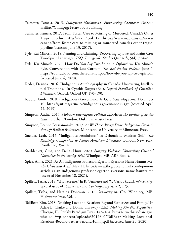- Palmater, Pamela. 2015. *Indigenous Nationhood. Empowering Grassroots Citizens*. Halifax/Winnipeg: Fernwood Publishing.
- Palmater, Pamela. 2017. From Foster Care to Missing or Murdered: Canada's Other Tragic Pipeline. *Maclean's.* April 12. [https://www.macleans.ca/news/](https://www.macleans.ca/news/canada/from-foster-care-to-missing-or-murdered-canadas-other-tragic-pipeline/) [canada/from-foster-care-to-missing-or-murdered-canadas-other-tragic](https://www.macleans.ca/news/canada/from-foster-care-to-missing-or-murdered-canadas-other-tragic-pipeline/)[pipeline](https://www.macleans.ca/news/canada/from-foster-care-to-missing-or-murdered-canadas-other-tragic-pipeline/) (accessed June 13, 2017).
- Pyle, Kai Minosh. 2018. Naming and Claiming: Recovering Ojibwe and Plains Cree Two-Spirit Languages. *TSQ: Transgender Studies Quarterly*, 5(4): 574–588.
- Pyle, Kai Minosh. 2020. How Do You Say Two-Spirit in Ojibwe? w/ Kai Minosh Pyle. Conversation with Lou Cornum. *The Red Nation Podcast*. June 4. <https://soundcloud.com/therednationpod/how-do-you-say-two-spirit-in> (accessed June 4, 2020).
- Reder, Deanna. 2016. "Indigenous Autobiography in Canada: Uncovering Intellectual Traditions." In Cynthia Sugars (Ed.), *Oxford Handbook of Canadian Literature*. Oxford: Oxford UP, 170–190.
- Riddle, Emily. 2018. (Indigenous) Governance Is Gay. *Guts Magazine*. December 10. [https://gutsmagazine.ca/indigenous-governance-is-gay](https://gutsmagazine.ca/indigenous-governance-is-gay/) (accessed April 24, 2019).
- Simpson, Audra. 2014. *Mohawk Interruptus: Political Life Across the Borders of Settler States*. Durham/London: Duke Univeristy Press.
- Simpson, Leanne Betasamosake. 2017. *As We Have Always Done: Indigenous Freedom through Radical Resistance.* Minneapolis: University of Minnesota Press.
- Sneider, Leah. 2016. "Indigenous Feminisms." In Deborah L. Madsen (Ed.), *The Routledge Companion to Native American Literature*. London/New York: Routledge, 95–107.
- Starblanket, Gina, and Dallas Hunt. 2020. *Storying Violence: Unravelling Colonial Narratives in the Stanley Trial*. Winnipeg, MB: ARP Books.
- Spice, Anne. 2021. As An Indigenous Professor, Egerton Ryerson's Name Haunts Me. *The Globe and Mail*. May 11. [https://www.theglobeandmail.com/opinion/](https://www.theglobeandmail.com/opinion/article-as-an-indigenous-professor-egerton-ryersons-name-haunts-me/) [article-as-an-indigenous-professor-egerton-ryersons-name-haunts-me](https://www.theglobeandmail.com/opinion/article-as-an-indigenous-professor-egerton-ryersons-name-haunts-me/)  (accessed November 18, 2021).
- Spillett, Tasha. 2018. "if it were me." In K. Vermette and W. Cariou (Eds.), *ndncountry*, Special issue of *Prairie Fire* and *Contemporary Verse* 2, 125.
- Spillett, Tasha, and Natasha Donovan. 2018. *Surviving the City*. Winnipeg, MB: Highwater Press, Vol.1.
- TallBear, Kim. 2018. "Making Love and Relations Beyond Settler Sex and Family." In Adele E. Clarke and Donna Haraway (Eds.), *Making Kin Not Population*. Chicago, IL: Prickly Paradigm Press, 145–164. [https://uwethicsofcare.gws.](https://uwethicsofcare.gws.wisc.edu/wp-content/uploads/2019/10/TallBear-Making-Love-and-Relations-Beyond-Settler-Sex-and-Family.pdf) [wisc.edu/wp-content/uploads/2019/10/TallBear-Making-Love-and-](https://uwethicsofcare.gws.wisc.edu/wp-content/uploads/2019/10/TallBear-Making-Love-and-Relations-Beyond-Settler-Sex-and-Family.pdf)[Relations-Beyond-Settler-Sex-and-Family.pdf](https://uwethicsofcare.gws.wisc.edu/wp-content/uploads/2019/10/TallBear-Making-Love-and-Relations-Beyond-Settler-Sex-and-Family.pdf) (accessed June 25, 2020).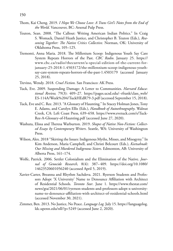- Thom, Kai Cheng. 2019. *I Hope We Choose Love: A Trans Girl's Notes from the End of the World*. Vancouver, BC: Arsenal Pulp Press.
- Teuton, Sean. 2008. "The Callout: Writing American Indian Politics." In Craig S. Womack, Daniel Heath Justice, and Christopher B. Teuton (Eds.), *Reasoning Together: The Native Critics Collective*. Norman, OK: University of Oklahoma Press, 105–125.
- Tremonti, Anna Maria. 2018. The Millenium Scoop: Indigenous Youth Say Care System Repeats Horrors of the Past. *CBC Radio*. January 25. https:// [www.cbc.ca/radio/thecurrent/a-special-edition-of-the-current-for](http://www.cbc.ca/radio/thecurrent/a-special-edition-of-the-current-for-january-25-2018-1.4503172/the-millennium-scoop-indigenous-youth-say-care-system-repeats-horrors-of-the-past-1.4503179)[january-25-2018-1.4503172/the-millennium-scoop-indigenous-youth](http://www.cbc.ca/radio/thecurrent/a-special-edition-of-the-current-for-january-25-2018-1.4503172/the-millennium-scoop-indigenous-youth-say-care-system-repeats-horrors-of-the-past-1.4503179)[say-care-system-repeats-horrors-of-the-past-1.4503179](http://www.cbc.ca/radio/thecurrent/a-special-edition-of-the-current-for-january-25-2018-1.4503172/the-millennium-scoop-indigenous-youth-say-care-system-repeats-horrors-of-the-past-1.4503179) (accessed January 25, 2018).
- Trevino, Wendy. 2018. *Cruel Fiction*. San Francisco: AK Press.
- Tuck, Eve. 2009. Suspending Damage: A Letter to Communities. *Harvard Educational Review,* 79(3): 409–27. [https://pages.ucsd.edu/~rfrank/class\\_web/](https://pages.ucsd.edu/~rfrank/class_web/ES-114A/Week%204/TuckHEdR79-3.pdf) [ES-114A/Week%204/TuckHEdR79-3.pdf](https://pages.ucsd.edu/~rfrank/class_web/ES-114A/Week%204/TuckHEdR79-3.pdf) (accessed September 15, 2018).
- Tuck, Eve and C. Ree. 2013. "A Glossary of Haunting." In Stacey Holman Jones, Tony E. Adams, and Carolyn Ellis (Eds.), *Handbook of Autoethnography*. Walnut Creek, CA: Left Coast Press, 639–658. [https://www.evetuck.com/s/Tuck-](https://www.evetuck.com/s/Tuck-Ree-A-Glossary-of-Haunting.pdf)[Ree-A-Glossary-of-Haunting.pdf](https://www.evetuck.com/s/Tuck-Ree-A-Glossary-of-Haunting.pdf) (accessed June 27, 2020).
- Washuta, Elissa and Theresa Warburton. 2019. *Shapes of Native Non-Fiction: Collected Essays by Contemporary Writers*. Seattle, WA: University of Washington Press.
- Wilson, Alex. 2018 "Skirting the Issues: Indigenous Myths, Misses, and Misogyny." In Kim Anderson, Maria Campbell, and Christi Belcourt (Eds.), *Keetsahnak: Our Missing and Murdered Indigenous Sisters*. Edmonton, AB: University of Alberta Press, 161–174.
- Wolfe, Patrick. 2006. Settler Colonialism and the Elimination of the Native. *Journal of Genocide Research,* 8(4): 387– 409. [https://doi.org/10.1080/](https://doi.org/10.1080/14623520601056240) [14623520601056240](https://doi.org/10.1080/14623520601056240) (accessed April 5, 2019).
- Xavier-Carter, Breanna and Rhythm Sachdeva. 2021. Ryerson Students and Professors Adopt 'X University' Name to Denounce Affiliation with Architect of Residential Schools. *Toronto Star*. June 1. [https://www.thestar.com/](https://www.thestar.com/news/gta/2021/06/01/ryerson-students-and-professors-adopt-x-university-name-to-denounce-affiliation-with-architect-of-residential-schools.html) [news/gta/2021/06/01/ryerson-students-and-professors-adopt-x-university](https://www.thestar.com/news/gta/2021/06/01/ryerson-students-and-professors-adopt-x-university-name-to-denounce-affiliation-with-architect-of-residential-schools.html)[name-to-denounce-affiliation-with-architect-of-residential-schools.html](https://www.thestar.com/news/gta/2021/06/01/ryerson-students-and-professors-adopt-x-university-name-to-denounce-affiliation-with-architect-of-residential-schools.html)  (accessed November 30, 2021).
- Zimmer, Ben. 2013. No Justice, No Peace. *Language Log*. July 15. [https://languagelog.](https://languagelog.ldc.upenn.edu/nll/?p=5249) [ldc.upenn.edu/nll/?p=5249](https://languagelog.ldc.upenn.edu/nll/?p=5249) (accessed June 2, 2020).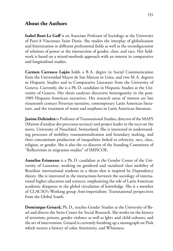## **About the Authors**

**Isabel Boni-Le Goff** is an Associate Professor of Sociology at the University of Paris 8 Vincennes Saint Denis. She studies the interplay of globalization and feminization in different professional fields as well as the reconfiguration of relations of power at the intersection of gender, class, and race. Her fieldwork is based on a mixed-methods approach with an interest in comparative and longitudinal studies.

**Carmen Carrasco Luján** holds a B.A. degree in Social Communication from the Universidad Mayor de San Marcos in Lima, and two M.A. degrees in Hispanic Studies and in Comparative Literature from the University of Geneva. Currently, she is a Ph.D. candidate in Hispanic Studies at the University of Geneva. Her thesis analyzes discursive heterogeneity in the post-1989 Hispanic-American narratives. Her research areas of interest are late nineteenth century Peruvian narrative, contemporary Latin American literature, and the treatment of waste and surpluses in Latin American literature.

**Janine Dahinden** is Professor of Transnational Studies, director of the MAPS (Maison d'analyse des processus sociaux) and project leader in the nccr-on the move, University of Neuchâtel, Switzerland. She is interested in understanding processes of mobility, transnationalization and boundary making, and their concomitant production of inequalities linked to ethnicity, race, class, religion, or gender. She is also the co-director of the Standing Committee of "Reflexivities in migration studies" of IMISCOE.

**Annelise Erismann** is a Ph.D. candidate at the Gender Center of the University of Lausanne, working on gendered and racialized class mobility of Brazilian international students in a thesis that is inspired by Dependency theory. She is interested in the interactions between the sociology of international higher education and sciences, emphasizing the role of Latin American academic diasporas in the global circulation of knowledge. She is a member of CLACSO's Working group Anti-imperialism: Transnational perspectives from the Global South.

**Dominique Grisard,** Ph.D., teaches Gender Studies at the University of Basel and directs the Swiss Center for Social Research. She works on the history of terrorism, prisons, gender violence as well as lgbt+ and child cultures, and the art of intervention. Grisard is currently finishing up a monograph on Pink which weaves a history of color, femininity, and Whiteness.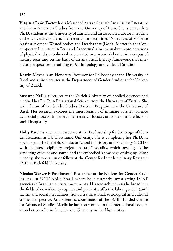**Virginia León Torrez** has a Master of Arts in Spanish Linguistics/ Literature and Latin American Studies from the University of Bern. She is currently a Ph.D. student at the University of Zürich, and an associated doctoral student at the University of Bern. Her research project, titled 'Narratives of Violence Against Women: Wasted Bodies and Deaths that (Don't) Matter in the Contemporary Literature in Peru and Argentina', aims to analyze representations of physical and symbolic violence exerted over women's bodies in a corpus of literary texts and on the basis of an analytical literary framework that integrates perspectives pertaining to Anthropology and Cultural Studies.

**Katrin Meyer** is an Honorary Professor for Philosophy at the University of Basel and senior lecturer at the Department of Gender Studies at the University of Zurich.

**Susanne Nef** is a lecturer at the Zurich University of Applied Sciences and received her Ph.D. in Educational Science from the University of Zurich. She was a fellow of the Gender Studies Doctoral Programme at the University of Basel. Her research explores the interpretation of intimate partner violence as a social process. In general, her research focuses on contexts and effects of social inequality.

**Holly Patch** is a research associate at the Professorship for Sociology of Gender Relations at TU Dortmund University. She is completing her Ph.D. in Sociology at the Bielefeld Graduate School in History and Sociology (BGHS) with an interdisciplinary project on trans\* vocality, which investigates the gendering of voice and sound and the embodied knowledge of singing. Most recently, she was a junior fellow at the Center for Interdisciplinary Research (ZiF) at Bielefeld University.

**Nicolas Wasser** is Postdoctoral Researcher at the Nucleus for Gender Studies Pagu at UNICAMP, Brazil, where he is currently investigating LGBT agencies in Brazilian cultural movements. His research interests lie broadly in the fields of new identity regimes and precarity, affective labor, gender, (anti) racism and social inequalities, from a transnational, sociological and cultural studies perspective. As a scientific coordinator of the BMBF-funded Centre for Advanced Studies Mecila he has also worked in the international cooperation between Latin America and Germany in the Humanities.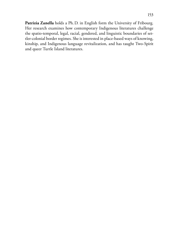Patrizia Zanella holds a Ph. D. in English form the University of Fribourg. Her research examines how contemporary Indigenous literatures challenge the spatio-temporal, legal, racial, gendered, and linguistic boundaries of settler-colonial border regimes. She is interested in place-based ways of knowing, kinship, and Indigenous language revitalization, and has taught Two-Spirit and queer Turtle Island literatures.